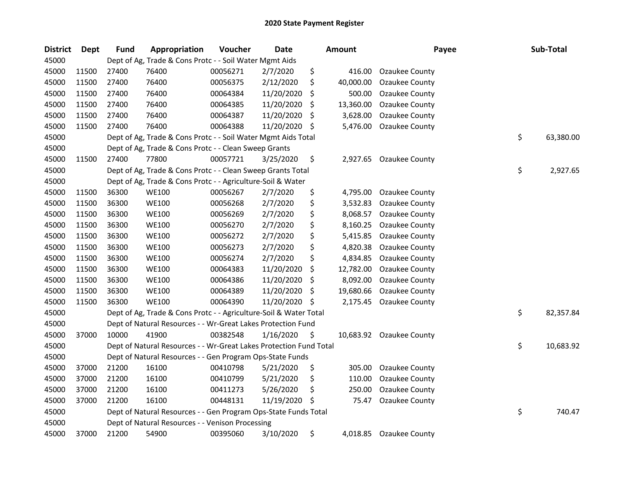| <b>District</b> | <b>Dept</b> | <b>Fund</b> | Appropriation                                                      | Voucher  | <b>Date</b> |     | <b>Amount</b> | Payee                    | Sub-Total       |
|-----------------|-------------|-------------|--------------------------------------------------------------------|----------|-------------|-----|---------------|--------------------------|-----------------|
| 45000           |             |             | Dept of Ag, Trade & Cons Protc - - Soil Water Mgmt Aids            |          |             |     |               |                          |                 |
| 45000           | 11500       | 27400       | 76400                                                              | 00056271 | 2/7/2020    | \$  | 416.00        | Ozaukee County           |                 |
| 45000           | 11500       | 27400       | 76400                                                              | 00056375 | 2/12/2020   | \$  | 40,000.00     | Ozaukee County           |                 |
| 45000           | 11500       | 27400       | 76400                                                              | 00064384 | 11/20/2020  | \$  | 500.00        | Ozaukee County           |                 |
| 45000           | 11500       | 27400       | 76400                                                              | 00064385 | 11/20/2020  | \$  | 13,360.00     | <b>Ozaukee County</b>    |                 |
| 45000           | 11500       | 27400       | 76400                                                              | 00064387 | 11/20/2020  | \$  | 3,628.00      | Ozaukee County           |                 |
| 45000           | 11500       | 27400       | 76400                                                              | 00064388 | 11/20/2020  | -\$ | 5,476.00      | Ozaukee County           |                 |
| 45000           |             |             | Dept of Ag, Trade & Cons Protc - - Soil Water Mgmt Aids Total      |          |             |     |               |                          | \$<br>63,380.00 |
| 45000           |             |             | Dept of Ag, Trade & Cons Protc - - Clean Sweep Grants              |          |             |     |               |                          |                 |
| 45000           | 11500       | 27400       | 77800                                                              | 00057721 | 3/25/2020   | \$  | 2,927.65      | Ozaukee County           |                 |
| 45000           |             |             | Dept of Ag, Trade & Cons Protc - - Clean Sweep Grants Total        |          |             |     |               |                          | \$<br>2,927.65  |
| 45000           |             |             | Dept of Ag, Trade & Cons Protc - - Agriculture-Soil & Water        |          |             |     |               |                          |                 |
| 45000           | 11500       | 36300       | <b>WE100</b>                                                       | 00056267 | 2/7/2020    | \$  | 4,795.00      | Ozaukee County           |                 |
| 45000           | 11500       | 36300       | <b>WE100</b>                                                       | 00056268 | 2/7/2020    | \$  | 3,532.83      | Ozaukee County           |                 |
| 45000           | 11500       | 36300       | <b>WE100</b>                                                       | 00056269 | 2/7/2020    | \$  | 8,068.57      | Ozaukee County           |                 |
| 45000           | 11500       | 36300       | <b>WE100</b>                                                       | 00056270 | 2/7/2020    | \$  | 8,160.25      | Ozaukee County           |                 |
| 45000           | 11500       | 36300       | <b>WE100</b>                                                       | 00056272 | 2/7/2020    | \$  | 5,415.85      | Ozaukee County           |                 |
| 45000           | 11500       | 36300       | <b>WE100</b>                                                       | 00056273 | 2/7/2020    | \$  | 4,820.38      | Ozaukee County           |                 |
| 45000           | 11500       | 36300       | <b>WE100</b>                                                       | 00056274 | 2/7/2020    | \$  | 4,834.85      | Ozaukee County           |                 |
| 45000           | 11500       | 36300       | <b>WE100</b>                                                       | 00064383 | 11/20/2020  | \$  | 12,782.00     | Ozaukee County           |                 |
| 45000           | 11500       | 36300       | <b>WE100</b>                                                       | 00064386 | 11/20/2020  | \$  | 8,092.00      | Ozaukee County           |                 |
| 45000           | 11500       | 36300       | <b>WE100</b>                                                       | 00064389 | 11/20/2020  | \$  | 19,680.66     | Ozaukee County           |                 |
| 45000           | 11500       | 36300       | <b>WE100</b>                                                       | 00064390 | 11/20/2020  | \$  |               | 2,175.45 Ozaukee County  |                 |
| 45000           |             |             | Dept of Ag, Trade & Cons Protc - - Agriculture-Soil & Water Total  |          |             |     |               |                          | \$<br>82,357.84 |
| 45000           |             |             | Dept of Natural Resources - - Wr-Great Lakes Protection Fund       |          |             |     |               |                          |                 |
| 45000           | 37000       | 10000       | 41900                                                              | 00382548 | 1/16/2020   | \$  |               | 10,683.92 Ozaukee County |                 |
| 45000           |             |             | Dept of Natural Resources - - Wr-Great Lakes Protection Fund Total |          |             |     |               |                          | \$<br>10,683.92 |
| 45000           |             |             | Dept of Natural Resources - - Gen Program Ops-State Funds          |          |             |     |               |                          |                 |
| 45000           | 37000       | 21200       | 16100                                                              | 00410798 | 5/21/2020   | \$  | 305.00        | Ozaukee County           |                 |
| 45000           | 37000       | 21200       | 16100                                                              | 00410799 | 5/21/2020   | \$  | 110.00        | Ozaukee County           |                 |
| 45000           | 37000       | 21200       | 16100                                                              | 00411273 | 5/26/2020   | \$  | 250.00        | Ozaukee County           |                 |
| 45000           | 37000       | 21200       | 16100                                                              | 00448131 | 11/19/2020  | \$, | 75.47         | Ozaukee County           |                 |
| 45000           |             |             | Dept of Natural Resources - - Gen Program Ops-State Funds Total    |          |             |     |               |                          | \$<br>740.47    |
| 45000           |             |             | Dept of Natural Resources - - Venison Processing                   |          |             |     |               |                          |                 |
| 45000           | 37000       | 21200       | 54900                                                              | 00395060 | 3/10/2020   | \$  | 4,018.85      | Ozaukee County           |                 |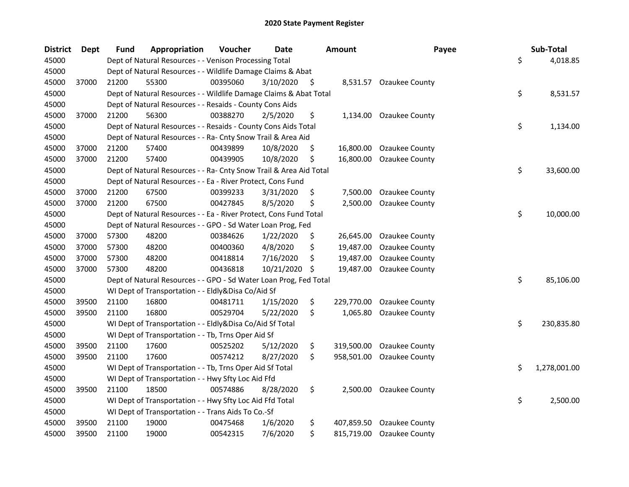| <b>District</b> | <b>Dept</b> | <b>Fund</b> | Appropriation                                                      | Voucher  | <b>Date</b> |    | Amount     | Payee                   | Sub-Total          |
|-----------------|-------------|-------------|--------------------------------------------------------------------|----------|-------------|----|------------|-------------------------|--------------------|
| 45000           |             |             | Dept of Natural Resources - - Venison Processing Total             |          |             |    |            |                         | \$<br>4,018.85     |
| 45000           |             |             | Dept of Natural Resources - - Wildlife Damage Claims & Abat        |          |             |    |            |                         |                    |
| 45000           | 37000       | 21200       | 55300                                                              | 00395060 | 3/10/2020   | \$ |            | 8,531.57 Ozaukee County |                    |
| 45000           |             |             | Dept of Natural Resources - - Wildlife Damage Claims & Abat Total  |          |             |    |            |                         | \$<br>8,531.57     |
| 45000           |             |             | Dept of Natural Resources - - Resaids - County Cons Aids           |          |             |    |            |                         |                    |
| 45000           | 37000       | 21200       | 56300                                                              | 00388270 | 2/5/2020    | \$ | 1,134.00   | Ozaukee County          |                    |
| 45000           |             |             | Dept of Natural Resources - - Resaids - County Cons Aids Total     |          |             |    |            |                         | \$<br>1,134.00     |
| 45000           |             |             | Dept of Natural Resources - - Ra- Cnty Snow Trail & Area Aid       |          |             |    |            |                         |                    |
| 45000           | 37000       | 21200       | 57400                                                              | 00439899 | 10/8/2020   | \$ | 16,800.00  | Ozaukee County          |                    |
| 45000           | 37000       | 21200       | 57400                                                              | 00439905 | 10/8/2020   | \$ | 16,800.00  | Ozaukee County          |                    |
| 45000           |             |             | Dept of Natural Resources - - Ra- Cnty Snow Trail & Area Aid Total |          |             |    |            |                         | \$<br>33,600.00    |
| 45000           |             |             | Dept of Natural Resources - - Ea - River Protect, Cons Fund        |          |             |    |            |                         |                    |
| 45000           | 37000       | 21200       | 67500                                                              | 00399233 | 3/31/2020   | \$ | 7,500.00   | Ozaukee County          |                    |
| 45000           | 37000       | 21200       | 67500                                                              | 00427845 | 8/5/2020    | Ś  | 2,500.00   | Ozaukee County          |                    |
| 45000           |             |             | Dept of Natural Resources - - Ea - River Protect, Cons Fund Total  |          |             |    |            |                         | \$<br>10,000.00    |
| 45000           |             |             | Dept of Natural Resources - - GPO - Sd Water Loan Prog, Fed        |          |             |    |            |                         |                    |
| 45000           | 37000       | 57300       | 48200                                                              | 00384626 | 1/22/2020   | \$ | 26,645.00  | Ozaukee County          |                    |
| 45000           | 37000       | 57300       | 48200                                                              | 00400360 | 4/8/2020    | \$ | 19,487.00  | Ozaukee County          |                    |
| 45000           | 37000       | 57300       | 48200                                                              | 00418814 | 7/16/2020   | \$ | 19,487.00  | <b>Ozaukee County</b>   |                    |
| 45000           | 37000       | 57300       | 48200                                                              | 00436818 | 10/21/2020  | \$ | 19,487.00  | Ozaukee County          |                    |
| 45000           |             |             | Dept of Natural Resources - - GPO - Sd Water Loan Prog, Fed Total  |          |             |    |            |                         | \$<br>85,106.00    |
| 45000           |             |             | WI Dept of Transportation - - Eldly&Disa Co/Aid Sf                 |          |             |    |            |                         |                    |
| 45000           | 39500       | 21100       | 16800                                                              | 00481711 | 1/15/2020   | \$ | 229,770.00 | Ozaukee County          |                    |
| 45000           | 39500       | 21100       | 16800                                                              | 00529704 | 5/22/2020   | \$ | 1,065.80   | Ozaukee County          |                    |
| 45000           |             |             | WI Dept of Transportation - - Eldly&Disa Co/Aid Sf Total           |          |             |    |            |                         | \$<br>230,835.80   |
| 45000           |             |             | WI Dept of Transportation - - Tb, Trns Oper Aid Sf                 |          |             |    |            |                         |                    |
| 45000           | 39500       | 21100       | 17600                                                              | 00525202 | 5/12/2020   | \$ | 319,500.00 | Ozaukee County          |                    |
| 45000           | 39500       | 21100       | 17600                                                              | 00574212 | 8/27/2020   | \$ | 958,501.00 | Ozaukee County          |                    |
| 45000           |             |             | WI Dept of Transportation - - Tb, Trns Oper Aid Sf Total           |          |             |    |            |                         | \$<br>1,278,001.00 |
| 45000           |             |             | WI Dept of Transportation - - Hwy Sfty Loc Aid Ffd                 |          |             |    |            |                         |                    |
| 45000           | 39500       | 21100       | 18500                                                              | 00574886 | 8/28/2020   | \$ | 2,500.00   | Ozaukee County          |                    |
| 45000           |             |             | WI Dept of Transportation - - Hwy Sfty Loc Aid Ffd Total           |          |             |    |            |                         | \$<br>2,500.00     |
| 45000           |             |             | WI Dept of Transportation - - Trans Aids To Co.-Sf                 |          |             |    |            |                         |                    |
| 45000           | 39500       | 21100       | 19000                                                              | 00475468 | 1/6/2020    | \$ | 407,859.50 | Ozaukee County          |                    |
| 45000           | 39500       | 21100       | 19000                                                              | 00542315 | 7/6/2020    | \$ | 815,719.00 | <b>Ozaukee County</b>   |                    |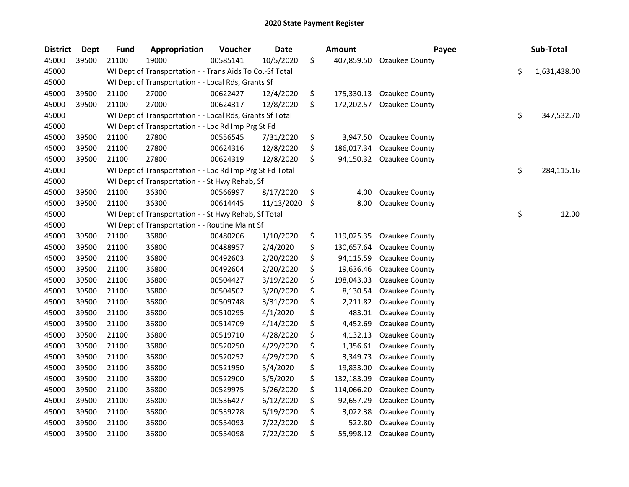| <b>District</b> | <b>Dept</b> | <b>Fund</b> | Appropriation                                            | Voucher  | Date       | <b>Amount</b>    | Payee          | Sub-Total          |
|-----------------|-------------|-------------|----------------------------------------------------------|----------|------------|------------------|----------------|--------------------|
| 45000           | 39500       | 21100       | 19000                                                    | 00585141 | 10/5/2020  | \$<br>407,859.50 | Ozaukee County |                    |
| 45000           |             |             | WI Dept of Transportation - - Trans Aids To Co.-Sf Total |          |            |                  |                | \$<br>1,631,438.00 |
| 45000           |             |             | WI Dept of Transportation - - Local Rds, Grants Sf       |          |            |                  |                |                    |
| 45000           | 39500       | 21100       | 27000                                                    | 00622427 | 12/4/2020  | \$<br>175,330.13 | Ozaukee County |                    |
| 45000           | 39500       | 21100       | 27000                                                    | 00624317 | 12/8/2020  | \$<br>172,202.57 | Ozaukee County |                    |
| 45000           |             |             | WI Dept of Transportation - - Local Rds, Grants Sf Total |          |            |                  |                | \$<br>347,532.70   |
| 45000           |             |             | WI Dept of Transportation - - Loc Rd Imp Prg St Fd       |          |            |                  |                |                    |
| 45000           | 39500       | 21100       | 27800                                                    | 00556545 | 7/31/2020  | \$<br>3,947.50   | Ozaukee County |                    |
| 45000           | 39500       | 21100       | 27800                                                    | 00624316 | 12/8/2020  | \$<br>186,017.34 | Ozaukee County |                    |
| 45000           | 39500       | 21100       | 27800                                                    | 00624319 | 12/8/2020  | \$<br>94,150.32  | Ozaukee County |                    |
| 45000           |             |             | WI Dept of Transportation - - Loc Rd Imp Prg St Fd Total |          |            |                  |                | \$<br>284,115.16   |
| 45000           |             |             | WI Dept of Transportation - - St Hwy Rehab, Sf           |          |            |                  |                |                    |
| 45000           | 39500       | 21100       | 36300                                                    | 00566997 | 8/17/2020  | \$<br>4.00       | Ozaukee County |                    |
| 45000           | 39500       | 21100       | 36300                                                    | 00614445 | 11/13/2020 | \$<br>8.00       | Ozaukee County |                    |
| 45000           |             |             | WI Dept of Transportation - - St Hwy Rehab, Sf Total     |          |            |                  |                | \$<br>12.00        |
| 45000           |             |             | WI Dept of Transportation - - Routine Maint Sf           |          |            |                  |                |                    |
| 45000           | 39500       | 21100       | 36800                                                    | 00480206 | 1/10/2020  | \$<br>119,025.35 | Ozaukee County |                    |
| 45000           | 39500       | 21100       | 36800                                                    | 00488957 | 2/4/2020   | \$<br>130,657.64 | Ozaukee County |                    |
| 45000           | 39500       | 21100       | 36800                                                    | 00492603 | 2/20/2020  | \$<br>94,115.59  | Ozaukee County |                    |
| 45000           | 39500       | 21100       | 36800                                                    | 00492604 | 2/20/2020  | \$<br>19,636.46  | Ozaukee County |                    |
| 45000           | 39500       | 21100       | 36800                                                    | 00504427 | 3/19/2020  | \$<br>198,043.03 | Ozaukee County |                    |
| 45000           | 39500       | 21100       | 36800                                                    | 00504502 | 3/20/2020  | \$<br>8,130.54   | Ozaukee County |                    |
| 45000           | 39500       | 21100       | 36800                                                    | 00509748 | 3/31/2020  | \$<br>2,211.82   | Ozaukee County |                    |
| 45000           | 39500       | 21100       | 36800                                                    | 00510295 | 4/1/2020   | \$<br>483.01     | Ozaukee County |                    |
| 45000           | 39500       | 21100       | 36800                                                    | 00514709 | 4/14/2020  | \$<br>4,452.69   | Ozaukee County |                    |
| 45000           | 39500       | 21100       | 36800                                                    | 00519710 | 4/28/2020  | \$<br>4,132.13   | Ozaukee County |                    |
| 45000           | 39500       | 21100       | 36800                                                    | 00520250 | 4/29/2020  | \$<br>1,356.61   | Ozaukee County |                    |
| 45000           | 39500       | 21100       | 36800                                                    | 00520252 | 4/29/2020  | \$<br>3,349.73   | Ozaukee County |                    |
| 45000           | 39500       | 21100       | 36800                                                    | 00521950 | 5/4/2020   | \$<br>19,833.00  | Ozaukee County |                    |
| 45000           | 39500       | 21100       | 36800                                                    | 00522900 | 5/5/2020   | \$<br>132,183.09 | Ozaukee County |                    |
| 45000           | 39500       | 21100       | 36800                                                    | 00529975 | 5/26/2020  | \$<br>114,066.20 | Ozaukee County |                    |
| 45000           | 39500       | 21100       | 36800                                                    | 00536427 | 6/12/2020  | \$<br>92,657.29  | Ozaukee County |                    |
| 45000           | 39500       | 21100       | 36800                                                    | 00539278 | 6/19/2020  | \$<br>3,022.38   | Ozaukee County |                    |
| 45000           | 39500       | 21100       | 36800                                                    | 00554093 | 7/22/2020  | \$<br>522.80     | Ozaukee County |                    |
| 45000           | 39500       | 21100       | 36800                                                    | 00554098 | 7/22/2020  | \$<br>55,998.12  | Ozaukee County |                    |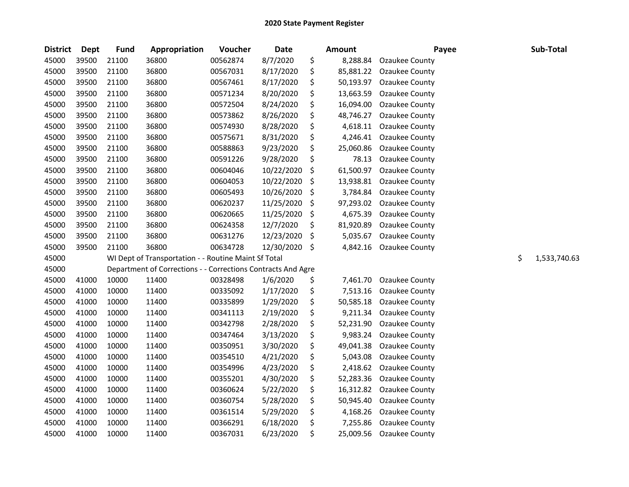| <b>District</b> | Dept  | <b>Fund</b> | Appropriation                                                | Voucher  | <b>Date</b> |         | <b>Amount</b> | Payee                 | Sub-Total          |
|-----------------|-------|-------------|--------------------------------------------------------------|----------|-------------|---------|---------------|-----------------------|--------------------|
| 45000           | 39500 | 21100       | 36800                                                        | 00562874 | 8/7/2020    | \$      | 8,288.84      | Ozaukee County        |                    |
| 45000           | 39500 | 21100       | 36800                                                        | 00567031 | 8/17/2020   | \$      | 85,881.22     | Ozaukee County        |                    |
| 45000           | 39500 | 21100       | 36800                                                        | 00567461 | 8/17/2020   | \$      | 50,193.97     | Ozaukee County        |                    |
| 45000           | 39500 | 21100       | 36800                                                        | 00571234 | 8/20/2020   | \$      | 13,663.59     | Ozaukee County        |                    |
| 45000           | 39500 | 21100       | 36800                                                        | 00572504 | 8/24/2020   | \$      | 16,094.00     | Ozaukee County        |                    |
| 45000           | 39500 | 21100       | 36800                                                        | 00573862 | 8/26/2020   | \$      | 48,746.27     | Ozaukee County        |                    |
| 45000           | 39500 | 21100       | 36800                                                        | 00574930 | 8/28/2020   | \$      | 4,618.11      | Ozaukee County        |                    |
| 45000           | 39500 | 21100       | 36800                                                        | 00575671 | 8/31/2020   | \$      | 4,246.41      | Ozaukee County        |                    |
| 45000           | 39500 | 21100       | 36800                                                        | 00588863 | 9/23/2020   | \$      | 25,060.86     | Ozaukee County        |                    |
| 45000           | 39500 | 21100       | 36800                                                        | 00591226 | 9/28/2020   | \$      | 78.13         | Ozaukee County        |                    |
| 45000           | 39500 | 21100       | 36800                                                        | 00604046 | 10/22/2020  | \$      | 61,500.97     | Ozaukee County        |                    |
| 45000           | 39500 | 21100       | 36800                                                        | 00604053 | 10/22/2020  | $\zeta$ | 13,938.81     | <b>Ozaukee County</b> |                    |
| 45000           | 39500 | 21100       | 36800                                                        | 00605493 | 10/26/2020  | $\zeta$ | 3,784.84      | Ozaukee County        |                    |
| 45000           | 39500 | 21100       | 36800                                                        | 00620237 | 11/25/2020  | $\zeta$ | 97,293.02     | Ozaukee County        |                    |
| 45000           | 39500 | 21100       | 36800                                                        | 00620665 | 11/25/2020  | \$      | 4,675.39      | Ozaukee County        |                    |
| 45000           | 39500 | 21100       | 36800                                                        | 00624358 | 12/7/2020   | \$      | 81,920.89     | Ozaukee County        |                    |
| 45000           | 39500 | 21100       | 36800                                                        | 00631276 | 12/23/2020  | \$      | 5,035.67      | Ozaukee County        |                    |
| 45000           | 39500 | 21100       | 36800                                                        | 00634728 | 12/30/2020  | -\$     | 4,842.16      | Ozaukee County        |                    |
| 45000           |       |             | WI Dept of Transportation - - Routine Maint Sf Total         |          |             |         |               |                       | \$<br>1,533,740.63 |
| 45000           |       |             | Department of Corrections - - Corrections Contracts And Agre |          |             |         |               |                       |                    |
| 45000           | 41000 | 10000       | 11400                                                        | 00328498 | 1/6/2020    | \$      | 7,461.70      | Ozaukee County        |                    |
| 45000           | 41000 | 10000       | 11400                                                        | 00335092 | 1/17/2020   | \$      | 7,513.16      | Ozaukee County        |                    |
| 45000           | 41000 | 10000       | 11400                                                        | 00335899 | 1/29/2020   | \$      | 50,585.18     | Ozaukee County        |                    |
| 45000           | 41000 | 10000       | 11400                                                        | 00341113 | 2/19/2020   | \$      | 9,211.34      | Ozaukee County        |                    |
| 45000           | 41000 | 10000       | 11400                                                        | 00342798 | 2/28/2020   | \$      | 52,231.90     | Ozaukee County        |                    |
| 45000           | 41000 | 10000       | 11400                                                        | 00347464 | 3/13/2020   | \$      | 9,983.24      | Ozaukee County        |                    |
| 45000           | 41000 | 10000       | 11400                                                        | 00350951 | 3/30/2020   | \$      | 49,041.38     | Ozaukee County        |                    |
| 45000           | 41000 | 10000       | 11400                                                        | 00354510 | 4/21/2020   | \$      | 5,043.08      | Ozaukee County        |                    |
| 45000           | 41000 | 10000       | 11400                                                        | 00354996 | 4/23/2020   | \$      | 2,418.62      | Ozaukee County        |                    |
| 45000           | 41000 | 10000       | 11400                                                        | 00355201 | 4/30/2020   | \$      | 52,283.36     | Ozaukee County        |                    |
| 45000           | 41000 | 10000       | 11400                                                        | 00360624 | 5/22/2020   | \$      | 16,312.82     | Ozaukee County        |                    |
| 45000           | 41000 | 10000       | 11400                                                        | 00360754 | 5/28/2020   | \$      | 50,945.40     | Ozaukee County        |                    |
| 45000           | 41000 | 10000       | 11400                                                        | 00361514 | 5/29/2020   | \$      | 4,168.26      | Ozaukee County        |                    |
| 45000           | 41000 | 10000       | 11400                                                        | 00366291 | 6/18/2020   | \$      | 7,255.86      | Ozaukee County        |                    |
| 45000           | 41000 | 10000       | 11400                                                        | 00367031 | 6/23/2020   | \$      | 25,009.56     | <b>Ozaukee County</b> |                    |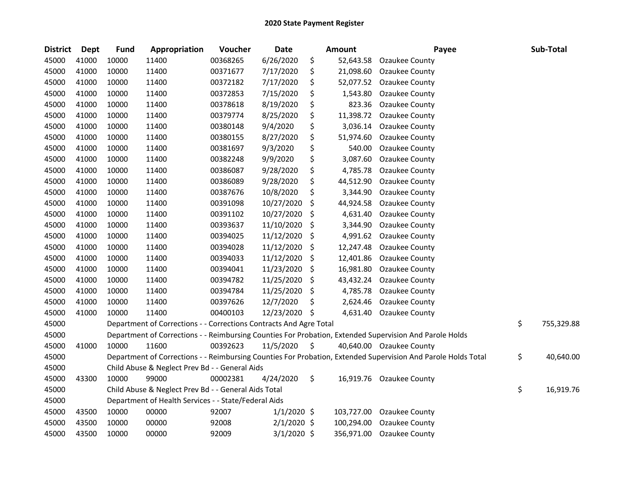| <b>District</b> | <b>Dept</b> | <b>Fund</b> | Appropriation                                                      | Voucher  | Date          |    | Amount     | Payee                                                                                                         | Sub-Total        |
|-----------------|-------------|-------------|--------------------------------------------------------------------|----------|---------------|----|------------|---------------------------------------------------------------------------------------------------------------|------------------|
| 45000           | 41000       | 10000       | 11400                                                              | 00368265 | 6/26/2020     | \$ | 52,643.58  | Ozaukee County                                                                                                |                  |
| 45000           | 41000       | 10000       | 11400                                                              | 00371677 | 7/17/2020     | \$ | 21,098.60  | Ozaukee County                                                                                                |                  |
| 45000           | 41000       | 10000       | 11400                                                              | 00372182 | 7/17/2020     | \$ | 52,077.52  | Ozaukee County                                                                                                |                  |
| 45000           | 41000       | 10000       | 11400                                                              | 00372853 | 7/15/2020     | \$ | 1,543.80   | Ozaukee County                                                                                                |                  |
| 45000           | 41000       | 10000       | 11400                                                              | 00378618 | 8/19/2020     | \$ | 823.36     | Ozaukee County                                                                                                |                  |
| 45000           | 41000       | 10000       | 11400                                                              | 00379774 | 8/25/2020     | \$ | 11,398.72  | Ozaukee County                                                                                                |                  |
| 45000           | 41000       | 10000       | 11400                                                              | 00380148 | 9/4/2020      | \$ | 3,036.14   | <b>Ozaukee County</b>                                                                                         |                  |
| 45000           | 41000       | 10000       | 11400                                                              | 00380155 | 8/27/2020     | \$ | 51,974.60  | Ozaukee County                                                                                                |                  |
| 45000           | 41000       | 10000       | 11400                                                              | 00381697 | 9/3/2020      | \$ | 540.00     | Ozaukee County                                                                                                |                  |
| 45000           | 41000       | 10000       | 11400                                                              | 00382248 | 9/9/2020      | \$ | 3,087.60   | <b>Ozaukee County</b>                                                                                         |                  |
| 45000           | 41000       | 10000       | 11400                                                              | 00386087 | 9/28/2020     | \$ | 4,785.78   | Ozaukee County                                                                                                |                  |
| 45000           | 41000       | 10000       | 11400                                                              | 00386089 | 9/28/2020     | \$ | 44,512.90  | Ozaukee County                                                                                                |                  |
| 45000           | 41000       | 10000       | 11400                                                              | 00387676 | 10/8/2020     | \$ | 3,344.90   | Ozaukee County                                                                                                |                  |
| 45000           | 41000       | 10000       | 11400                                                              | 00391098 | 10/27/2020    | \$ | 44,924.58  | Ozaukee County                                                                                                |                  |
| 45000           | 41000       | 10000       | 11400                                                              | 00391102 | 10/27/2020    | \$ | 4,631.40   | Ozaukee County                                                                                                |                  |
| 45000           | 41000       | 10000       | 11400                                                              | 00393637 | 11/10/2020    | \$ | 3,344.90   | Ozaukee County                                                                                                |                  |
| 45000           | 41000       | 10000       | 11400                                                              | 00394025 | 11/12/2020    | -S | 4,991.62   | Ozaukee County                                                                                                |                  |
| 45000           | 41000       | 10000       | 11400                                                              | 00394028 | 11/12/2020    | \$ | 12,247.48  | Ozaukee County                                                                                                |                  |
| 45000           | 41000       | 10000       | 11400                                                              | 00394033 | 11/12/2020    | \$ | 12,401.86  | Ozaukee County                                                                                                |                  |
| 45000           | 41000       | 10000       | 11400                                                              | 00394041 | 11/23/2020    | \$ | 16,981.80  | Ozaukee County                                                                                                |                  |
| 45000           | 41000       | 10000       | 11400                                                              | 00394782 | 11/25/2020    | \$ | 43,432.24  | Ozaukee County                                                                                                |                  |
| 45000           | 41000       | 10000       | 11400                                                              | 00394784 | 11/25/2020    | \$ | 4,785.78   | Ozaukee County                                                                                                |                  |
| 45000           | 41000       | 10000       | 11400                                                              | 00397626 | 12/7/2020     | \$ | 2,624.46   | Ozaukee County                                                                                                |                  |
| 45000           | 41000       | 10000       | 11400                                                              | 00400103 | 12/23/2020    | \$ | 4,631.40   | Ozaukee County                                                                                                |                  |
| 45000           |             |             | Department of Corrections - - Corrections Contracts And Agre Total |          |               |    |            |                                                                                                               | \$<br>755,329.88 |
| 45000           |             |             |                                                                    |          |               |    |            | Department of Corrections - - Reimbursing Counties For Probation, Extended Supervision And Parole Holds       |                  |
| 45000           | 41000       | 10000       | 11600                                                              | 00392623 | 11/5/2020     | \$ |            | 40,640.00 Ozaukee County                                                                                      |                  |
| 45000           |             |             |                                                                    |          |               |    |            | Department of Corrections - - Reimbursing Counties For Probation, Extended Supervision And Parole Holds Total | \$<br>40,640.00  |
| 45000           |             |             | Child Abuse & Neglect Prev Bd - - General Aids                     |          |               |    |            |                                                                                                               |                  |
| 45000           | 43300       | 10000       | 99000                                                              | 00002381 | 4/24/2020     | \$ |            | 16,919.76 Ozaukee County                                                                                      |                  |
| 45000           |             |             | Child Abuse & Neglect Prev Bd - - General Aids Total               |          |               |    |            |                                                                                                               | \$<br>16,919.76  |
| 45000           |             |             | Department of Health Services - - State/Federal Aids               |          |               |    |            |                                                                                                               |                  |
| 45000           | 43500       | 10000       | 00000                                                              | 92007    | $1/1/2020$ \$ |    | 103,727.00 | <b>Ozaukee County</b>                                                                                         |                  |
| 45000           | 43500       | 10000       | 00000                                                              | 92008    | $2/1/2020$ \$ |    | 100,294.00 | Ozaukee County                                                                                                |                  |
| 45000           | 43500       | 10000       | 00000                                                              | 92009    | $3/1/2020$ \$ |    | 356,971.00 | Ozaukee County                                                                                                |                  |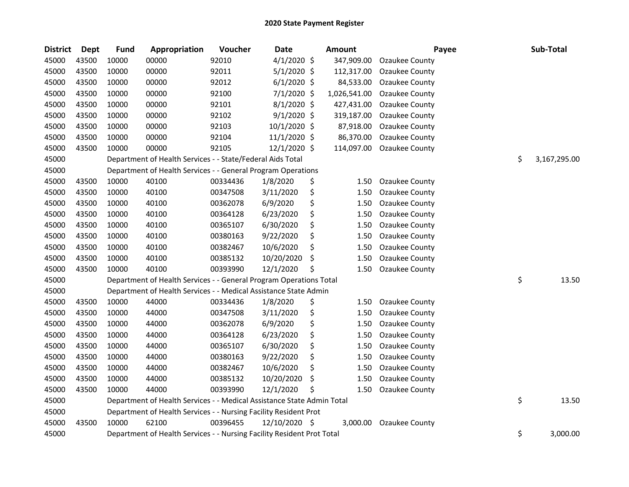| <b>District</b> | Dept  | <b>Fund</b> | Appropriation                                                          | Voucher  | Date           | <b>Amount</b> | Payee                 | Sub-Total          |
|-----------------|-------|-------------|------------------------------------------------------------------------|----------|----------------|---------------|-----------------------|--------------------|
| 45000           | 43500 | 10000       | 00000                                                                  | 92010    | $4/1/2020$ \$  | 347,909.00    | Ozaukee County        |                    |
| 45000           | 43500 | 10000       | 00000                                                                  | 92011    | $5/1/2020$ \$  | 112,317.00    | Ozaukee County        |                    |
| 45000           | 43500 | 10000       | 00000                                                                  | 92012    | $6/1/2020$ \$  | 84,533.00     | Ozaukee County        |                    |
| 45000           | 43500 | 10000       | 00000                                                                  | 92100    | 7/1/2020 \$    | 1,026,541.00  | Ozaukee County        |                    |
| 45000           | 43500 | 10000       | 00000                                                                  | 92101    | 8/1/2020 \$    | 427,431.00    | Ozaukee County        |                    |
| 45000           | 43500 | 10000       | 00000                                                                  | 92102    | $9/1/2020$ \$  | 319,187.00    | Ozaukee County        |                    |
| 45000           | 43500 | 10000       | 00000                                                                  | 92103    | 10/1/2020 \$   | 87,918.00     | Ozaukee County        |                    |
| 45000           | 43500 | 10000       | 00000                                                                  | 92104    | 11/1/2020 \$   | 86,370.00     | Ozaukee County        |                    |
| 45000           | 43500 | 10000       | 00000                                                                  | 92105    | $12/1/2020$ \$ | 114,097.00    | <b>Ozaukee County</b> |                    |
| 45000           |       |             | Department of Health Services - - State/Federal Aids Total             |          |                |               |                       | \$<br>3,167,295.00 |
| 45000           |       |             | Department of Health Services - - General Program Operations           |          |                |               |                       |                    |
| 45000           | 43500 | 10000       | 40100                                                                  | 00334436 | 1/8/2020       | \$<br>1.50    | Ozaukee County        |                    |
| 45000           | 43500 | 10000       | 40100                                                                  | 00347508 | 3/11/2020      | \$<br>1.50    | Ozaukee County        |                    |
| 45000           | 43500 | 10000       | 40100                                                                  | 00362078 | 6/9/2020       | \$<br>1.50    | Ozaukee County        |                    |
| 45000           | 43500 | 10000       | 40100                                                                  | 00364128 | 6/23/2020      | \$<br>1.50    | Ozaukee County        |                    |
| 45000           | 43500 | 10000       | 40100                                                                  | 00365107 | 6/30/2020      | \$<br>1.50    | Ozaukee County        |                    |
| 45000           | 43500 | 10000       | 40100                                                                  | 00380163 | 9/22/2020      | \$<br>1.50    | Ozaukee County        |                    |
| 45000           | 43500 | 10000       | 40100                                                                  | 00382467 | 10/6/2020      | \$<br>1.50    | Ozaukee County        |                    |
| 45000           | 43500 | 10000       | 40100                                                                  | 00385132 | 10/20/2020     | \$<br>1.50    | Ozaukee County        |                    |
| 45000           | 43500 | 10000       | 40100                                                                  | 00393990 | 12/1/2020      | \$<br>1.50    | Ozaukee County        |                    |
| 45000           |       |             | Department of Health Services - - General Program Operations Total     |          |                |               |                       | \$<br>13.50        |
| 45000           |       |             | Department of Health Services - - Medical Assistance State Admin       |          |                |               |                       |                    |
| 45000           | 43500 | 10000       | 44000                                                                  | 00334436 | 1/8/2020       | \$<br>1.50    | Ozaukee County        |                    |
| 45000           | 43500 | 10000       | 44000                                                                  | 00347508 | 3/11/2020      | \$<br>1.50    | Ozaukee County        |                    |
| 45000           | 43500 | 10000       | 44000                                                                  | 00362078 | 6/9/2020       | \$<br>1.50    | Ozaukee County        |                    |
| 45000           | 43500 | 10000       | 44000                                                                  | 00364128 | 6/23/2020      | \$<br>1.50    | Ozaukee County        |                    |
| 45000           | 43500 | 10000       | 44000                                                                  | 00365107 | 6/30/2020      | \$<br>1.50    | Ozaukee County        |                    |
| 45000           | 43500 | 10000       | 44000                                                                  | 00380163 | 9/22/2020      | \$<br>1.50    | Ozaukee County        |                    |
| 45000           | 43500 | 10000       | 44000                                                                  | 00382467 | 10/6/2020      | \$<br>1.50    | Ozaukee County        |                    |
| 45000           | 43500 | 10000       | 44000                                                                  | 00385132 | 10/20/2020     | \$<br>1.50    | Ozaukee County        |                    |
| 45000           | 43500 | 10000       | 44000                                                                  | 00393990 | 12/1/2020      | \$<br>1.50    | Ozaukee County        |                    |
| 45000           |       |             | Department of Health Services - - Medical Assistance State Admin Total |          |                |               |                       | \$<br>13.50        |
| 45000           |       |             | Department of Health Services - - Nursing Facility Resident Prot       |          |                |               |                       |                    |
| 45000           | 43500 | 10000       | 62100                                                                  | 00396455 | 12/10/2020 \$  | 3,000.00      | Ozaukee County        |                    |
| 45000           |       |             | Department of Health Services - - Nursing Facility Resident Prot Total |          |                |               |                       | \$<br>3,000.00     |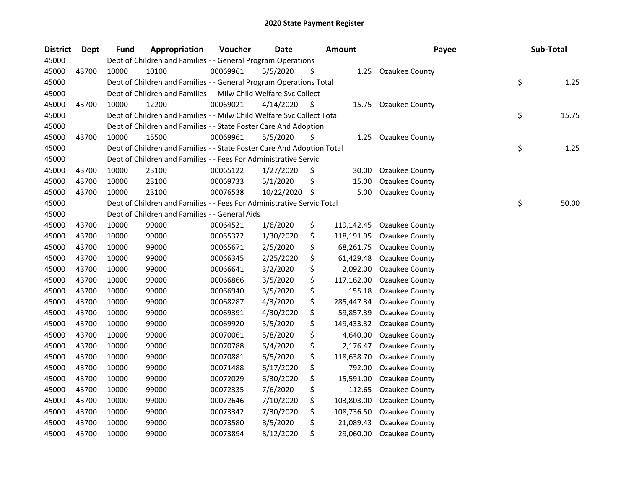| <b>District</b> | Dept  | <b>Fund</b> | Appropriation                                                          | Voucher  | <b>Date</b> |    | <b>Amount</b> | Payee                 | Sub-Total   |
|-----------------|-------|-------------|------------------------------------------------------------------------|----------|-------------|----|---------------|-----------------------|-------------|
| 45000           |       |             | Dept of Children and Families - - General Program Operations           |          |             |    |               |                       |             |
| 45000           | 43700 | 10000       | 10100                                                                  | 00069961 | 5/5/2020    | \$ |               | 1.25 Ozaukee County   |             |
| 45000           |       |             | Dept of Children and Families - - General Program Operations Total     |          |             |    |               |                       | \$<br>1.25  |
| 45000           |       |             | Dept of Children and Families - - Milw Child Welfare Svc Collect       |          |             |    |               |                       |             |
| 45000           | 43700 | 10000       | 12200                                                                  | 00069021 | 4/14/2020   | -S |               | 15.75 Ozaukee County  |             |
| 45000           |       |             | Dept of Children and Families - - Milw Child Welfare Svc Collect Total |          |             |    |               |                       | \$<br>15.75 |
| 45000           |       |             | Dept of Children and Families - - State Foster Care And Adoption       |          |             |    |               |                       |             |
| 45000           | 43700 | 10000       | 15500                                                                  | 00069961 | 5/5/2020    | \$ | 1.25          | Ozaukee County        |             |
| 45000           |       |             | Dept of Children and Families - - State Foster Care And Adoption Total |          |             |    |               |                       | \$<br>1.25  |
| 45000           |       |             | Dept of Children and Families - - Fees For Administrative Servic       |          |             |    |               |                       |             |
| 45000           | 43700 | 10000       | 23100                                                                  | 00065122 | 1/27/2020   | \$ | 30.00         | <b>Ozaukee County</b> |             |
| 45000           | 43700 | 10000       | 23100                                                                  | 00069733 | 5/1/2020    | \$ | 15.00         | Ozaukee County        |             |
| 45000           | 43700 | 10000       | 23100                                                                  | 00076538 | 10/22/2020  | \$ | 5.00          | Ozaukee County        |             |
| 45000           |       |             | Dept of Children and Families - - Fees For Administrative Servic Total |          |             |    |               |                       | \$<br>50.00 |
| 45000           |       |             | Dept of Children and Families - - General Aids                         |          |             |    |               |                       |             |
| 45000           | 43700 | 10000       | 99000                                                                  | 00064521 | 1/6/2020    | \$ | 119,142.45    | <b>Ozaukee County</b> |             |
| 45000           | 43700 | 10000       | 99000                                                                  | 00065372 | 1/30/2020   | \$ | 118,191.95    | Ozaukee County        |             |
| 45000           | 43700 | 10000       | 99000                                                                  | 00065671 | 2/5/2020    | \$ | 68,261.75     | Ozaukee County        |             |
| 45000           | 43700 | 10000       | 99000                                                                  | 00066345 | 2/25/2020   | \$ | 61,429.48     | <b>Ozaukee County</b> |             |
| 45000           | 43700 | 10000       | 99000                                                                  | 00066641 | 3/2/2020    | \$ | 2,092.00      | <b>Ozaukee County</b> |             |
| 45000           | 43700 | 10000       | 99000                                                                  | 00066866 | 3/5/2020    | \$ | 117,162.00    | <b>Ozaukee County</b> |             |
| 45000           | 43700 | 10000       | 99000                                                                  | 00066940 | 3/5/2020    | \$ | 155.18        | Ozaukee County        |             |
| 45000           | 43700 | 10000       | 99000                                                                  | 00068287 | 4/3/2020    | \$ | 285,447.34    | <b>Ozaukee County</b> |             |
| 45000           | 43700 | 10000       | 99000                                                                  | 00069391 | 4/30/2020   | \$ | 59,857.39     | Ozaukee County        |             |
| 45000           | 43700 | 10000       | 99000                                                                  | 00069920 | 5/5/2020    | \$ | 149,433.32    | Ozaukee County        |             |
| 45000           | 43700 | 10000       | 99000                                                                  | 00070061 | 5/8/2020    | \$ | 4,640.00      | Ozaukee County        |             |
| 45000           | 43700 | 10000       | 99000                                                                  | 00070788 | 6/4/2020    | \$ | 2,176.47      | Ozaukee County        |             |
| 45000           | 43700 | 10000       | 99000                                                                  | 00070881 | 6/5/2020    | \$ | 118,638.70    | Ozaukee County        |             |
| 45000           | 43700 | 10000       | 99000                                                                  | 00071488 | 6/17/2020   | \$ | 792.00        | Ozaukee County        |             |
| 45000           | 43700 | 10000       | 99000                                                                  | 00072029 | 6/30/2020   | \$ | 15,591.00     | Ozaukee County        |             |
| 45000           | 43700 | 10000       | 99000                                                                  | 00072335 | 7/6/2020    | \$ | 112.65        | Ozaukee County        |             |
| 45000           | 43700 | 10000       | 99000                                                                  | 00072646 | 7/10/2020   | \$ | 103,803.00    | <b>Ozaukee County</b> |             |
| 45000           | 43700 | 10000       | 99000                                                                  | 00073342 | 7/30/2020   | \$ | 108,736.50    | Ozaukee County        |             |
| 45000           | 43700 | 10000       | 99000                                                                  | 00073580 | 8/5/2020    | \$ | 21,089.43     | Ozaukee County        |             |
| 45000           | 43700 | 10000       | 99000                                                                  | 00073894 | 8/12/2020   | \$ | 29,060.00     | Ozaukee County        |             |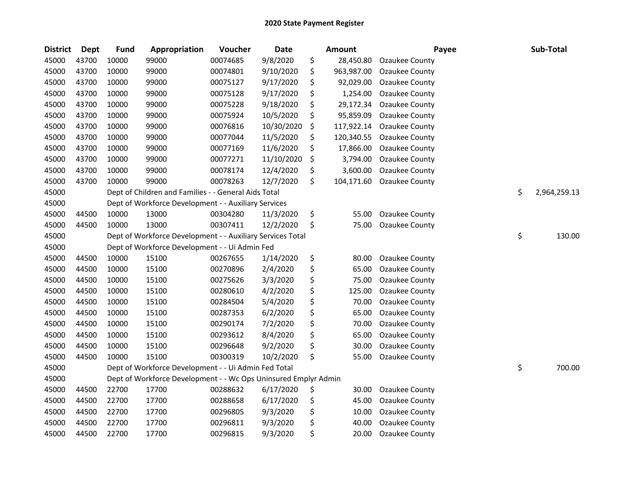| <b>District</b> | Dept  | <b>Fund</b> | Appropriation                                                   | Voucher  | <b>Date</b> | <b>Amount</b>    | Payee                 | Sub-Total          |
|-----------------|-------|-------------|-----------------------------------------------------------------|----------|-------------|------------------|-----------------------|--------------------|
| 45000           | 43700 | 10000       | 99000                                                           | 00074685 | 9/8/2020    | \$<br>28,450.80  | Ozaukee County        |                    |
| 45000           | 43700 | 10000       | 99000                                                           | 00074801 | 9/10/2020   | \$<br>963,987.00 | Ozaukee County        |                    |
| 45000           | 43700 | 10000       | 99000                                                           | 00075127 | 9/17/2020   | \$<br>92,029.00  | Ozaukee County        |                    |
| 45000           | 43700 | 10000       | 99000                                                           | 00075128 | 9/17/2020   | \$<br>1,254.00   | Ozaukee County        |                    |
| 45000           | 43700 | 10000       | 99000                                                           | 00075228 | 9/18/2020   | \$<br>29,172.34  | Ozaukee County        |                    |
| 45000           | 43700 | 10000       | 99000                                                           | 00075924 | 10/5/2020   | \$<br>95,859.09  | Ozaukee County        |                    |
| 45000           | 43700 | 10000       | 99000                                                           | 00076816 | 10/30/2020  | \$<br>117,922.14 | Ozaukee County        |                    |
| 45000           | 43700 | 10000       | 99000                                                           | 00077044 | 11/5/2020   | \$<br>120,340.55 | <b>Ozaukee County</b> |                    |
| 45000           | 43700 | 10000       | 99000                                                           | 00077169 | 11/6/2020   | \$<br>17,866.00  | Ozaukee County        |                    |
| 45000           | 43700 | 10000       | 99000                                                           | 00077271 | 11/10/2020  | \$<br>3,794.00   | Ozaukee County        |                    |
| 45000           | 43700 | 10000       | 99000                                                           | 00078174 | 12/4/2020   | \$<br>3,600.00   | Ozaukee County        |                    |
| 45000           | 43700 | 10000       | 99000                                                           | 00078263 | 12/7/2020   | \$<br>104,171.60 | Ozaukee County        |                    |
| 45000           |       |             | Dept of Children and Families - - General Aids Total            |          |             |                  |                       | \$<br>2,964,259.13 |
| 45000           |       |             | Dept of Workforce Development - - Auxiliary Services            |          |             |                  |                       |                    |
| 45000           | 44500 | 10000       | 13000                                                           | 00304280 | 11/3/2020   | \$<br>55.00      | Ozaukee County        |                    |
| 45000           | 44500 | 10000       | 13000                                                           | 00307411 | 12/2/2020   | \$<br>75.00      | Ozaukee County        |                    |
| 45000           |       |             | Dept of Workforce Development - - Auxiliary Services Total      |          |             |                  |                       | \$<br>130.00       |
| 45000           |       |             | Dept of Workforce Development - - Ui Admin Fed                  |          |             |                  |                       |                    |
| 45000           | 44500 | 10000       | 15100                                                           | 00267655 | 1/14/2020   | \$<br>80.00      | Ozaukee County        |                    |
| 45000           | 44500 | 10000       | 15100                                                           | 00270896 | 2/4/2020    | \$<br>65.00      | Ozaukee County        |                    |
| 45000           | 44500 | 10000       | 15100                                                           | 00275626 | 3/3/2020    | \$<br>75.00      | Ozaukee County        |                    |
| 45000           | 44500 | 10000       | 15100                                                           | 00280610 | 4/2/2020    | \$<br>125.00     | Ozaukee County        |                    |
| 45000           | 44500 | 10000       | 15100                                                           | 00284504 | 5/4/2020    | \$<br>70.00      | Ozaukee County        |                    |
| 45000           | 44500 | 10000       | 15100                                                           | 00287353 | 6/2/2020    | \$<br>65.00      | Ozaukee County        |                    |
| 45000           | 44500 | 10000       | 15100                                                           | 00290174 | 7/2/2020    | \$<br>70.00      | Ozaukee County        |                    |
| 45000           | 44500 | 10000       | 15100                                                           | 00293612 | 8/4/2020    | \$<br>65.00      | Ozaukee County        |                    |
| 45000           | 44500 | 10000       | 15100                                                           | 00296648 | 9/2/2020    | \$<br>30.00      | Ozaukee County        |                    |
| 45000           | 44500 | 10000       | 15100                                                           | 00300319 | 10/2/2020   | \$<br>55.00      | Ozaukee County        |                    |
| 45000           |       |             | Dept of Workforce Development - - Ui Admin Fed Total            |          |             |                  |                       | \$<br>700.00       |
| 45000           |       |             | Dept of Workforce Development - - Wc Ops Uninsured Emplyr Admin |          |             |                  |                       |                    |
| 45000           | 44500 | 22700       | 17700                                                           | 00288632 | 6/17/2020   | \$<br>30.00      | Ozaukee County        |                    |
| 45000           | 44500 | 22700       | 17700                                                           | 00288658 | 6/17/2020   | \$<br>45.00      | Ozaukee County        |                    |
| 45000           | 44500 | 22700       | 17700                                                           | 00296805 | 9/3/2020    | \$<br>10.00      | Ozaukee County        |                    |
| 45000           | 44500 | 22700       | 17700                                                           | 00296811 | 9/3/2020    | \$<br>40.00      | Ozaukee County        |                    |
| 45000           | 44500 | 22700       | 17700                                                           | 00296815 | 9/3/2020    | \$<br>20.00      | <b>Ozaukee County</b> |                    |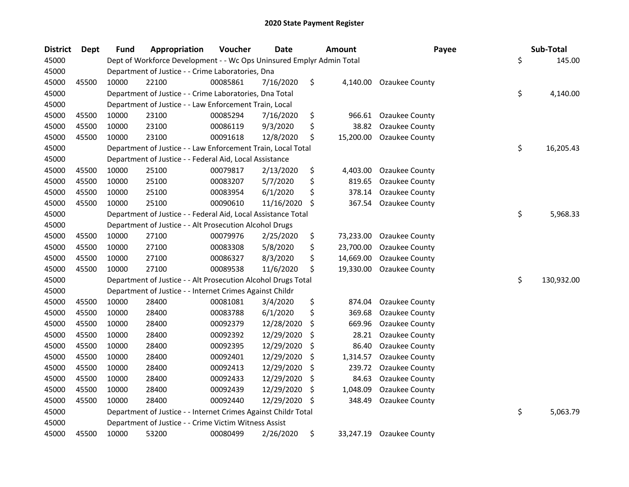| <b>District</b> | <b>Dept</b> | <b>Fund</b> | Appropriation                                                         | Voucher  | <b>Date</b> |     | <b>Amount</b> | Payee          | Sub-Total        |
|-----------------|-------------|-------------|-----------------------------------------------------------------------|----------|-------------|-----|---------------|----------------|------------------|
| 45000           |             |             | Dept of Workforce Development - - Wc Ops Uninsured Emplyr Admin Total |          |             |     |               |                | \$<br>145.00     |
| 45000           |             |             | Department of Justice - - Crime Laboratories, Dna                     |          |             |     |               |                |                  |
| 45000           | 45500       | 10000       | 22100                                                                 | 00085861 | 7/16/2020   | \$  | 4,140.00      | Ozaukee County |                  |
| 45000           |             |             | Department of Justice - - Crime Laboratories, Dna Total               |          |             |     |               |                | \$<br>4,140.00   |
| 45000           |             |             | Department of Justice - - Law Enforcement Train, Local                |          |             |     |               |                |                  |
| 45000           | 45500       | 10000       | 23100                                                                 | 00085294 | 7/16/2020   | \$  | 966.61        | Ozaukee County |                  |
| 45000           | 45500       | 10000       | 23100                                                                 | 00086119 | 9/3/2020    | \$  | 38.82         | Ozaukee County |                  |
| 45000           | 45500       | 10000       | 23100                                                                 | 00091618 | 12/8/2020   | \$  | 15,200.00     | Ozaukee County |                  |
| 45000           |             |             | Department of Justice - - Law Enforcement Train, Local Total          |          |             |     |               |                | \$<br>16,205.43  |
| 45000           |             |             | Department of Justice - - Federal Aid, Local Assistance               |          |             |     |               |                |                  |
| 45000           | 45500       | 10000       | 25100                                                                 | 00079817 | 2/13/2020   | \$  | 4,403.00      | Ozaukee County |                  |
| 45000           | 45500       | 10000       | 25100                                                                 | 00083207 | 5/7/2020    | \$  | 819.65        | Ozaukee County |                  |
| 45000           | 45500       | 10000       | 25100                                                                 | 00083954 | 6/1/2020    | \$  | 378.14        | Ozaukee County |                  |
| 45000           | 45500       | 10000       | 25100                                                                 | 00090610 | 11/16/2020  | \$  | 367.54        | Ozaukee County |                  |
| 45000           |             |             | Department of Justice - - Federal Aid, Local Assistance Total         |          |             |     |               |                | \$<br>5,968.33   |
| 45000           |             |             | Department of Justice - - Alt Prosecution Alcohol Drugs               |          |             |     |               |                |                  |
| 45000           | 45500       | 10000       | 27100                                                                 | 00079976 | 2/25/2020   | \$  | 73,233.00     | Ozaukee County |                  |
| 45000           | 45500       | 10000       | 27100                                                                 | 00083308 | 5/8/2020    | \$  | 23,700.00     | Ozaukee County |                  |
| 45000           | 45500       | 10000       | 27100                                                                 | 00086327 | 8/3/2020    | \$  | 14,669.00     | Ozaukee County |                  |
| 45000           | 45500       | 10000       | 27100                                                                 | 00089538 | 11/6/2020   | \$  | 19,330.00     | Ozaukee County |                  |
| 45000           |             |             | Department of Justice - - Alt Prosecution Alcohol Drugs Total         |          |             |     |               |                | \$<br>130,932.00 |
| 45000           |             |             | Department of Justice - - Internet Crimes Against Childr              |          |             |     |               |                |                  |
| 45000           | 45500       | 10000       | 28400                                                                 | 00081081 | 3/4/2020    | \$  | 874.04        | Ozaukee County |                  |
| 45000           | 45500       | 10000       | 28400                                                                 | 00083788 | 6/1/2020    | \$  | 369.68        | Ozaukee County |                  |
| 45000           | 45500       | 10000       | 28400                                                                 | 00092379 | 12/28/2020  | \$  | 669.96        | Ozaukee County |                  |
| 45000           | 45500       | 10000       | 28400                                                                 | 00092392 | 12/29/2020  | \$  | 28.21         | Ozaukee County |                  |
| 45000           | 45500       | 10000       | 28400                                                                 | 00092395 | 12/29/2020  | S   | 86.40         | Ozaukee County |                  |
| 45000           | 45500       | 10000       | 28400                                                                 | 00092401 | 12/29/2020  | \$  | 1,314.57      | Ozaukee County |                  |
| 45000           | 45500       | 10000       | 28400                                                                 | 00092413 | 12/29/2020  | \$  | 239.72        | Ozaukee County |                  |
| 45000           | 45500       | 10000       | 28400                                                                 | 00092433 | 12/29/2020  | \$, | 84.63         | Ozaukee County |                  |
| 45000           | 45500       | 10000       | 28400                                                                 | 00092439 | 12/29/2020  | \$  | 1,048.09      | Ozaukee County |                  |
| 45000           | 45500       | 10000       | 28400                                                                 | 00092440 | 12/29/2020  | \$  | 348.49        | Ozaukee County |                  |
| 45000           |             |             | Department of Justice - - Internet Crimes Against Childr Total        |          |             |     |               |                | \$<br>5,063.79   |
| 45000           |             |             | Department of Justice - - Crime Victim Witness Assist                 |          |             |     |               |                |                  |
| 45000           | 45500       | 10000       | 53200                                                                 | 00080499 | 2/26/2020   | \$  | 33,247.19     | Ozaukee County |                  |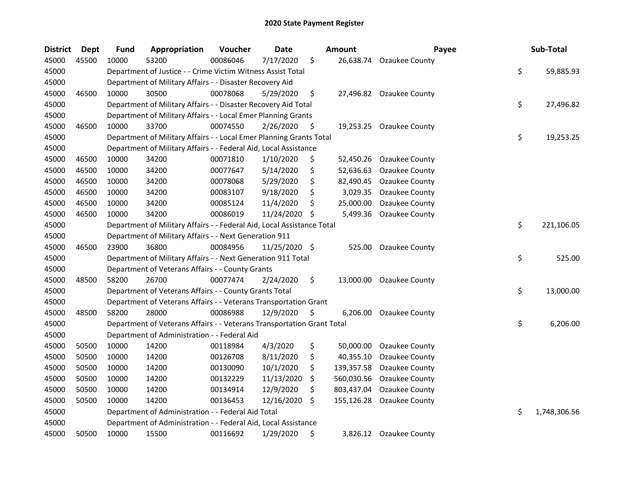| <b>District</b> | <b>Dept</b> | <b>Fund</b> | Appropriation                                                          | Voucher  | Date          | Amount           | Payee                    | Sub-Total          |
|-----------------|-------------|-------------|------------------------------------------------------------------------|----------|---------------|------------------|--------------------------|--------------------|
| 45000           | 45500       | 10000       | 53200                                                                  | 00086046 | 7/17/2020     | \$<br>26,638.74  | Ozaukee County           |                    |
| 45000           |             |             | Department of Justice - - Crime Victim Witness Assist Total            |          |               |                  |                          | \$<br>59,885.93    |
| 45000           |             |             | Department of Military Affairs - - Disaster Recovery Aid               |          |               |                  |                          |                    |
| 45000           | 46500       | 10000       | 30500                                                                  | 00078068 | 5/29/2020     | \$               | 27,496.82 Ozaukee County |                    |
| 45000           |             |             | Department of Military Affairs - - Disaster Recovery Aid Total         |          |               |                  |                          | \$<br>27,496.82    |
| 45000           |             |             | Department of Military Affairs - - Local Emer Planning Grants          |          |               |                  |                          |                    |
| 45000           | 46500       | 10000       | 33700                                                                  | 00074550 | 2/26/2020     | \$               | 19,253.25 Ozaukee County |                    |
| 45000           |             |             | Department of Military Affairs - - Local Emer Planning Grants Total    |          |               |                  |                          | \$<br>19,253.25    |
| 45000           |             |             | Department of Military Affairs - - Federal Aid, Local Assistance       |          |               |                  |                          |                    |
| 45000           | 46500       | 10000       | 34200                                                                  | 00071810 | 1/10/2020     | \$<br>52,450.26  | Ozaukee County           |                    |
| 45000           | 46500       | 10000       | 34200                                                                  | 00077647 | 5/14/2020     | \$<br>52,636.63  | Ozaukee County           |                    |
| 45000           | 46500       | 10000       | 34200                                                                  | 00078068 | 5/29/2020     | \$<br>82,490.45  | <b>Ozaukee County</b>    |                    |
| 45000           | 46500       | 10000       | 34200                                                                  | 00083107 | 9/18/2020     | \$<br>3,029.35   | <b>Ozaukee County</b>    |                    |
| 45000           | 46500       | 10000       | 34200                                                                  | 00085124 | 11/4/2020     | \$<br>25,000.00  | <b>Ozaukee County</b>    |                    |
| 45000           | 46500       | 10000       | 34200                                                                  | 00086019 | 11/24/2020    | \$<br>5,499.36   | Ozaukee County           |                    |
| 45000           |             |             | Department of Military Affairs - - Federal Aid, Local Assistance Total |          |               |                  |                          | \$<br>221,106.05   |
| 45000           |             |             | Department of Military Affairs - - Next Generation 911                 |          |               |                  |                          |                    |
| 45000           | 46500       | 23900       | 36800                                                                  | 00084956 | 11/25/2020 \$ | 525.00           | Ozaukee County           |                    |
| 45000           |             |             | Department of Military Affairs - - Next Generation 911 Total           |          |               |                  |                          | \$<br>525.00       |
| 45000           |             |             | Department of Veterans Affairs - - County Grants                       |          |               |                  |                          |                    |
| 45000           | 48500       | 58200       | 26700                                                                  | 00077474 | 2/24/2020     | \$<br>13,000.00  | Ozaukee County           |                    |
| 45000           |             |             | Department of Veterans Affairs - - County Grants Total                 |          |               |                  |                          | \$<br>13,000.00    |
| 45000           |             |             | Department of Veterans Affairs - - Veterans Transportation Grant       |          |               |                  |                          |                    |
| 45000           | 48500       | 58200       | 28000                                                                  | 00086988 | 12/9/2020     | \$<br>6,206.00   | Ozaukee County           |                    |
| 45000           |             |             | Department of Veterans Affairs - - Veterans Transportation Grant Total |          |               |                  |                          | \$<br>6,206.00     |
| 45000           |             |             | Department of Administration - - Federal Aid                           |          |               |                  |                          |                    |
| 45000           | 50500       | 10000       | 14200                                                                  | 00118984 | 4/3/2020      | \$<br>50,000.00  | Ozaukee County           |                    |
| 45000           | 50500       | 10000       | 14200                                                                  | 00126708 | 8/11/2020     | \$<br>40,355.10  | <b>Ozaukee County</b>    |                    |
| 45000           | 50500       | 10000       | 14200                                                                  | 00130090 | 10/1/2020     | \$<br>139,357.58 | Ozaukee County           |                    |
| 45000           | 50500       | 10000       | 14200                                                                  | 00132229 | 11/13/2020    | \$<br>560,030.56 | <b>Ozaukee County</b>    |                    |
| 45000           | 50500       | 10000       | 14200                                                                  | 00134914 | 12/9/2020     | \$<br>803,437.04 | Ozaukee County           |                    |
| 45000           | 50500       | 10000       | 14200                                                                  | 00136453 | 12/16/2020    | \$<br>155,126.28 | Ozaukee County           |                    |
| 45000           |             |             | Department of Administration - - Federal Aid Total                     |          |               |                  |                          | \$<br>1,748,306.56 |
| 45000           |             |             | Department of Administration - - Federal Aid, Local Assistance         |          |               |                  |                          |                    |
| 45000           | 50500       | 10000       | 15500                                                                  | 00116692 | 1/29/2020     | \$               | 3,826.12 Ozaukee County  |                    |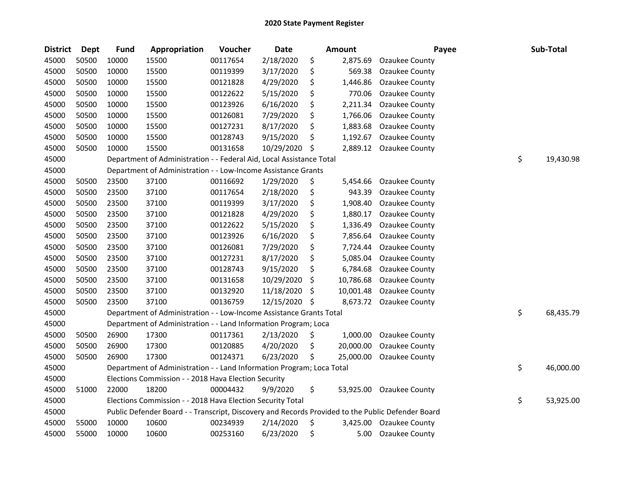| <b>District</b> | Dept  | <b>Fund</b> | Appropriation                                                                                     | Voucher  | Date       | <b>Amount</b>   | Payee                 |    | Sub-Total |
|-----------------|-------|-------------|---------------------------------------------------------------------------------------------------|----------|------------|-----------------|-----------------------|----|-----------|
| 45000           | 50500 | 10000       | 15500                                                                                             | 00117654 | 2/18/2020  | \$<br>2,875.69  | Ozaukee County        |    |           |
| 45000           | 50500 | 10000       | 15500                                                                                             | 00119399 | 3/17/2020  | \$<br>569.38    | Ozaukee County        |    |           |
| 45000           | 50500 | 10000       | 15500                                                                                             | 00121828 | 4/29/2020  | \$<br>1,446.86  | Ozaukee County        |    |           |
| 45000           | 50500 | 10000       | 15500                                                                                             | 00122622 | 5/15/2020  | \$<br>770.06    | Ozaukee County        |    |           |
| 45000           | 50500 | 10000       | 15500                                                                                             | 00123926 | 6/16/2020  | \$<br>2,211.34  | Ozaukee County        |    |           |
| 45000           | 50500 | 10000       | 15500                                                                                             | 00126081 | 7/29/2020  | \$<br>1,766.06  | Ozaukee County        |    |           |
| 45000           | 50500 | 10000       | 15500                                                                                             | 00127231 | 8/17/2020  | \$<br>1,883.68  | Ozaukee County        |    |           |
| 45000           | 50500 | 10000       | 15500                                                                                             | 00128743 | 9/15/2020  | \$<br>1,192.67  | Ozaukee County        |    |           |
| 45000           | 50500 | 10000       | 15500                                                                                             | 00131658 | 10/29/2020 | \$<br>2,889.12  | <b>Ozaukee County</b> |    |           |
| 45000           |       |             | Department of Administration - - Federal Aid, Local Assistance Total                              |          |            |                 |                       | \$ | 19,430.98 |
| 45000           |       |             | Department of Administration - - Low-Income Assistance Grants                                     |          |            |                 |                       |    |           |
| 45000           | 50500 | 23500       | 37100                                                                                             | 00116692 | 1/29/2020  | \$<br>5,454.66  | Ozaukee County        |    |           |
| 45000           | 50500 | 23500       | 37100                                                                                             | 00117654 | 2/18/2020  | \$<br>943.39    | Ozaukee County        |    |           |
| 45000           | 50500 | 23500       | 37100                                                                                             | 00119399 | 3/17/2020  | \$<br>1,908.40  | Ozaukee County        |    |           |
| 45000           | 50500 | 23500       | 37100                                                                                             | 00121828 | 4/29/2020  | \$<br>1,880.17  | Ozaukee County        |    |           |
| 45000           | 50500 | 23500       | 37100                                                                                             | 00122622 | 5/15/2020  | \$<br>1,336.49  | Ozaukee County        |    |           |
| 45000           | 50500 | 23500       | 37100                                                                                             | 00123926 | 6/16/2020  | \$<br>7,856.64  | Ozaukee County        |    |           |
| 45000           | 50500 | 23500       | 37100                                                                                             | 00126081 | 7/29/2020  | \$<br>7,724.44  | Ozaukee County        |    |           |
| 45000           | 50500 | 23500       | 37100                                                                                             | 00127231 | 8/17/2020  | \$<br>5,085.04  | Ozaukee County        |    |           |
| 45000           | 50500 | 23500       | 37100                                                                                             | 00128743 | 9/15/2020  | \$<br>6,784.68  | Ozaukee County        |    |           |
| 45000           | 50500 | 23500       | 37100                                                                                             | 00131658 | 10/29/2020 | \$<br>10,786.68 | Ozaukee County        |    |           |
| 45000           | 50500 | 23500       | 37100                                                                                             | 00132920 | 11/18/2020 | \$<br>10,001.48 | Ozaukee County        |    |           |
| 45000           | 50500 | 23500       | 37100                                                                                             | 00136759 | 12/15/2020 | \$<br>8,673.72  | Ozaukee County        |    |           |
| 45000           |       |             | Department of Administration - - Low-Income Assistance Grants Total                               |          |            |                 |                       | \$ | 68,435.79 |
| 45000           |       |             | Department of Administration - - Land Information Program; Loca                                   |          |            |                 |                       |    |           |
| 45000           | 50500 | 26900       | 17300                                                                                             | 00117361 | 2/13/2020  | \$<br>1,000.00  | Ozaukee County        |    |           |
| 45000           | 50500 | 26900       | 17300                                                                                             | 00120885 | 4/20/2020  | \$<br>20,000.00 | Ozaukee County        |    |           |
| 45000           | 50500 | 26900       | 17300                                                                                             | 00124371 | 6/23/2020  | \$<br>25,000.00 | Ozaukee County        |    |           |
| 45000           |       |             | Department of Administration - - Land Information Program; Loca Total                             |          |            |                 |                       | \$ | 46,000.00 |
| 45000           |       |             | Elections Commission - - 2018 Hava Election Security                                              |          |            |                 |                       |    |           |
| 45000           | 51000 | 22000       | 18200                                                                                             | 00004432 | 9/9/2020   | \$<br>53,925.00 | Ozaukee County        |    |           |
| 45000           |       |             | Elections Commission - - 2018 Hava Election Security Total                                        |          |            |                 |                       | \$ | 53,925.00 |
| 45000           |       |             | Public Defender Board - - Transcript, Discovery and Records Provided to the Public Defender Board |          |            |                 |                       |    |           |
| 45000           | 55000 | 10000       | 10600                                                                                             | 00234939 | 2/14/2020  | \$<br>3,425.00  | Ozaukee County        |    |           |
| 45000           | 55000 | 10000       | 10600                                                                                             | 00253160 | 6/23/2020  | \$<br>5.00      | <b>Ozaukee County</b> |    |           |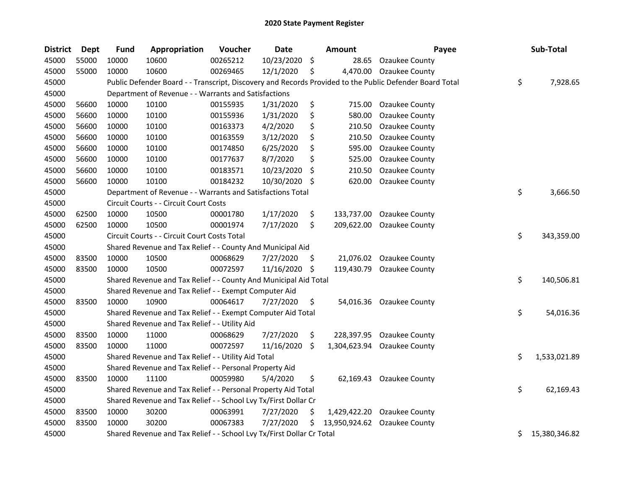| <b>District</b> | <b>Dept</b> | <b>Fund</b> | Appropriation                                                         | Voucher  | <b>Date</b> | <b>Amount</b>       | Payee                                                                                                   | Sub-Total           |
|-----------------|-------------|-------------|-----------------------------------------------------------------------|----------|-------------|---------------------|---------------------------------------------------------------------------------------------------------|---------------------|
| 45000           | 55000       | 10000       | 10600                                                                 | 00265212 | 10/23/2020  | \$<br>28.65         | Ozaukee County                                                                                          |                     |
| 45000           | 55000       | 10000       | 10600                                                                 | 00269465 | 12/1/2020   | \$<br>4,470.00      | Ozaukee County                                                                                          |                     |
| 45000           |             |             |                                                                       |          |             |                     | Public Defender Board - - Transcript, Discovery and Records Provided to the Public Defender Board Total | \$<br>7,928.65      |
| 45000           |             |             | Department of Revenue - - Warrants and Satisfactions                  |          |             |                     |                                                                                                         |                     |
| 45000           | 56600       | 10000       | 10100                                                                 | 00155935 | 1/31/2020   | \$<br>715.00        | Ozaukee County                                                                                          |                     |
| 45000           | 56600       | 10000       | 10100                                                                 | 00155936 | 1/31/2020   | \$<br>580.00        | Ozaukee County                                                                                          |                     |
| 45000           | 56600       | 10000       | 10100                                                                 | 00163373 | 4/2/2020    | \$<br>210.50        | Ozaukee County                                                                                          |                     |
| 45000           | 56600       | 10000       | 10100                                                                 | 00163559 | 3/12/2020   | \$<br>210.50        | Ozaukee County                                                                                          |                     |
| 45000           | 56600       | 10000       | 10100                                                                 | 00174850 | 6/25/2020   | \$<br>595.00        | Ozaukee County                                                                                          |                     |
| 45000           | 56600       | 10000       | 10100                                                                 | 00177637 | 8/7/2020    | \$<br>525.00        | Ozaukee County                                                                                          |                     |
| 45000           | 56600       | 10000       | 10100                                                                 | 00183571 | 10/23/2020  | \$<br>210.50        | Ozaukee County                                                                                          |                     |
| 45000           | 56600       | 10000       | 10100                                                                 | 00184232 | 10/30/2020  | \$<br>620.00        | Ozaukee County                                                                                          |                     |
| 45000           |             |             | Department of Revenue - - Warrants and Satisfactions Total            |          |             |                     |                                                                                                         | \$<br>3,666.50      |
| 45000           |             |             | Circuit Courts - - Circuit Court Costs                                |          |             |                     |                                                                                                         |                     |
| 45000           | 62500       | 10000       | 10500                                                                 | 00001780 | 1/17/2020   | \$<br>133,737.00    | Ozaukee County                                                                                          |                     |
| 45000           | 62500       | 10000       | 10500                                                                 | 00001974 | 7/17/2020   | \$<br>209,622.00    | Ozaukee County                                                                                          |                     |
| 45000           |             |             | Circuit Courts - - Circuit Court Costs Total                          |          |             |                     |                                                                                                         | \$<br>343,359.00    |
| 45000           |             |             | Shared Revenue and Tax Relief - - County And Municipal Aid            |          |             |                     |                                                                                                         |                     |
| 45000           | 83500       | 10000       | 10500                                                                 | 00068629 | 7/27/2020   | \$<br>21,076.02     | <b>Ozaukee County</b>                                                                                   |                     |
| 45000           | 83500       | 10000       | 10500                                                                 | 00072597 | 11/16/2020  | \$<br>119,430.79    | Ozaukee County                                                                                          |                     |
| 45000           |             |             | Shared Revenue and Tax Relief - - County And Municipal Aid Total      |          |             |                     |                                                                                                         | \$<br>140,506.81    |
| 45000           |             |             | Shared Revenue and Tax Relief - - Exempt Computer Aid                 |          |             |                     |                                                                                                         |                     |
| 45000           | 83500       | 10000       | 10900                                                                 | 00064617 | 7/27/2020   | \$<br>54,016.36     | Ozaukee County                                                                                          |                     |
| 45000           |             |             | Shared Revenue and Tax Relief - - Exempt Computer Aid Total           |          |             |                     |                                                                                                         | \$<br>54,016.36     |
| 45000           |             |             | Shared Revenue and Tax Relief - - Utility Aid                         |          |             |                     |                                                                                                         |                     |
| 45000           | 83500       | 10000       | 11000                                                                 | 00068629 | 7/27/2020   | \$<br>228,397.95    | Ozaukee County                                                                                          |                     |
| 45000           | 83500       | 10000       | 11000                                                                 | 00072597 | 11/16/2020  | \$<br>1,304,623.94  | Ozaukee County                                                                                          |                     |
| 45000           |             |             | Shared Revenue and Tax Relief - - Utility Aid Total                   |          |             |                     |                                                                                                         | \$<br>1,533,021.89  |
| 45000           |             |             | Shared Revenue and Tax Relief - - Personal Property Aid               |          |             |                     |                                                                                                         |                     |
| 45000           | 83500       | 10000       | 11100                                                                 | 00059980 | 5/4/2020    | \$                  | 62,169.43 Ozaukee County                                                                                |                     |
| 45000           |             |             | Shared Revenue and Tax Relief - - Personal Property Aid Total         |          |             |                     |                                                                                                         | \$<br>62,169.43     |
| 45000           |             |             | Shared Revenue and Tax Relief - - School Lvy Tx/First Dollar Cr       |          |             |                     |                                                                                                         |                     |
| 45000           | 83500       | 10000       | 30200                                                                 | 00063991 | 7/27/2020   | \$<br>1,429,422.20  | Ozaukee County                                                                                          |                     |
| 45000           | 83500       | 10000       | 30200                                                                 | 00067383 | 7/27/2020   | \$<br>13,950,924.62 | Ozaukee County                                                                                          |                     |
| 45000           |             |             | Shared Revenue and Tax Relief - - School Lvy Tx/First Dollar Cr Total |          |             |                     |                                                                                                         | \$<br>15,380,346.82 |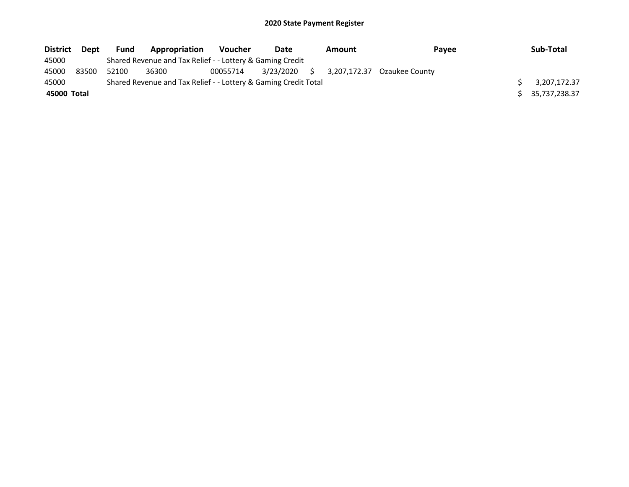| <b>District</b> | Dept  | <b>Fund</b> | Appropriation                                                   | <b>Voucher</b> | Date      |    | <b>Amount</b> | Pavee                       | Sub-Total     |
|-----------------|-------|-------------|-----------------------------------------------------------------|----------------|-----------|----|---------------|-----------------------------|---------------|
| 45000           |       |             | Shared Revenue and Tax Relief - - Lottery & Gaming Credit       |                |           |    |               |                             |               |
| 45000           | 83500 | 52100       | 36300                                                           | 00055714       | 3/23/2020 | S. |               | 3.207.172.37 Ozaukee County |               |
| 45000           |       |             | Shared Revenue and Tax Relief - - Lottery & Gaming Credit Total |                |           |    |               |                             | 3,207,172.37  |
| 45000 Total     |       |             |                                                                 |                |           |    |               |                             | 35,737,238.37 |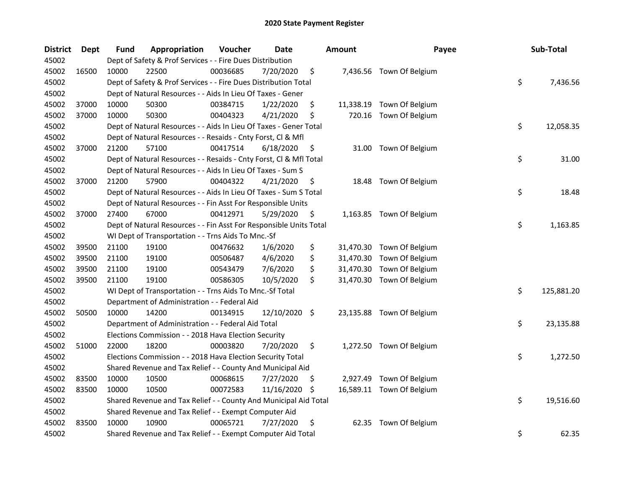| <b>District</b> | Dept  | Fund  | Appropriation                                                      | Voucher  | <b>Date</b>   |     | <b>Amount</b> | Payee                     | Sub-Total        |
|-----------------|-------|-------|--------------------------------------------------------------------|----------|---------------|-----|---------------|---------------------------|------------------|
| 45002           |       |       | Dept of Safety & Prof Services - - Fire Dues Distribution          |          |               |     |               |                           |                  |
| 45002           | 16500 | 10000 | 22500                                                              | 00036685 | 7/20/2020     | \$  |               | 7,436.56 Town Of Belgium  |                  |
| 45002           |       |       | Dept of Safety & Prof Services - - Fire Dues Distribution Total    |          |               |     |               |                           | \$<br>7,436.56   |
| 45002           |       |       | Dept of Natural Resources - - Aids In Lieu Of Taxes - Gener        |          |               |     |               |                           |                  |
| 45002           | 37000 | 10000 | 50300                                                              | 00384715 | 1/22/2020     | \$  |               | 11,338.19 Town Of Belgium |                  |
| 45002           | 37000 | 10000 | 50300                                                              | 00404323 | 4/21/2020     | \$  | 720.16        | Town Of Belgium           |                  |
| 45002           |       |       | Dept of Natural Resources - - Aids In Lieu Of Taxes - Gener Total  |          |               |     |               |                           | \$<br>12,058.35  |
| 45002           |       |       | Dept of Natural Resources - - Resaids - Cnty Forst, Cl & Mfl       |          |               |     |               |                           |                  |
| 45002           | 37000 | 21200 | 57100                                                              | 00417514 | 6/18/2020     | \$  |               | 31.00 Town Of Belgium     |                  |
| 45002           |       |       | Dept of Natural Resources - - Resaids - Cnty Forst, Cl & Mfl Total |          |               |     |               |                           | \$<br>31.00      |
| 45002           |       |       | Dept of Natural Resources - - Aids In Lieu Of Taxes - Sum S        |          |               |     |               |                           |                  |
| 45002           | 37000 | 21200 | 57900                                                              | 00404322 | 4/21/2020     | \$  |               | 18.48 Town Of Belgium     |                  |
| 45002           |       |       | Dept of Natural Resources - - Aids In Lieu Of Taxes - Sum S Total  |          |               |     |               |                           | \$<br>18.48      |
| 45002           |       |       | Dept of Natural Resources - - Fin Asst For Responsible Units       |          |               |     |               |                           |                  |
| 45002           | 37000 | 27400 | 67000                                                              | 00412971 | 5/29/2020     | \$  |               | 1,163.85 Town Of Belgium  |                  |
| 45002           |       |       | Dept of Natural Resources - - Fin Asst For Responsible Units Total |          |               |     |               |                           | \$<br>1,163.85   |
| 45002           |       |       | WI Dept of Transportation - - Trns Aids To Mnc.-Sf                 |          |               |     |               |                           |                  |
| 45002           | 39500 | 21100 | 19100                                                              | 00476632 | 1/6/2020      | \$  |               | 31,470.30 Town Of Belgium |                  |
| 45002           | 39500 | 21100 | 19100                                                              | 00506487 | 4/6/2020      | \$  |               | 31,470.30 Town Of Belgium |                  |
| 45002           | 39500 | 21100 | 19100                                                              | 00543479 | 7/6/2020      | \$  |               | 31,470.30 Town Of Belgium |                  |
| 45002           | 39500 | 21100 | 19100                                                              | 00586305 | 10/5/2020     | \$  |               | 31,470.30 Town Of Belgium |                  |
| 45002           |       |       | WI Dept of Transportation - - Trns Aids To Mnc.-Sf Total           |          |               |     |               |                           | \$<br>125,881.20 |
| 45002           |       |       | Department of Administration - - Federal Aid                       |          |               |     |               |                           |                  |
| 45002           | 50500 | 10000 | 14200                                                              | 00134915 | 12/10/2020 \$ |     |               | 23,135.88 Town Of Belgium |                  |
| 45002           |       |       | Department of Administration - - Federal Aid Total                 |          |               |     |               |                           | \$<br>23,135.88  |
| 45002           |       |       | Elections Commission - - 2018 Hava Election Security               |          |               |     |               |                           |                  |
| 45002           | 51000 | 22000 | 18200                                                              | 00003820 | 7/20/2020     | \$  |               | 1,272.50 Town Of Belgium  |                  |
| 45002           |       |       | Elections Commission - - 2018 Hava Election Security Total         |          |               |     |               |                           | \$<br>1,272.50   |
| 45002           |       |       | Shared Revenue and Tax Relief - - County And Municipal Aid         |          |               |     |               |                           |                  |
| 45002           | 83500 | 10000 | 10500                                                              | 00068615 | 7/27/2020     | \$  |               | 2,927.49 Town Of Belgium  |                  |
| 45002           | 83500 | 10000 | 10500                                                              | 00072583 | 11/16/2020    | -\$ |               | 16,589.11 Town Of Belgium |                  |
| 45002           |       |       | Shared Revenue and Tax Relief - - County And Municipal Aid Total   |          |               |     |               |                           | \$<br>19,516.60  |
| 45002           |       |       | Shared Revenue and Tax Relief - - Exempt Computer Aid              |          |               |     |               |                           |                  |
| 45002           | 83500 | 10000 | 10900                                                              | 00065721 | 7/27/2020     | \$  | 62.35         | Town Of Belgium           |                  |
| 45002           |       |       | Shared Revenue and Tax Relief - - Exempt Computer Aid Total        |          |               |     |               |                           | \$<br>62.35      |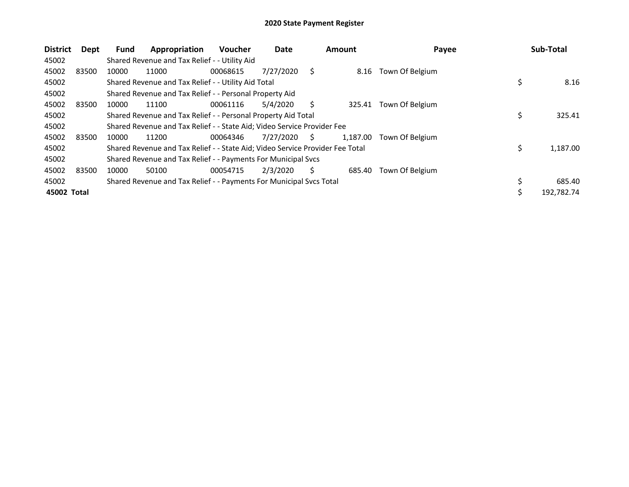| <b>District</b> | Dept  | <b>Fund</b> | Appropriation                                                                 | <b>Voucher</b> | Date      |    | <b>Amount</b> | Payee           | Sub-Total      |
|-----------------|-------|-------------|-------------------------------------------------------------------------------|----------------|-----------|----|---------------|-----------------|----------------|
| 45002           |       |             | Shared Revenue and Tax Relief - - Utility Aid                                 |                |           |    |               |                 |                |
| 45002           | 83500 | 10000       | 11000                                                                         | 00068615       | 7/27/2020 | S  | 8.16          | Town Of Belgium |                |
| 45002           |       |             | Shared Revenue and Tax Relief - - Utility Aid Total                           |                |           |    |               |                 | 8.16           |
| 45002           |       |             | Shared Revenue and Tax Relief - - Personal Property Aid                       |                |           |    |               |                 |                |
| 45002           | 83500 | 10000       | 11100                                                                         | 00061116       | 5/4/2020  | Ś  | 325.41        | Town Of Belgium |                |
| 45002           |       |             | Shared Revenue and Tax Relief - - Personal Property Aid Total                 |                |           |    |               |                 | \$<br>325.41   |
| 45002           |       |             | Shared Revenue and Tax Relief - - State Aid; Video Service Provider Fee       |                |           |    |               |                 |                |
| 45002           | 83500 | 10000       | 11200                                                                         | 00064346       | 7/27/2020 | S. | 1.187.00      | Town Of Belgium |                |
| 45002           |       |             | Shared Revenue and Tax Relief - - State Aid; Video Service Provider Fee Total |                |           |    |               |                 | \$<br>1,187.00 |
| 45002           |       |             | Shared Revenue and Tax Relief - - Payments For Municipal Svcs                 |                |           |    |               |                 |                |
| 45002           | 83500 | 10000       | 50100                                                                         | 00054715       | 2/3/2020  | S  | 685.40        | Town Of Belgium |                |
| 45002           |       |             | Shared Revenue and Tax Relief - - Payments For Municipal Svcs Total           |                |           |    |               |                 | 685.40         |
| 45002 Total     |       |             |                                                                               |                |           |    |               |                 | 192,782.74     |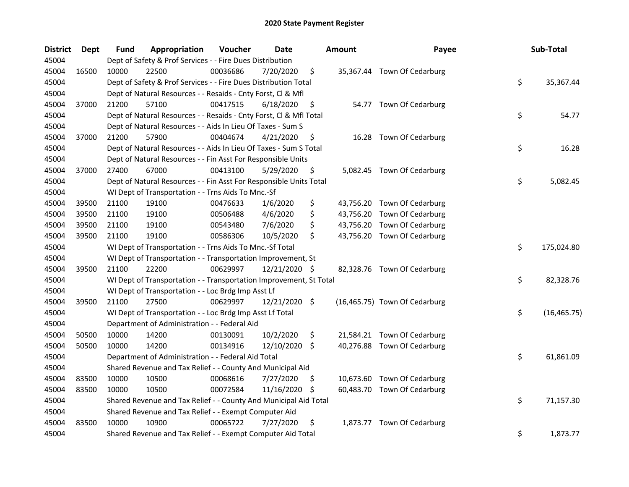| <b>District</b> | Dept  | Fund  | Appropriation                                                      | Voucher  | <b>Date</b>   |     | <b>Amount</b> | Payee                         | Sub-Total          |
|-----------------|-------|-------|--------------------------------------------------------------------|----------|---------------|-----|---------------|-------------------------------|--------------------|
| 45004           |       |       | Dept of Safety & Prof Services - - Fire Dues Distribution          |          |               |     |               |                               |                    |
| 45004           | 16500 | 10000 | 22500                                                              | 00036686 | 7/20/2020     | \$  |               | 35,367.44 Town Of Cedarburg   |                    |
| 45004           |       |       | Dept of Safety & Prof Services - - Fire Dues Distribution Total    |          |               |     |               |                               | \$<br>35,367.44    |
| 45004           |       |       | Dept of Natural Resources - - Resaids - Cnty Forst, Cl & Mfl       |          |               |     |               |                               |                    |
| 45004           | 37000 | 21200 | 57100                                                              | 00417515 | 6/18/2020     | \$  |               | 54.77 Town Of Cedarburg       |                    |
| 45004           |       |       | Dept of Natural Resources - - Resaids - Cnty Forst, CI & Mfl Total |          |               |     |               |                               | \$<br>54.77        |
| 45004           |       |       | Dept of Natural Resources - - Aids In Lieu Of Taxes - Sum S        |          |               |     |               |                               |                    |
| 45004           | 37000 | 21200 | 57900                                                              | 00404674 | 4/21/2020     | \$  |               | 16.28 Town Of Cedarburg       |                    |
| 45004           |       |       | Dept of Natural Resources - - Aids In Lieu Of Taxes - Sum S Total  |          |               |     |               |                               | \$<br>16.28        |
| 45004           |       |       | Dept of Natural Resources - - Fin Asst For Responsible Units       |          |               |     |               |                               |                    |
| 45004           | 37000 | 27400 | 67000                                                              | 00413100 | 5/29/2020     | \$  |               | 5,082.45 Town Of Cedarburg    |                    |
| 45004           |       |       | Dept of Natural Resources - - Fin Asst For Responsible Units Total |          |               |     |               |                               | \$<br>5,082.45     |
| 45004           |       |       | WI Dept of Transportation - - Trns Aids To Mnc.-Sf                 |          |               |     |               |                               |                    |
| 45004           | 39500 | 21100 | 19100                                                              | 00476633 | 1/6/2020      | \$  |               | 43,756.20 Town Of Cedarburg   |                    |
| 45004           | 39500 | 21100 | 19100                                                              | 00506488 | 4/6/2020      | \$  |               | 43,756.20 Town Of Cedarburg   |                    |
| 45004           | 39500 | 21100 | 19100                                                              | 00543480 | 7/6/2020      | \$  |               | 43,756.20 Town Of Cedarburg   |                    |
| 45004           | 39500 | 21100 | 19100                                                              | 00586306 | 10/5/2020     | Ŝ.  |               | 43,756.20 Town Of Cedarburg   |                    |
| 45004           |       |       | WI Dept of Transportation - - Trns Aids To Mnc.-Sf Total           |          |               |     |               |                               | \$<br>175,024.80   |
| 45004           |       |       | WI Dept of Transportation - - Transportation Improvement, St       |          |               |     |               |                               |                    |
| 45004           | 39500 | 21100 | 22200                                                              | 00629997 | 12/21/2020 \$ |     |               | 82,328.76 Town Of Cedarburg   |                    |
| 45004           |       |       | WI Dept of Transportation - - Transportation Improvement, St Total |          |               |     |               |                               | \$<br>82,328.76    |
| 45004           |       |       | WI Dept of Transportation - - Loc Brdg Imp Asst Lf                 |          |               |     |               |                               |                    |
| 45004           | 39500 | 21100 | 27500                                                              | 00629997 | 12/21/2020 \$ |     |               | (16,465.75) Town Of Cedarburg |                    |
| 45004           |       |       | WI Dept of Transportation - - Loc Brdg Imp Asst Lf Total           |          |               |     |               |                               | \$<br>(16, 465.75) |
| 45004           |       |       | Department of Administration - - Federal Aid                       |          |               |     |               |                               |                    |
| 45004           | 50500 | 10000 | 14200                                                              | 00130091 | 10/2/2020     | \$  |               | 21,584.21 Town Of Cedarburg   |                    |
| 45004           | 50500 | 10000 | 14200                                                              | 00134916 | 12/10/2020 \$ |     |               | 40,276.88 Town Of Cedarburg   |                    |
| 45004           |       |       | Department of Administration - - Federal Aid Total                 |          |               |     |               |                               | \$<br>61,861.09    |
| 45004           |       |       | Shared Revenue and Tax Relief - - County And Municipal Aid         |          |               |     |               |                               |                    |
| 45004           | 83500 | 10000 | 10500                                                              | 00068616 | 7/27/2020     | \$. |               | 10,673.60 Town Of Cedarburg   |                    |
| 45004           | 83500 | 10000 | 10500                                                              | 00072584 | 11/16/2020    | -\$ |               | 60,483.70 Town Of Cedarburg   |                    |
| 45004           |       |       | Shared Revenue and Tax Relief - - County And Municipal Aid Total   |          |               |     |               |                               | \$<br>71,157.30    |
| 45004           |       |       | Shared Revenue and Tax Relief - - Exempt Computer Aid              |          |               |     |               |                               |                    |
| 45004           | 83500 | 10000 | 10900                                                              | 00065722 | 7/27/2020     | \$  | 1,873.77      | Town Of Cedarburg             |                    |
| 45004           |       |       | Shared Revenue and Tax Relief - - Exempt Computer Aid Total        |          |               |     |               |                               | \$<br>1,873.77     |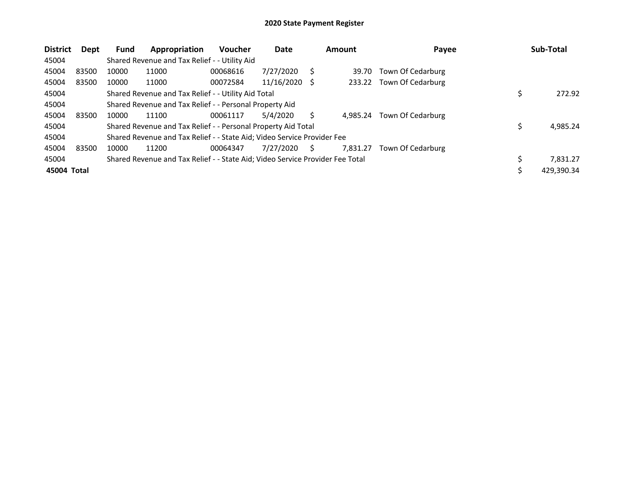| <b>District</b> | Dept  | Fund  | Appropriation                                                                 | <b>Voucher</b> | Date       |     | <b>Amount</b> | Payee             | Sub-Total      |
|-----------------|-------|-------|-------------------------------------------------------------------------------|----------------|------------|-----|---------------|-------------------|----------------|
| 45004           |       |       | Shared Revenue and Tax Relief - - Utility Aid                                 |                |            |     |               |                   |                |
| 45004           | 83500 | 10000 | 11000                                                                         | 00068616       | 7/27/2020  | S   | 39.70         | Town Of Cedarburg |                |
| 45004           | 83500 | 10000 | 11000                                                                         | 00072584       | 11/16/2020 | - S | 233.22        | Town Of Cedarburg |                |
| 45004           |       |       | Shared Revenue and Tax Relief - - Utility Aid Total                           |                |            |     |               |                   | 272.92         |
| 45004           |       |       | Shared Revenue and Tax Relief - - Personal Property Aid                       |                |            |     |               |                   |                |
| 45004           | 83500 | 10000 | 11100                                                                         | 00061117       | 5/4/2020   | S   | 4.985.24      | Town Of Cedarburg |                |
| 45004           |       |       | Shared Revenue and Tax Relief - - Personal Property Aid Total                 |                |            |     |               |                   | 4,985.24       |
| 45004           |       |       | Shared Revenue and Tax Relief - - State Aid; Video Service Provider Fee       |                |            |     |               |                   |                |
| 45004           | 83500 | 10000 | 11200                                                                         | 00064347       | 7/27/2020  | S   | 7.831.27      | Town Of Cedarburg |                |
| 45004           |       |       | Shared Revenue and Tax Relief - - State Aid; Video Service Provider Fee Total |                |            |     |               |                   | \$<br>7.831.27 |
| 45004 Total     |       |       |                                                                               |                |            |     |               |                   | 429.390.34     |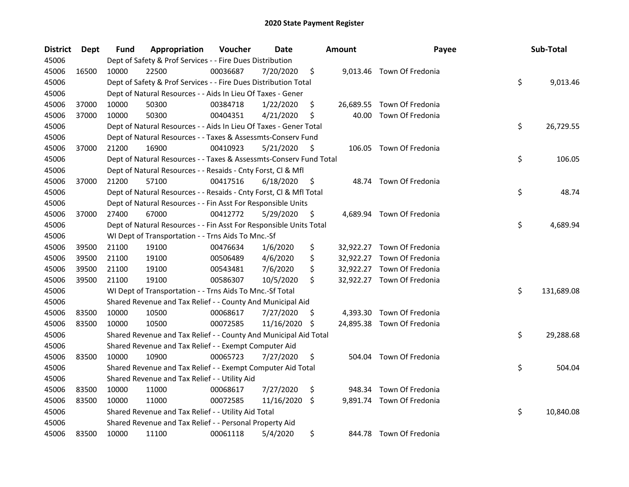| <b>District</b> | Dept  | Fund  | Appropriation                                                      | Voucher  | Date       |     | <b>Amount</b> | Payee                      | Sub-Total        |
|-----------------|-------|-------|--------------------------------------------------------------------|----------|------------|-----|---------------|----------------------------|------------------|
| 45006           |       |       | Dept of Safety & Prof Services - - Fire Dues Distribution          |          |            |     |               |                            |                  |
| 45006           | 16500 | 10000 | 22500                                                              | 00036687 | 7/20/2020  | \$  |               | 9,013.46 Town Of Fredonia  |                  |
| 45006           |       |       | Dept of Safety & Prof Services - - Fire Dues Distribution Total    |          |            |     |               |                            | \$<br>9,013.46   |
| 45006           |       |       | Dept of Natural Resources - - Aids In Lieu Of Taxes - Gener        |          |            |     |               |                            |                  |
| 45006           | 37000 | 10000 | 50300                                                              | 00384718 | 1/22/2020  | \$  |               | 26,689.55 Town Of Fredonia |                  |
| 45006           | 37000 | 10000 | 50300                                                              | 00404351 | 4/21/2020  | \$  | 40.00         | Town Of Fredonia           |                  |
| 45006           |       |       | Dept of Natural Resources - - Aids In Lieu Of Taxes - Gener Total  |          |            |     |               |                            | \$<br>26,729.55  |
| 45006           |       |       | Dept of Natural Resources - - Taxes & Assessmts-Conserv Fund       |          |            |     |               |                            |                  |
| 45006           | 37000 | 21200 | 16900                                                              | 00410923 | 5/21/2020  | \$. |               | 106.05 Town Of Fredonia    |                  |
| 45006           |       |       | Dept of Natural Resources - - Taxes & Assessmts-Conserv Fund Total |          |            |     |               |                            | \$<br>106.05     |
| 45006           |       |       | Dept of Natural Resources - - Resaids - Cnty Forst, Cl & Mfl       |          |            |     |               |                            |                  |
| 45006           | 37000 | 21200 | 57100                                                              | 00417516 | 6/18/2020  | \$. | 48.74         | Town Of Fredonia           |                  |
| 45006           |       |       | Dept of Natural Resources - - Resaids - Cnty Forst, Cl & Mfl Total |          |            |     |               |                            | \$<br>48.74      |
| 45006           |       |       | Dept of Natural Resources - - Fin Asst For Responsible Units       |          |            |     |               |                            |                  |
| 45006           | 37000 | 27400 | 67000                                                              | 00412772 | 5/29/2020  | \$  |               | 4,689.94 Town Of Fredonia  |                  |
| 45006           |       |       | Dept of Natural Resources - - Fin Asst For Responsible Units Total |          |            |     |               |                            | \$<br>4,689.94   |
| 45006           |       |       | WI Dept of Transportation - - Trns Aids To Mnc.-Sf                 |          |            |     |               |                            |                  |
| 45006           | 39500 | 21100 | 19100                                                              | 00476634 | 1/6/2020   | \$  |               | 32,922.27 Town Of Fredonia |                  |
| 45006           | 39500 | 21100 | 19100                                                              | 00506489 | 4/6/2020   | \$  |               | 32,922.27 Town Of Fredonia |                  |
| 45006           | 39500 | 21100 | 19100                                                              | 00543481 | 7/6/2020   | \$  |               | 32,922.27 Town Of Fredonia |                  |
| 45006           | 39500 | 21100 | 19100                                                              | 00586307 | 10/5/2020  | \$  |               | 32,922.27 Town Of Fredonia |                  |
| 45006           |       |       | WI Dept of Transportation - - Trns Aids To Mnc.-Sf Total           |          |            |     |               |                            | \$<br>131,689.08 |
| 45006           |       |       | Shared Revenue and Tax Relief - - County And Municipal Aid         |          |            |     |               |                            |                  |
| 45006           | 83500 | 10000 | 10500                                                              | 00068617 | 7/27/2020  | \$. | 4,393.30      | Town Of Fredonia           |                  |
| 45006           | 83500 | 10000 | 10500                                                              | 00072585 | 11/16/2020 | \$  |               | 24,895.38 Town Of Fredonia |                  |
| 45006           |       |       | Shared Revenue and Tax Relief - - County And Municipal Aid Total   |          |            |     |               |                            | \$<br>29,288.68  |
| 45006           |       |       | Shared Revenue and Tax Relief - - Exempt Computer Aid              |          |            |     |               |                            |                  |
| 45006           | 83500 | 10000 | 10900                                                              | 00065723 | 7/27/2020  | \$  |               | 504.04 Town Of Fredonia    |                  |
| 45006           |       |       | Shared Revenue and Tax Relief - - Exempt Computer Aid Total        |          |            |     |               |                            | \$<br>504.04     |
| 45006           |       |       | Shared Revenue and Tax Relief - - Utility Aid                      |          |            |     |               |                            |                  |
| 45006           | 83500 | 10000 | 11000                                                              | 00068617 | 7/27/2020  | \$  | 948.34        | Town Of Fredonia           |                  |
| 45006           | 83500 | 10000 | 11000                                                              | 00072585 | 11/16/2020 | \$  |               | 9,891.74 Town Of Fredonia  |                  |
| 45006           |       |       | Shared Revenue and Tax Relief - - Utility Aid Total                |          |            |     |               |                            | \$<br>10,840.08  |
| 45006           |       |       | Shared Revenue and Tax Relief - - Personal Property Aid            |          |            |     |               |                            |                  |
| 45006           | 83500 | 10000 | 11100                                                              | 00061118 | 5/4/2020   | \$  |               | 844.78 Town Of Fredonia    |                  |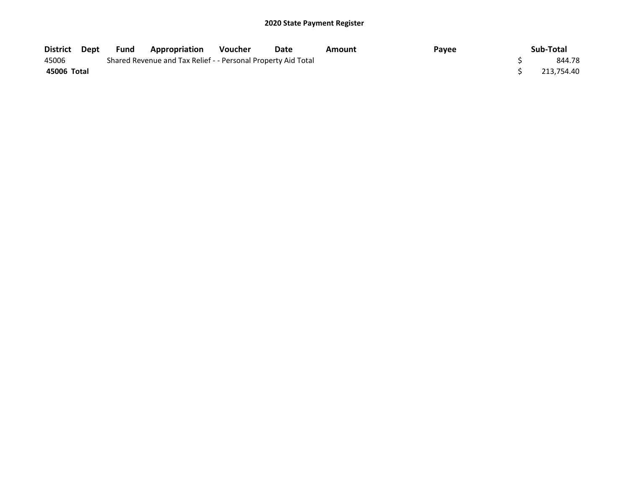| District    | Dept | Fund | Appropriation                                                 | <b>Voucher</b> | Date | Amount | Payee | Sub-Total  |
|-------------|------|------|---------------------------------------------------------------|----------------|------|--------|-------|------------|
| 45006       |      |      | Shared Revenue and Tax Relief - - Personal Property Aid Total |                |      |        |       | 844.78     |
| 45006 Total |      |      |                                                               |                |      |        |       | 213.754.40 |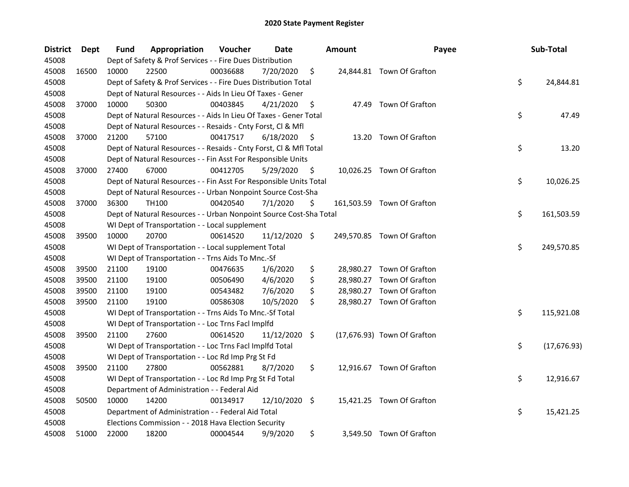| <b>District</b> | Dept  | Fund  | Appropriation                                                      | Voucher  | <b>Date</b> |                    | <b>Amount</b> | Payee                       | Sub-Total          |
|-----------------|-------|-------|--------------------------------------------------------------------|----------|-------------|--------------------|---------------|-----------------------------|--------------------|
| 45008           |       |       | Dept of Safety & Prof Services - - Fire Dues Distribution          |          |             |                    |               |                             |                    |
| 45008           | 16500 | 10000 | 22500                                                              | 00036688 | 7/20/2020   | \$                 |               | 24,844.81 Town Of Grafton   |                    |
| 45008           |       |       | Dept of Safety & Prof Services - - Fire Dues Distribution Total    |          |             |                    |               |                             | \$<br>24,844.81    |
| 45008           |       |       | Dept of Natural Resources - - Aids In Lieu Of Taxes - Gener        |          |             |                    |               |                             |                    |
| 45008           | 37000 | 10000 | 50300                                                              | 00403845 | 4/21/2020   | \$                 |               | 47.49 Town Of Grafton       |                    |
| 45008           |       |       | Dept of Natural Resources - - Aids In Lieu Of Taxes - Gener Total  |          |             |                    |               |                             | \$<br>47.49        |
| 45008           |       |       | Dept of Natural Resources - - Resaids - Cnty Forst, Cl & Mfl       |          |             |                    |               |                             |                    |
| 45008           | 37000 | 21200 | 57100                                                              | 00417517 | 6/18/2020   | \$                 |               | 13.20 Town Of Grafton       |                    |
| 45008           |       |       | Dept of Natural Resources - - Resaids - Cnty Forst, Cl & Mfl Total |          |             |                    |               |                             | \$<br>13.20        |
| 45008           |       |       | Dept of Natural Resources - - Fin Asst For Responsible Units       |          |             |                    |               |                             |                    |
| 45008           | 37000 | 27400 | 67000                                                              | 00412705 | 5/29/2020   | \$.                |               | 10,026.25 Town Of Grafton   |                    |
| 45008           |       |       | Dept of Natural Resources - - Fin Asst For Responsible Units Total |          |             |                    |               |                             | \$<br>10,026.25    |
| 45008           |       |       | Dept of Natural Resources - - Urban Nonpoint Source Cost-Sha       |          |             |                    |               |                             |                    |
| 45008           | 37000 | 36300 | TH100                                                              | 00420540 | 7/1/2020    | \$                 |               | 161,503.59 Town Of Grafton  |                    |
| 45008           |       |       | Dept of Natural Resources - - Urban Nonpoint Source Cost-Sha Total |          |             |                    |               |                             | \$<br>161,503.59   |
| 45008           |       |       | WI Dept of Transportation - - Local supplement                     |          |             |                    |               |                             |                    |
| 45008           | 39500 | 10000 | 20700                                                              | 00614520 | 11/12/2020  | $\ddot{\varsigma}$ |               | 249,570.85 Town Of Grafton  |                    |
| 45008           |       |       | WI Dept of Transportation - - Local supplement Total               |          |             |                    |               |                             | \$<br>249,570.85   |
| 45008           |       |       | WI Dept of Transportation - - Trns Aids To Mnc.-Sf                 |          |             |                    |               |                             |                    |
| 45008           | 39500 | 21100 | 19100                                                              | 00476635 | 1/6/2020    | \$                 |               | 28,980.27 Town Of Grafton   |                    |
| 45008           | 39500 | 21100 | 19100                                                              | 00506490 | 4/6/2020    | \$                 |               | 28,980.27 Town Of Grafton   |                    |
| 45008           | 39500 | 21100 | 19100                                                              | 00543482 | 7/6/2020    | \$                 |               | 28,980.27 Town Of Grafton   |                    |
| 45008           | 39500 | 21100 | 19100                                                              | 00586308 | 10/5/2020   | \$                 |               | 28,980.27 Town Of Grafton   |                    |
| 45008           |       |       | WI Dept of Transportation - - Trns Aids To Mnc.-Sf Total           |          |             |                    |               |                             | \$<br>115,921.08   |
| 45008           |       |       | WI Dept of Transportation - - Loc Trns Facl Implfd                 |          |             |                    |               |                             |                    |
| 45008           | 39500 | 21100 | 27600                                                              | 00614520 | 11/12/2020  | \$                 |               | (17,676.93) Town Of Grafton |                    |
| 45008           |       |       | WI Dept of Transportation - - Loc Trns Facl Implfd Total           |          |             |                    |               |                             | \$<br>(17, 676.93) |
| 45008           |       |       | WI Dept of Transportation - - Loc Rd Imp Prg St Fd                 |          |             |                    |               |                             |                    |
| 45008           | 39500 | 21100 | 27800                                                              | 00562881 | 8/7/2020    | \$                 |               | 12,916.67 Town Of Grafton   |                    |
| 45008           |       |       | WI Dept of Transportation - - Loc Rd Imp Prg St Fd Total           |          |             |                    |               |                             | \$<br>12,916.67    |
| 45008           |       |       | Department of Administration - - Federal Aid                       |          |             |                    |               |                             |                    |
| 45008           | 50500 | 10000 | 14200                                                              | 00134917 | 12/10/2020  | $\ddot{\varsigma}$ |               | 15,421.25 Town Of Grafton   |                    |
| 45008           |       |       | Department of Administration - - Federal Aid Total                 |          |             |                    |               |                             | \$<br>15,421.25    |
| 45008           |       |       | Elections Commission - - 2018 Hava Election Security               |          |             |                    |               |                             |                    |
| 45008           | 51000 | 22000 | 18200                                                              | 00004544 | 9/9/2020    | \$                 |               | 3,549.50 Town Of Grafton    |                    |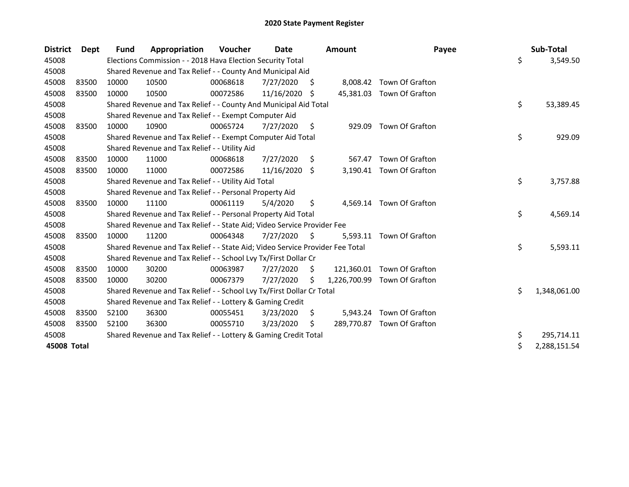| <b>District</b> | <b>Dept</b> | <b>Fund</b> | Appropriation                                                                 | Voucher  | Date       |     | <b>Amount</b> | Payee                      | Sub-Total          |
|-----------------|-------------|-------------|-------------------------------------------------------------------------------|----------|------------|-----|---------------|----------------------------|--------------------|
| 45008           |             |             | Elections Commission - - 2018 Hava Election Security Total                    |          |            |     |               |                            | \$<br>3,549.50     |
| 45008           |             |             | Shared Revenue and Tax Relief - - County And Municipal Aid                    |          |            |     |               |                            |                    |
| 45008           | 83500       | 10000       | 10500                                                                         | 00068618 | 7/27/2020  | S   | 8,008.42      | Town Of Grafton            |                    |
| 45008           | 83500       | 10000       | 10500                                                                         | 00072586 | 11/16/2020 | -S  |               | 45,381.03 Town Of Grafton  |                    |
| 45008           |             |             | Shared Revenue and Tax Relief - - County And Municipal Aid Total              |          |            |     |               |                            | \$<br>53,389.45    |
| 45008           |             |             | Shared Revenue and Tax Relief - - Exempt Computer Aid                         |          |            |     |               |                            |                    |
| 45008           | 83500       | 10000       | 10900                                                                         | 00065724 | 7/27/2020  | \$  | 929.09        | Town Of Grafton            |                    |
| 45008           |             |             | Shared Revenue and Tax Relief - - Exempt Computer Aid Total                   |          |            |     |               |                            | \$<br>929.09       |
| 45008           |             |             | Shared Revenue and Tax Relief - - Utility Aid                                 |          |            |     |               |                            |                    |
| 45008           | 83500       | 10000       | 11000                                                                         | 00068618 | 7/27/2020  | \$. | 567.47        | Town Of Grafton            |                    |
| 45008           | 83500       | 10000       | 11000                                                                         | 00072586 | 11/16/2020 | S.  | 3,190.41      | Town Of Grafton            |                    |
| 45008           |             |             | Shared Revenue and Tax Relief - - Utility Aid Total                           |          |            |     |               |                            | \$<br>3,757.88     |
| 45008           |             |             | Shared Revenue and Tax Relief - - Personal Property Aid                       |          |            |     |               |                            |                    |
| 45008           | 83500       | 10000       | 11100                                                                         | 00061119 | 5/4/2020   | \$  | 4.569.14      | Town Of Grafton            |                    |
| 45008           |             |             | Shared Revenue and Tax Relief - - Personal Property Aid Total                 |          |            |     |               |                            | \$<br>4,569.14     |
| 45008           |             |             | Shared Revenue and Tax Relief - - State Aid; Video Service Provider Fee       |          |            |     |               |                            |                    |
| 45008           | 83500       | 10000       | 11200                                                                         | 00064348 | 7/27/2020  | \$  | 5,593.11      | Town Of Grafton            |                    |
| 45008           |             |             | Shared Revenue and Tax Relief - - State Aid; Video Service Provider Fee Total |          |            |     |               |                            | \$<br>5,593.11     |
| 45008           |             |             | Shared Revenue and Tax Relief - - School Lvy Tx/First Dollar Cr               |          |            |     |               |                            |                    |
| 45008           | 83500       | 10000       | 30200                                                                         | 00063987 | 7/27/2020  | S   | 121,360.01    | Town Of Grafton            |                    |
| 45008           | 83500       | 10000       | 30200                                                                         | 00067379 | 7/27/2020  | S.  | 1,226,700.99  | Town Of Grafton            |                    |
| 45008           |             |             | Shared Revenue and Tax Relief - - School Lvy Tx/First Dollar Cr Total         |          |            |     |               |                            | \$<br>1,348,061.00 |
| 45008           |             |             | Shared Revenue and Tax Relief - - Lottery & Gaming Credit                     |          |            |     |               |                            |                    |
| 45008           | 83500       | 52100       | 36300                                                                         | 00055451 | 3/23/2020  | \$  | 5,943.24      | Town Of Grafton            |                    |
| 45008           | 83500       | 52100       | 36300                                                                         | 00055710 | 3/23/2020  | \$  |               | 289,770.87 Town Of Grafton |                    |
| 45008           |             |             | Shared Revenue and Tax Relief - - Lottery & Gaming Credit Total               |          |            |     |               |                            | \$<br>295,714.11   |
| 45008 Total     |             |             |                                                                               |          |            |     |               |                            | \$<br>2,288,151.54 |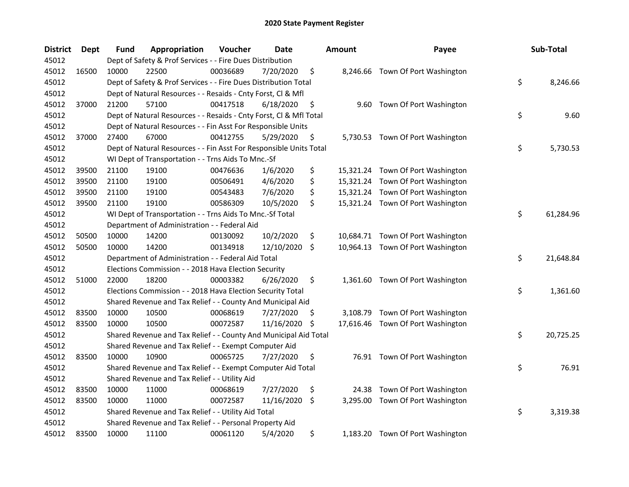| <b>District</b> | <b>Dept</b> | Fund  | Appropriation                                                      | Voucher  | Date       |     | <b>Amount</b> | Payee                             | Sub-Total       |
|-----------------|-------------|-------|--------------------------------------------------------------------|----------|------------|-----|---------------|-----------------------------------|-----------------|
| 45012           |             |       | Dept of Safety & Prof Services - - Fire Dues Distribution          |          |            |     |               |                                   |                 |
| 45012           | 16500       | 10000 | 22500                                                              | 00036689 | 7/20/2020  | \$  |               | 8,246.66 Town Of Port Washington  |                 |
| 45012           |             |       | Dept of Safety & Prof Services - - Fire Dues Distribution Total    |          |            |     |               |                                   | \$<br>8,246.66  |
| 45012           |             |       | Dept of Natural Resources - - Resaids - Cnty Forst, Cl & Mfl       |          |            |     |               |                                   |                 |
| 45012           | 37000       | 21200 | 57100                                                              | 00417518 | 6/18/2020  | \$  |               | 9.60 Town Of Port Washington      |                 |
| 45012           |             |       | Dept of Natural Resources - - Resaids - Cnty Forst, CI & Mfl Total |          |            |     |               |                                   | \$<br>9.60      |
| 45012           |             |       | Dept of Natural Resources - - Fin Asst For Responsible Units       |          |            |     |               |                                   |                 |
| 45012           | 37000       | 27400 | 67000                                                              | 00412755 | 5/29/2020  | \$  |               | 5,730.53 Town Of Port Washington  |                 |
| 45012           |             |       | Dept of Natural Resources - - Fin Asst For Responsible Units Total |          |            |     |               |                                   | \$<br>5,730.53  |
| 45012           |             |       | WI Dept of Transportation - - Trns Aids To Mnc.-Sf                 |          |            |     |               |                                   |                 |
| 45012           | 39500       | 21100 | 19100                                                              | 00476636 | 1/6/2020   | \$  |               | 15,321.24 Town Of Port Washington |                 |
| 45012           | 39500       | 21100 | 19100                                                              | 00506491 | 4/6/2020   | \$  |               | 15,321.24 Town Of Port Washington |                 |
| 45012           | 39500       | 21100 | 19100                                                              | 00543483 | 7/6/2020   | \$  |               | 15,321.24 Town Of Port Washington |                 |
| 45012           | 39500       | 21100 | 19100                                                              | 00586309 | 10/5/2020  | \$  |               | 15,321.24 Town Of Port Washington |                 |
| 45012           |             |       | WI Dept of Transportation - - Trns Aids To Mnc.-Sf Total           |          |            |     |               |                                   | \$<br>61,284.96 |
| 45012           |             |       | Department of Administration - - Federal Aid                       |          |            |     |               |                                   |                 |
| 45012           | 50500       | 10000 | 14200                                                              | 00130092 | 10/2/2020  | \$  |               | 10,684.71 Town Of Port Washington |                 |
| 45012           | 50500       | 10000 | 14200                                                              | 00134918 | 12/10/2020 | \$  |               | 10,964.13 Town Of Port Washington |                 |
| 45012           |             |       | Department of Administration - - Federal Aid Total                 |          |            |     |               |                                   | \$<br>21,648.84 |
| 45012           |             |       | Elections Commission - - 2018 Hava Election Security               |          |            |     |               |                                   |                 |
| 45012           | 51000       | 22000 | 18200                                                              | 00003382 | 6/26/2020  | \$  |               | 1,361.60 Town Of Port Washington  |                 |
| 45012           |             |       | Elections Commission - - 2018 Hava Election Security Total         |          |            |     |               |                                   | \$<br>1,361.60  |
| 45012           |             |       | Shared Revenue and Tax Relief - - County And Municipal Aid         |          |            |     |               |                                   |                 |
| 45012           | 83500       | 10000 | 10500                                                              | 00068619 | 7/27/2020  | \$, |               | 3,108.79 Town Of Port Washington  |                 |
| 45012           | 83500       | 10000 | 10500                                                              | 00072587 | 11/16/2020 | \$  |               | 17,616.46 Town Of Port Washington |                 |
| 45012           |             |       | Shared Revenue and Tax Relief - - County And Municipal Aid Total   |          |            |     |               |                                   | \$<br>20,725.25 |
| 45012           |             |       | Shared Revenue and Tax Relief - - Exempt Computer Aid              |          |            |     |               |                                   |                 |
| 45012           | 83500       | 10000 | 10900                                                              | 00065725 | 7/27/2020  | \$  |               | 76.91 Town Of Port Washington     |                 |
| 45012           |             |       | Shared Revenue and Tax Relief - - Exempt Computer Aid Total        |          |            |     |               |                                   | \$<br>76.91     |
| 45012           |             |       | Shared Revenue and Tax Relief - - Utility Aid                      |          |            |     |               |                                   |                 |
| 45012           | 83500       | 10000 | 11000                                                              | 00068619 | 7/27/2020  | \$  | 24.38         | Town Of Port Washington           |                 |
| 45012           | 83500       | 10000 | 11000                                                              | 00072587 | 11/16/2020 | \$  | 3,295.00      | Town Of Port Washington           |                 |
| 45012           |             |       | Shared Revenue and Tax Relief - - Utility Aid Total                |          |            |     |               |                                   | \$<br>3,319.38  |
| 45012           |             |       | Shared Revenue and Tax Relief - - Personal Property Aid            |          |            |     |               |                                   |                 |
| 45012           | 83500       | 10000 | 11100                                                              | 00061120 | 5/4/2020   | \$  |               | 1,183.20 Town Of Port Washington  |                 |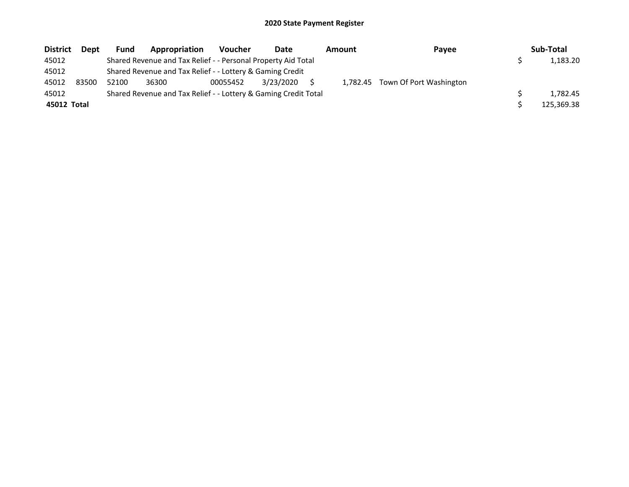| <b>District</b> | <b>Dept</b> | Fund  | Appropriation                                                   | <b>Voucher</b> | Date      | <b>Amount</b> | Payee                            | Sub-Total  |
|-----------------|-------------|-------|-----------------------------------------------------------------|----------------|-----------|---------------|----------------------------------|------------|
| 45012           |             |       | Shared Revenue and Tax Relief - - Personal Property Aid Total   |                |           |               |                                  | 1,183.20   |
| 45012           |             |       | Shared Revenue and Tax Relief - - Lottery & Gaming Credit       |                |           |               |                                  |            |
| 45012           | 83500       | 52100 | 36300                                                           | 00055452       | 3/23/2020 |               | 1,782.45 Town Of Port Washington |            |
| 45012           |             |       | Shared Revenue and Tax Relief - - Lottery & Gaming Credit Total |                |           |               |                                  | 1.782.45   |
| 45012 Total     |             |       |                                                                 |                |           |               |                                  | 125.369.38 |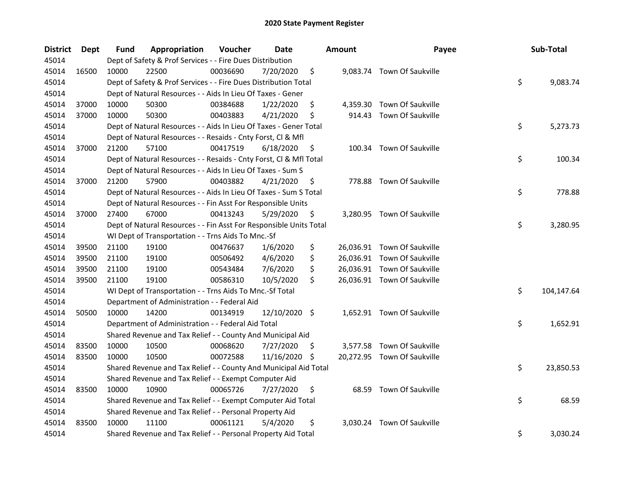| <b>District</b> | Dept  | Fund  | Appropriation                                                      | Voucher  | <b>Date</b>   |     | <b>Amount</b> | Payee                       | Sub-Total        |
|-----------------|-------|-------|--------------------------------------------------------------------|----------|---------------|-----|---------------|-----------------------------|------------------|
| 45014           |       |       | Dept of Safety & Prof Services - - Fire Dues Distribution          |          |               |     |               |                             |                  |
| 45014           | 16500 | 10000 | 22500                                                              | 00036690 | 7/20/2020     | \$  |               | 9,083.74 Town Of Saukville  |                  |
| 45014           |       |       | Dept of Safety & Prof Services - - Fire Dues Distribution Total    |          |               |     |               |                             | \$<br>9,083.74   |
| 45014           |       |       | Dept of Natural Resources - - Aids In Lieu Of Taxes - Gener        |          |               |     |               |                             |                  |
| 45014           | 37000 | 10000 | 50300                                                              | 00384688 | 1/22/2020     | \$  |               | 4,359.30 Town Of Saukville  |                  |
| 45014           | 37000 | 10000 | 50300                                                              | 00403883 | 4/21/2020     | \$  |               | 914.43 Town Of Saukville    |                  |
| 45014           |       |       | Dept of Natural Resources - - Aids In Lieu Of Taxes - Gener Total  |          |               |     |               |                             | \$<br>5,273.73   |
| 45014           |       |       | Dept of Natural Resources - - Resaids - Cnty Forst, Cl & Mfl       |          |               |     |               |                             |                  |
| 45014           | 37000 | 21200 | 57100                                                              | 00417519 | 6/18/2020     | \$  |               | 100.34 Town Of Saukville    |                  |
| 45014           |       |       | Dept of Natural Resources - - Resaids - Cnty Forst, Cl & Mfl Total |          |               |     |               |                             | \$<br>100.34     |
| 45014           |       |       | Dept of Natural Resources - - Aids In Lieu Of Taxes - Sum S        |          |               |     |               |                             |                  |
| 45014           | 37000 | 21200 | 57900                                                              | 00403882 | 4/21/2020     | \$, |               | 778.88 Town Of Saukville    |                  |
| 45014           |       |       | Dept of Natural Resources - - Aids In Lieu Of Taxes - Sum S Total  |          |               |     |               |                             | \$<br>778.88     |
| 45014           |       |       | Dept of Natural Resources - - Fin Asst For Responsible Units       |          |               |     |               |                             |                  |
| 45014           | 37000 | 27400 | 67000                                                              | 00413243 | 5/29/2020     | \$  |               | 3,280.95 Town Of Saukville  |                  |
| 45014           |       |       | Dept of Natural Resources - - Fin Asst For Responsible Units Total |          |               |     |               |                             | \$<br>3,280.95   |
| 45014           |       |       | WI Dept of Transportation - - Trns Aids To Mnc.-Sf                 |          |               |     |               |                             |                  |
| 45014           | 39500 | 21100 | 19100                                                              | 00476637 | 1/6/2020      | \$  |               | 26,036.91 Town Of Saukville |                  |
| 45014           | 39500 | 21100 | 19100                                                              | 00506492 | 4/6/2020      | \$  |               | 26,036.91 Town Of Saukville |                  |
| 45014           | 39500 | 21100 | 19100                                                              | 00543484 | 7/6/2020      | \$  |               | 26,036.91 Town Of Saukville |                  |
| 45014           | 39500 | 21100 | 19100                                                              | 00586310 | 10/5/2020     | \$  |               | 26,036.91 Town Of Saukville |                  |
| 45014           |       |       | WI Dept of Transportation - - Trns Aids To Mnc.-Sf Total           |          |               |     |               |                             | \$<br>104,147.64 |
| 45014           |       |       | Department of Administration - - Federal Aid                       |          |               |     |               |                             |                  |
| 45014           | 50500 | 10000 | 14200                                                              | 00134919 | 12/10/2020 \$ |     |               | 1,652.91 Town Of Saukville  |                  |
| 45014           |       |       | Department of Administration - - Federal Aid Total                 |          |               |     |               |                             | \$<br>1,652.91   |
| 45014           |       |       | Shared Revenue and Tax Relief - - County And Municipal Aid         |          |               |     |               |                             |                  |
| 45014           | 83500 | 10000 | 10500                                                              | 00068620 | 7/27/2020     | -\$ |               | 3,577.58 Town Of Saukville  |                  |
| 45014           | 83500 | 10000 | 10500                                                              | 00072588 | 11/16/2020    | -\$ |               | 20,272.95 Town Of Saukville |                  |
| 45014           |       |       | Shared Revenue and Tax Relief - - County And Municipal Aid Total   |          |               |     |               |                             | \$<br>23,850.53  |
| 45014           |       |       | Shared Revenue and Tax Relief - - Exempt Computer Aid              |          |               |     |               |                             |                  |
| 45014           | 83500 | 10000 | 10900                                                              | 00065726 | 7/27/2020     | \$  |               | 68.59 Town Of Saukville     |                  |
| 45014           |       |       | Shared Revenue and Tax Relief - - Exempt Computer Aid Total        |          |               |     |               |                             | \$<br>68.59      |
| 45014           |       |       | Shared Revenue and Tax Relief - - Personal Property Aid            |          |               |     |               |                             |                  |
| 45014           | 83500 | 10000 | 11100                                                              | 00061121 | 5/4/2020      | \$  |               | 3,030.24 Town Of Saukville  |                  |
| 45014           |       |       | Shared Revenue and Tax Relief - - Personal Property Aid Total      |          |               |     |               |                             | \$<br>3,030.24   |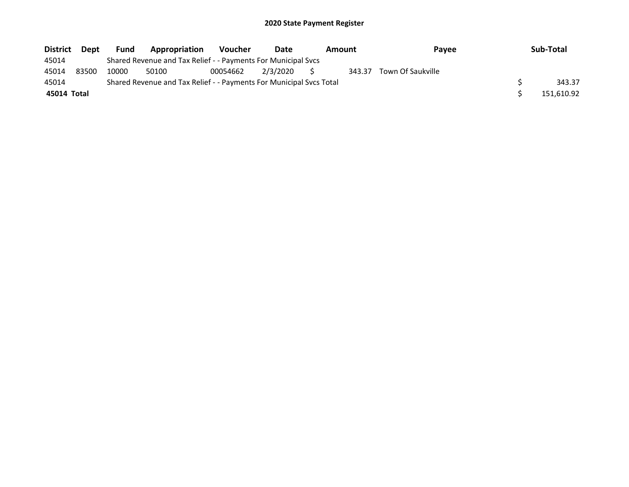| District    | Dept  | <b>Fund</b> | Appropriation                                                       | Voucher  | Date        | <b>Amount</b> | Pavee             | Sub-Total  |
|-------------|-------|-------------|---------------------------------------------------------------------|----------|-------------|---------------|-------------------|------------|
| 45014       |       |             | Shared Revenue and Tax Relief - - Payments For Municipal Svcs       |          |             |               |                   |            |
| 45014       | 83500 | 10000       | 50100                                                               | 00054662 | 2/3/2020 \$ | 343.37        | Town Of Saukville |            |
| 45014       |       |             | Shared Revenue and Tax Relief - - Payments For Municipal Svcs Total |          |             |               |                   | 343.37     |
| 45014 Total |       |             |                                                                     |          |             |               |                   | 151,610.92 |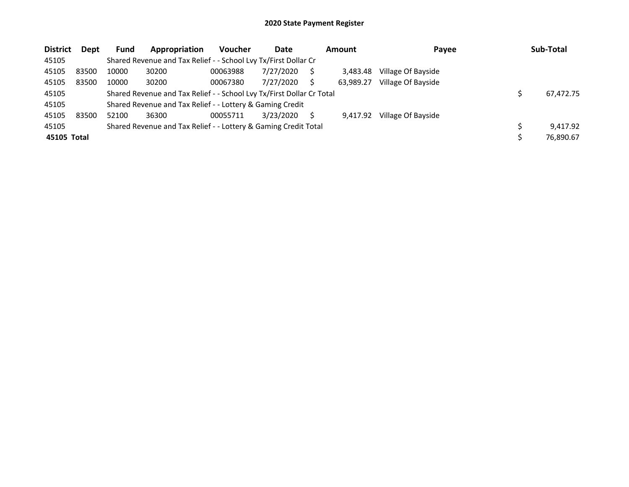| <b>District</b> | Dept  | <b>Fund</b> | Appropriation                                                         | <b>Voucher</b> | Date      | <b>Amount</b> | Payee              | Sub-Total |
|-----------------|-------|-------------|-----------------------------------------------------------------------|----------------|-----------|---------------|--------------------|-----------|
| 45105           |       |             | Shared Revenue and Tax Relief - - School Lvy Tx/First Dollar Cr       |                |           |               |                    |           |
| 45105           | 83500 | 10000       | 30200                                                                 | 00063988       | 7/27/2020 | 3.483.48      | Village Of Bayside |           |
| 45105           | 83500 | 10000       | 30200                                                                 | 00067380       | 7/27/2020 | 63.989.27     | Village Of Bayside |           |
| 45105           |       |             | Shared Revenue and Tax Relief - - School Lvy Tx/First Dollar Cr Total |                |           |               |                    | 67,472.75 |
| 45105           |       |             | Shared Revenue and Tax Relief - - Lottery & Gaming Credit             |                |           |               |                    |           |
| 45105           | 83500 | 52100       | 36300                                                                 | 00055711       | 3/23/2020 | 9.417.92      | Village Of Bayside |           |
| 45105           |       |             | Shared Revenue and Tax Relief - - Lottery & Gaming Credit Total       |                |           |               |                    | 9,417.92  |
| 45105 Total     |       |             |                                                                       |                |           |               |                    | 76,890.67 |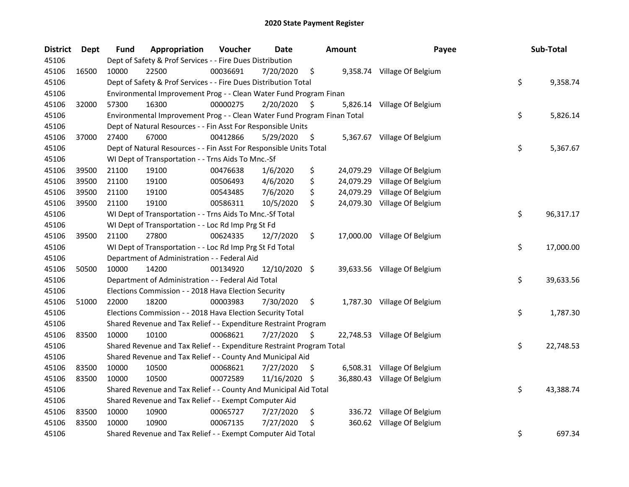| <b>District</b> | <b>Dept</b> | <b>Fund</b> | Appropriation                                                           | Voucher  | <b>Date</b>   |     | <b>Amount</b> | Payee                        | Sub-Total       |
|-----------------|-------------|-------------|-------------------------------------------------------------------------|----------|---------------|-----|---------------|------------------------------|-----------------|
| 45106           |             |             | Dept of Safety & Prof Services - - Fire Dues Distribution               |          |               |     |               |                              |                 |
| 45106           | 16500       | 10000       | 22500                                                                   | 00036691 | 7/20/2020     | \$  |               | 9,358.74 Village Of Belgium  |                 |
| 45106           |             |             | Dept of Safety & Prof Services - - Fire Dues Distribution Total         |          |               |     |               |                              | \$<br>9,358.74  |
| 45106           |             |             | Environmental Improvement Prog - - Clean Water Fund Program Finan       |          |               |     |               |                              |                 |
| 45106           | 32000       | 57300       | 16300                                                                   | 00000275 | 2/20/2020     | S   |               | 5,826.14 Village Of Belgium  |                 |
| 45106           |             |             | Environmental Improvement Prog - - Clean Water Fund Program Finan Total |          |               |     |               |                              | \$<br>5,826.14  |
| 45106           |             |             | Dept of Natural Resources - - Fin Asst For Responsible Units            |          |               |     |               |                              |                 |
| 45106           | 37000       | 27400       | 67000                                                                   | 00412866 | 5/29/2020     | \$  |               | 5,367.67 Village Of Belgium  |                 |
| 45106           |             |             | Dept of Natural Resources - - Fin Asst For Responsible Units Total      |          |               |     |               |                              | \$<br>5,367.67  |
| 45106           |             |             | WI Dept of Transportation - - Trns Aids To Mnc.-Sf                      |          |               |     |               |                              |                 |
| 45106           | 39500       | 21100       | 19100                                                                   | 00476638 | 1/6/2020      | \$  |               | 24,079.29 Village Of Belgium |                 |
| 45106           | 39500       | 21100       | 19100                                                                   | 00506493 | 4/6/2020      | \$  |               | 24,079.29 Village Of Belgium |                 |
| 45106           | 39500       | 21100       | 19100                                                                   | 00543485 | 7/6/2020      | \$  |               | 24,079.29 Village Of Belgium |                 |
| 45106           | 39500       | 21100       | 19100                                                                   | 00586311 | 10/5/2020     | \$  |               | 24,079.30 Village Of Belgium |                 |
| 45106           |             |             | WI Dept of Transportation - - Trns Aids To Mnc.-Sf Total                |          |               |     |               |                              | \$<br>96,317.17 |
| 45106           |             |             | WI Dept of Transportation - - Loc Rd Imp Prg St Fd                      |          |               |     |               |                              |                 |
| 45106           | 39500       | 21100       | 27800                                                                   | 00624335 | 12/7/2020     | \$  |               | 17,000.00 Village Of Belgium |                 |
| 45106           |             |             | WI Dept of Transportation - - Loc Rd Imp Prg St Fd Total                |          |               |     |               |                              | \$<br>17,000.00 |
| 45106           |             |             | Department of Administration - - Federal Aid                            |          |               |     |               |                              |                 |
| 45106           | 50500       | 10000       | 14200                                                                   | 00134920 | 12/10/2020 \$ |     |               | 39,633.56 Village Of Belgium |                 |
| 45106           |             |             | Department of Administration - - Federal Aid Total                      |          |               |     |               |                              | \$<br>39,633.56 |
| 45106           |             |             | Elections Commission - - 2018 Hava Election Security                    |          |               |     |               |                              |                 |
| 45106           | 51000       | 22000       | 18200                                                                   | 00003983 | 7/30/2020     | \$  |               | 1,787.30 Village Of Belgium  |                 |
| 45106           |             |             | Elections Commission - - 2018 Hava Election Security Total              |          |               |     |               |                              | \$<br>1,787.30  |
| 45106           |             |             | Shared Revenue and Tax Relief - - Expenditure Restraint Program         |          |               |     |               |                              |                 |
| 45106           | 83500       | 10000       | 10100                                                                   | 00068621 | 7/27/2020     | \$  |               | 22,748.53 Village Of Belgium |                 |
| 45106           |             |             | Shared Revenue and Tax Relief - - Expenditure Restraint Program Total   |          |               |     |               |                              | \$<br>22,748.53 |
| 45106           |             |             | Shared Revenue and Tax Relief - - County And Municipal Aid              |          |               |     |               |                              |                 |
| 45106           | 83500       | 10000       | 10500                                                                   | 00068621 | 7/27/2020     | S.  |               | 6,508.31 Village Of Belgium  |                 |
| 45106           | 83500       | 10000       | 10500                                                                   | 00072589 | 11/16/2020    | -\$ |               | 36,880.43 Village Of Belgium |                 |
| 45106           |             |             | Shared Revenue and Tax Relief - - County And Municipal Aid Total        |          |               |     |               |                              | \$<br>43,388.74 |
| 45106           |             |             | Shared Revenue and Tax Relief - - Exempt Computer Aid                   |          |               |     |               |                              |                 |
| 45106           | 83500       | 10000       | 10900                                                                   | 00065727 | 7/27/2020     | \$  |               | 336.72 Village Of Belgium    |                 |
| 45106           | 83500       | 10000       | 10900                                                                   | 00067135 | 7/27/2020     | \$  |               | 360.62 Village Of Belgium    |                 |
| 45106           |             |             | Shared Revenue and Tax Relief - - Exempt Computer Aid Total             |          |               |     |               |                              | \$<br>697.34    |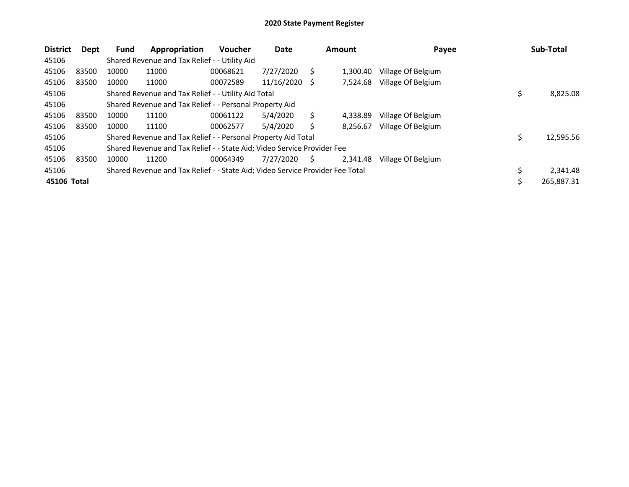| <b>District</b> | Dept  | <b>Fund</b> | Appropriation                                                                 | <b>Voucher</b> | Date       |     | Amount   | Payee              | Sub-Total       |
|-----------------|-------|-------------|-------------------------------------------------------------------------------|----------------|------------|-----|----------|--------------------|-----------------|
| 45106           |       |             | Shared Revenue and Tax Relief - - Utility Aid                                 |                |            |     |          |                    |                 |
| 45106           | 83500 | 10000       | 11000                                                                         | 00068621       | 7/27/2020  | S   | 1.300.40 | Village Of Belgium |                 |
| 45106           | 83500 | 10000       | 11000                                                                         | 00072589       | 11/16/2020 | - S | 7.524.68 | Village Of Belgium |                 |
| 45106           |       |             | Shared Revenue and Tax Relief - - Utility Aid Total                           |                |            |     |          |                    | 8,825.08        |
| 45106           |       |             | Shared Revenue and Tax Relief - - Personal Property Aid                       |                |            |     |          |                    |                 |
| 45106           | 83500 | 10000       | 11100                                                                         | 00061122       | 5/4/2020   | Ś   | 4.338.89 | Village Of Belgium |                 |
| 45106           | 83500 | 10000       | 11100                                                                         | 00062577       | 5/4/2020   |     | 8,256.67 | Village Of Belgium |                 |
| 45106           |       |             | Shared Revenue and Tax Relief - - Personal Property Aid Total                 |                |            |     |          |                    | \$<br>12,595.56 |
| 45106           |       |             | Shared Revenue and Tax Relief - - State Aid; Video Service Provider Fee       |                |            |     |          |                    |                 |
| 45106           | 83500 | 10000       | 11200                                                                         | 00064349       | 7/27/2020  | S.  | 2,341.48 | Village Of Belgium |                 |
| 45106           |       |             | Shared Revenue and Tax Relief - - State Aid; Video Service Provider Fee Total |                |            |     |          |                    | 2,341.48        |
| 45106 Total     |       |             |                                                                               |                |            |     |          |                    | 265,887.31      |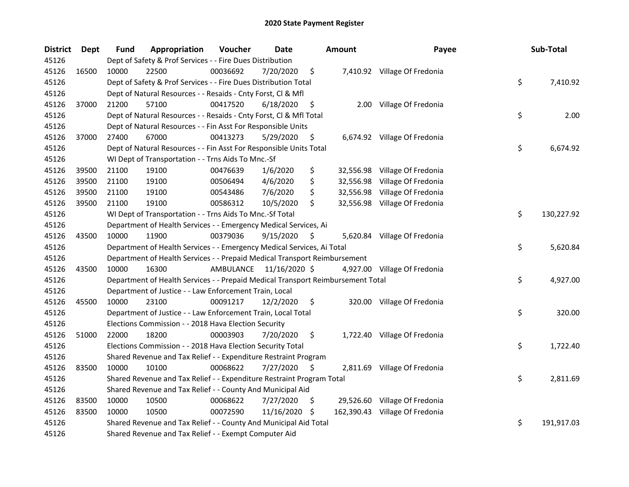| <b>District</b> | Dept  | <b>Fund</b> | Appropriation                                                                   | Voucher   | <b>Date</b>   |     | Amount    | Payee                          | Sub-Total        |
|-----------------|-------|-------------|---------------------------------------------------------------------------------|-----------|---------------|-----|-----------|--------------------------------|------------------|
| 45126           |       |             | Dept of Safety & Prof Services - - Fire Dues Distribution                       |           |               |     |           |                                |                  |
| 45126           | 16500 | 10000       | 22500                                                                           | 00036692  | 7/20/2020     | \$  |           | 7,410.92 Village Of Fredonia   |                  |
| 45126           |       |             | Dept of Safety & Prof Services - - Fire Dues Distribution Total                 |           |               |     |           |                                | \$<br>7,410.92   |
| 45126           |       |             | Dept of Natural Resources - - Resaids - Cnty Forst, Cl & Mfl                    |           |               |     |           |                                |                  |
| 45126           | 37000 | 21200       | 57100                                                                           | 00417520  | 6/18/2020     | \$  |           | 2.00 Village Of Fredonia       |                  |
| 45126           |       |             | Dept of Natural Resources - - Resaids - Cnty Forst, Cl & Mfl Total              |           |               |     |           |                                | \$<br>2.00       |
| 45126           |       |             | Dept of Natural Resources - - Fin Asst For Responsible Units                    |           |               |     |           |                                |                  |
| 45126           | 37000 | 27400       | 67000                                                                           | 00413273  | 5/29/2020     | \$  |           | 6,674.92 Village Of Fredonia   |                  |
| 45126           |       |             | Dept of Natural Resources - - Fin Asst For Responsible Units Total              |           |               |     |           |                                | \$<br>6,674.92   |
| 45126           |       |             | WI Dept of Transportation - - Trns Aids To Mnc.-Sf                              |           |               |     |           |                                |                  |
| 45126           | 39500 | 21100       | 19100                                                                           | 00476639  | 1/6/2020      | \$  |           | 32,556.98 Village Of Fredonia  |                  |
| 45126           | 39500 | 21100       | 19100                                                                           | 00506494  | 4/6/2020      | \$  |           | 32,556.98 Village Of Fredonia  |                  |
| 45126           | 39500 | 21100       | 19100                                                                           | 00543486  | 7/6/2020      | \$  | 32,556.98 | Village Of Fredonia            |                  |
| 45126           | 39500 | 21100       | 19100                                                                           | 00586312  | 10/5/2020     | \$  |           | 32,556.98 Village Of Fredonia  |                  |
| 45126           |       |             | WI Dept of Transportation - - Trns Aids To Mnc.-Sf Total                        |           |               |     |           |                                | \$<br>130,227.92 |
| 45126           |       |             | Department of Health Services - - Emergency Medical Services, Ai                |           |               |     |           |                                |                  |
| 45126           | 43500 | 10000       | 11900                                                                           | 00379036  | 9/15/2020     | \$  |           | 5,620.84 Village Of Fredonia   |                  |
| 45126           |       |             | Department of Health Services - - Emergency Medical Services, Ai Total          |           |               |     |           |                                | \$<br>5,620.84   |
| 45126           |       |             | Department of Health Services - - Prepaid Medical Transport Reimbursement       |           |               |     |           |                                |                  |
| 45126           | 43500 | 10000       | 16300                                                                           | AMBULANCE | 11/16/2020 \$ |     |           | 4,927.00 Village Of Fredonia   |                  |
| 45126           |       |             | Department of Health Services - - Prepaid Medical Transport Reimbursement Total |           |               |     |           |                                | \$<br>4,927.00   |
| 45126           |       |             | Department of Justice - - Law Enforcement Train, Local                          |           |               |     |           |                                |                  |
| 45126           | 45500 | 10000       | 23100                                                                           | 00091217  | 12/2/2020     | \$  |           | 320.00 Village Of Fredonia     |                  |
| 45126           |       |             | Department of Justice - - Law Enforcement Train, Local Total                    |           |               |     |           |                                | \$<br>320.00     |
| 45126           |       |             | Elections Commission - - 2018 Hava Election Security                            |           |               |     |           |                                |                  |
| 45126           | 51000 | 22000       | 18200                                                                           | 00003903  | 7/20/2020     | \$  |           | 1,722.40 Village Of Fredonia   |                  |
| 45126           |       |             | Elections Commission - - 2018 Hava Election Security Total                      |           |               |     |           |                                | \$<br>1,722.40   |
| 45126           |       |             | Shared Revenue and Tax Relief - - Expenditure Restraint Program                 |           |               |     |           |                                |                  |
| 45126           | 83500 | 10000       | 10100                                                                           | 00068622  | 7/27/2020     | \$, |           | 2,811.69 Village Of Fredonia   |                  |
| 45126           |       |             | Shared Revenue and Tax Relief - - Expenditure Restraint Program Total           |           |               |     |           |                                | \$<br>2,811.69   |
| 45126           |       |             | Shared Revenue and Tax Relief - - County And Municipal Aid                      |           |               |     |           |                                |                  |
| 45126           | 83500 | 10000       | 10500                                                                           | 00068622  | 7/27/2020     | \$  |           | 29,526.60 Village Of Fredonia  |                  |
| 45126           | 83500 | 10000       | 10500                                                                           | 00072590  | 11/16/2020    | -\$ |           | 162,390.43 Village Of Fredonia |                  |
| 45126           |       |             | Shared Revenue and Tax Relief - - County And Municipal Aid Total                |           |               |     |           |                                | \$<br>191,917.03 |
| 45126           |       |             | Shared Revenue and Tax Relief - - Exempt Computer Aid                           |           |               |     |           |                                |                  |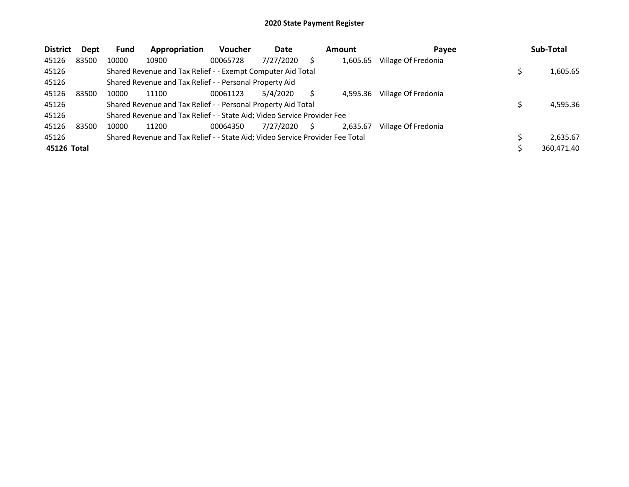| <b>District</b> | Dept  | <b>Fund</b> | Appropriation                                                                 | <b>Voucher</b> | Date      |   | <b>Amount</b> | Payee               | Sub-Total  |
|-----------------|-------|-------------|-------------------------------------------------------------------------------|----------------|-----------|---|---------------|---------------------|------------|
| 45126           | 83500 | 10000       | 10900                                                                         | 00065728       | 7/27/2020 |   | 1,605.65      | Village Of Fredonia |            |
| 45126           |       |             | Shared Revenue and Tax Relief - - Exempt Computer Aid Total                   |                |           |   |               |                     | 1,605.65   |
| 45126           |       |             | Shared Revenue and Tax Relief - - Personal Property Aid                       |                |           |   |               |                     |            |
| 45126           | 83500 | 10000       | 11100                                                                         | 00061123       | 5/4/2020  |   | 4.595.36      | Village Of Fredonia |            |
| 45126           |       |             | Shared Revenue and Tax Relief - - Personal Property Aid Total                 |                |           |   |               |                     | 4,595.36   |
| 45126           |       |             | Shared Revenue and Tax Relief - - State Aid; Video Service Provider Fee       |                |           |   |               |                     |            |
| 45126           | 83500 | 10000       | 11200                                                                         | 00064350       | 7/27/2020 | S | 2,635.67      | Village Of Fredonia |            |
| 45126           |       |             | Shared Revenue and Tax Relief - - State Aid; Video Service Provider Fee Total |                |           |   |               |                     | 2,635.67   |
| 45126 Total     |       |             |                                                                               |                |           |   |               |                     | 360,471.40 |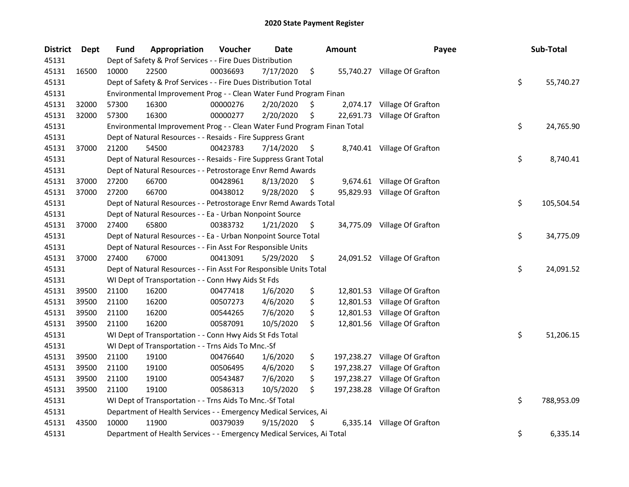| <b>District</b> | Dept  | <b>Fund</b> | Appropriation                                                           | Voucher  | Date      |     | <b>Amount</b> | Payee                        | Sub-Total        |
|-----------------|-------|-------------|-------------------------------------------------------------------------|----------|-----------|-----|---------------|------------------------------|------------------|
| 45131           |       |             | Dept of Safety & Prof Services - - Fire Dues Distribution               |          |           |     |               |                              |                  |
| 45131           | 16500 | 10000       | 22500                                                                   | 00036693 | 7/17/2020 | \$  |               | 55,740.27 Village Of Grafton |                  |
| 45131           |       |             | Dept of Safety & Prof Services - - Fire Dues Distribution Total         |          |           |     |               |                              | \$<br>55,740.27  |
| 45131           |       |             | Environmental Improvement Prog - - Clean Water Fund Program Finan       |          |           |     |               |                              |                  |
| 45131           | 32000 | 57300       | 16300                                                                   | 00000276 | 2/20/2020 | \$, | 2,074.17      | Village Of Grafton           |                  |
| 45131           | 32000 | 57300       | 16300                                                                   | 00000277 | 2/20/2020 | \$  | 22,691.73     | Village Of Grafton           |                  |
| 45131           |       |             | Environmental Improvement Prog - - Clean Water Fund Program Finan Total |          |           |     |               |                              | \$<br>24,765.90  |
| 45131           |       |             | Dept of Natural Resources - - Resaids - Fire Suppress Grant             |          |           |     |               |                              |                  |
| 45131           | 37000 | 21200       | 54500                                                                   | 00423783 | 7/14/2020 | \$  |               | 8,740.41 Village Of Grafton  |                  |
| 45131           |       |             | Dept of Natural Resources - - Resaids - Fire Suppress Grant Total       |          |           |     |               |                              | \$<br>8,740.41   |
| 45131           |       |             | Dept of Natural Resources - - Petrostorage Envr Remd Awards             |          |           |     |               |                              |                  |
| 45131           | 37000 | 27200       | 66700                                                                   | 00428961 | 8/13/2020 | \$  |               | 9,674.61 Village Of Grafton  |                  |
| 45131           | 37000 | 27200       | 66700                                                                   | 00438012 | 9/28/2020 | \$  |               | 95,829.93 Village Of Grafton |                  |
| 45131           |       |             | Dept of Natural Resources - - Petrostorage Envr Remd Awards Total       |          |           |     |               |                              | \$<br>105,504.54 |
| 45131           |       |             | Dept of Natural Resources - - Ea - Urban Nonpoint Source                |          |           |     |               |                              |                  |
| 45131           | 37000 | 27400       | 65800                                                                   | 00383732 | 1/21/2020 | \$  |               | 34,775.09 Village Of Grafton |                  |
| 45131           |       |             | Dept of Natural Resources - - Ea - Urban Nonpoint Source Total          |          |           |     |               |                              | \$<br>34,775.09  |
| 45131           |       |             | Dept of Natural Resources - - Fin Asst For Responsible Units            |          |           |     |               |                              |                  |
| 45131           | 37000 | 27400       | 67000                                                                   | 00413091 | 5/29/2020 | \$  |               | 24,091.52 Village Of Grafton |                  |
| 45131           |       |             | Dept of Natural Resources - - Fin Asst For Responsible Units Total      |          |           |     |               |                              | \$<br>24,091.52  |
| 45131           |       |             | WI Dept of Transportation - - Conn Hwy Aids St Fds                      |          |           |     |               |                              |                  |
| 45131           | 39500 | 21100       | 16200                                                                   | 00477418 | 1/6/2020  | \$  |               | 12,801.53 Village Of Grafton |                  |
| 45131           | 39500 | 21100       | 16200                                                                   | 00507273 | 4/6/2020  | \$  |               | 12,801.53 Village Of Grafton |                  |
| 45131           | 39500 | 21100       | 16200                                                                   | 00544265 | 7/6/2020  | \$  |               | 12,801.53 Village Of Grafton |                  |
| 45131           | 39500 | 21100       | 16200                                                                   | 00587091 | 10/5/2020 | \$  |               | 12,801.56 Village Of Grafton |                  |
| 45131           |       |             | WI Dept of Transportation - - Conn Hwy Aids St Fds Total                |          |           |     |               |                              | \$<br>51,206.15  |
| 45131           |       |             | WI Dept of Transportation - - Trns Aids To Mnc.-Sf                      |          |           |     |               |                              |                  |
| 45131           | 39500 | 21100       | 19100                                                                   | 00476640 | 1/6/2020  | \$  | 197,238.27    | Village Of Grafton           |                  |
| 45131           | 39500 | 21100       | 19100                                                                   | 00506495 | 4/6/2020  | \$  | 197,238.27    | Village Of Grafton           |                  |
| 45131           | 39500 | 21100       | 19100                                                                   | 00543487 | 7/6/2020  | \$  | 197,238.27    | Village Of Grafton           |                  |
| 45131           | 39500 | 21100       | 19100                                                                   | 00586313 | 10/5/2020 | \$  | 197,238.28    | Village Of Grafton           |                  |
| 45131           |       |             | WI Dept of Transportation - - Trns Aids To Mnc.-Sf Total                |          |           |     |               |                              | \$<br>788,953.09 |
| 45131           |       |             | Department of Health Services - - Emergency Medical Services, Ai        |          |           |     |               |                              |                  |
| 45131           | 43500 | 10000       | 11900                                                                   | 00379039 | 9/15/2020 | \$  | 6,335.14      | Village Of Grafton           |                  |
| 45131           |       |             | Department of Health Services - - Emergency Medical Services, Ai Total  |          |           |     |               |                              | \$<br>6,335.14   |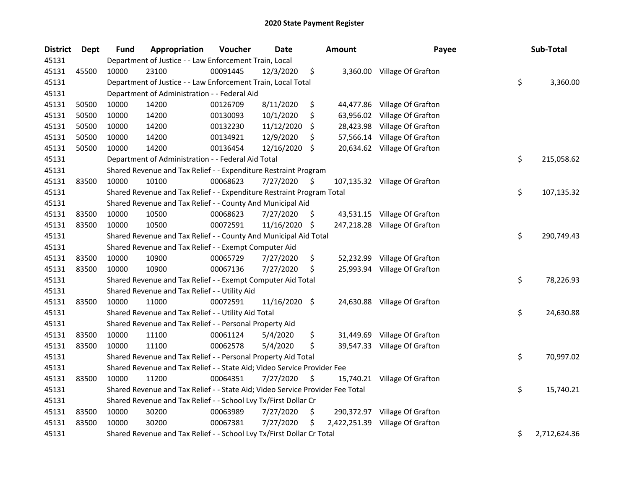| <b>District</b> | Dept  | <b>Fund</b> | Appropriation                                                                 | Voucher  | Date          |     | <b>Amount</b> | Payee                         | Sub-Total          |
|-----------------|-------|-------------|-------------------------------------------------------------------------------|----------|---------------|-----|---------------|-------------------------------|--------------------|
| 45131           |       |             | Department of Justice - - Law Enforcement Train, Local                        |          |               |     |               |                               |                    |
| 45131           | 45500 | 10000       | 23100                                                                         | 00091445 | 12/3/2020     | \$  |               | 3,360.00 Village Of Grafton   |                    |
| 45131           |       |             | Department of Justice - - Law Enforcement Train, Local Total                  |          |               |     |               |                               | \$<br>3,360.00     |
| 45131           |       |             | Department of Administration - - Federal Aid                                  |          |               |     |               |                               |                    |
| 45131           | 50500 | 10000       | 14200                                                                         | 00126709 | 8/11/2020     | \$  |               | 44,477.86 Village Of Grafton  |                    |
| 45131           | 50500 | 10000       | 14200                                                                         | 00130093 | 10/1/2020     | \$  | 63,956.02     | Village Of Grafton            |                    |
| 45131           | 50500 | 10000       | 14200                                                                         | 00132230 | 11/12/2020    | \$  | 28,423.98     | Village Of Grafton            |                    |
| 45131           | 50500 | 10000       | 14200                                                                         | 00134921 | 12/9/2020     | \$  | 57,566.14     | Village Of Grafton            |                    |
| 45131           | 50500 | 10000       | 14200                                                                         | 00136454 | 12/16/2020 \$ |     |               | 20,634.62 Village Of Grafton  |                    |
| 45131           |       |             | Department of Administration - - Federal Aid Total                            |          |               |     |               |                               | \$<br>215,058.62   |
| 45131           |       |             | Shared Revenue and Tax Relief - - Expenditure Restraint Program               |          |               |     |               |                               |                    |
| 45131           | 83500 | 10000       | 10100                                                                         | 00068623 | 7/27/2020     | \$. |               | 107,135.32 Village Of Grafton |                    |
| 45131           |       |             | Shared Revenue and Tax Relief - - Expenditure Restraint Program Total         |          |               |     |               |                               | \$<br>107,135.32   |
| 45131           |       |             | Shared Revenue and Tax Relief - - County And Municipal Aid                    |          |               |     |               |                               |                    |
| 45131           | 83500 | 10000       | 10500                                                                         | 00068623 | 7/27/2020     | S   |               | 43,531.15 Village Of Grafton  |                    |
| 45131           | 83500 | 10000       | 10500                                                                         | 00072591 | 11/16/2020    | \$  |               | 247,218.28 Village Of Grafton |                    |
| 45131           |       |             | Shared Revenue and Tax Relief - - County And Municipal Aid Total              |          |               |     |               |                               | \$<br>290,749.43   |
| 45131           |       |             | Shared Revenue and Tax Relief - - Exempt Computer Aid                         |          |               |     |               |                               |                    |
| 45131           | 83500 | 10000       | 10900                                                                         | 00065729 | 7/27/2020     | \$  | 52,232.99     | Village Of Grafton            |                    |
| 45131           | 83500 | 10000       | 10900                                                                         | 00067136 | 7/27/2020     | S   | 25,993.94     | Village Of Grafton            |                    |
| 45131           |       |             | Shared Revenue and Tax Relief - - Exempt Computer Aid Total                   |          |               |     |               |                               | \$<br>78,226.93    |
| 45131           |       |             | Shared Revenue and Tax Relief - - Utility Aid                                 |          |               |     |               |                               |                    |
| 45131           | 83500 | 10000       | 11000                                                                         | 00072591 | 11/16/2020 \$ |     |               | 24,630.88 Village Of Grafton  |                    |
| 45131           |       |             | Shared Revenue and Tax Relief - - Utility Aid Total                           |          |               |     |               |                               | \$<br>24,630.88    |
| 45131           |       |             | Shared Revenue and Tax Relief - - Personal Property Aid                       |          |               |     |               |                               |                    |
| 45131           | 83500 | 10000       | 11100                                                                         | 00061124 | 5/4/2020      | \$  |               | 31,449.69 Village Of Grafton  |                    |
| 45131           | 83500 | 10000       | 11100                                                                         | 00062578 | 5/4/2020      | \$  |               | 39,547.33 Village Of Grafton  |                    |
| 45131           |       |             | Shared Revenue and Tax Relief - - Personal Property Aid Total                 |          |               |     |               |                               | \$<br>70,997.02    |
| 45131           |       |             | Shared Revenue and Tax Relief - - State Aid; Video Service Provider Fee       |          |               |     |               |                               |                    |
| 45131           | 83500 | 10000       | 11200                                                                         | 00064351 | 7/27/2020     | \$  |               | 15,740.21 Village Of Grafton  |                    |
| 45131           |       |             | Shared Revenue and Tax Relief - - State Aid; Video Service Provider Fee Total |          |               |     |               |                               | \$<br>15,740.21    |
| 45131           |       |             | Shared Revenue and Tax Relief - - School Lvy Tx/First Dollar Cr               |          |               |     |               |                               |                    |
| 45131           | 83500 | 10000       | 30200                                                                         | 00063989 | 7/27/2020     | \$  | 290,372.97    | Village Of Grafton            |                    |
| 45131           | 83500 | 10000       | 30200                                                                         | 00067381 | 7/27/2020     | \$  | 2,422,251.39  | Village Of Grafton            |                    |
| 45131           |       |             | Shared Revenue and Tax Relief - - School Lvy Tx/First Dollar Cr Total         |          |               |     |               |                               | \$<br>2,712,624.36 |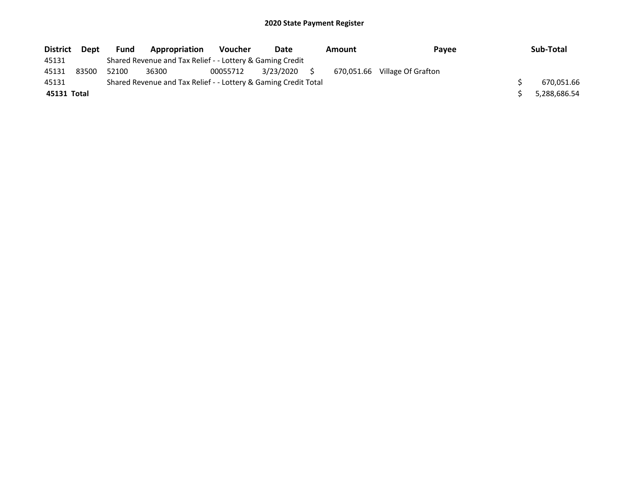| <b>District</b> | <b>Dept</b> | <b>Fund</b> | Appropriation                                                   | <b>Voucher</b> | Date      | Amount | Payee                         | Sub-Total    |
|-----------------|-------------|-------------|-----------------------------------------------------------------|----------------|-----------|--------|-------------------------------|--------------|
| 45131           |             |             | Shared Revenue and Tax Relief - - Lottery & Gaming Credit       |                |           |        |                               |              |
| 45131           | 83500       | 52100       | 36300                                                           | 00055712       | 3/23/2020 |        | 670,051.66 Village Of Grafton |              |
| 45131           |             |             | Shared Revenue and Tax Relief - - Lottery & Gaming Credit Total |                |           |        |                               | 670,051.66   |
| 45131 Total     |             |             |                                                                 |                |           |        |                               | 5,288,686.54 |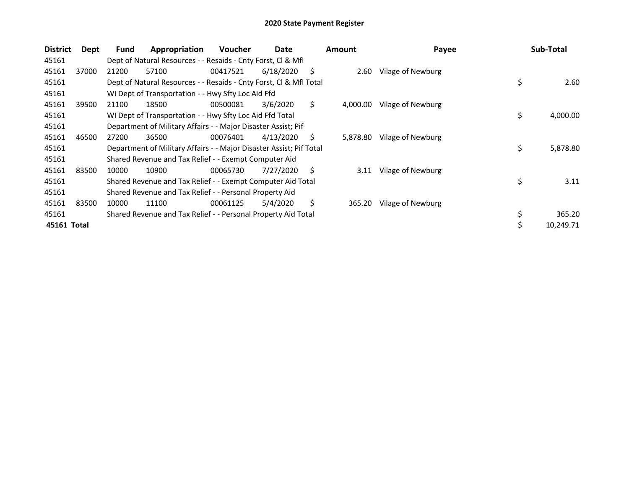| <b>District</b> | Dept  | <b>Fund</b> | Appropriation                                                       | <b>Voucher</b> | Date      |    | <b>Amount</b> | Payee             |    | Sub-Total |
|-----------------|-------|-------------|---------------------------------------------------------------------|----------------|-----------|----|---------------|-------------------|----|-----------|
| 45161           |       |             | Dept of Natural Resources - - Resaids - Cnty Forst, CI & Mfl        |                |           |    |               |                   |    |           |
| 45161           | 37000 | 21200       | 57100                                                               | 00417521       | 6/18/2020 | S  | 2.60          | Vilage of Newburg |    |           |
| 45161           |       |             | Dept of Natural Resources - - Resaids - Cnty Forst, Cl & Mfl Total  |                |           |    |               |                   | \$ | 2.60      |
| 45161           |       |             | WI Dept of Transportation - - Hwy Sfty Loc Aid Ffd                  |                |           |    |               |                   |    |           |
| 45161           | 39500 | 21100       | 18500                                                               | 00500081       | 3/6/2020  | \$ | 4,000.00      | Vilage of Newburg |    |           |
| 45161           |       |             | WI Dept of Transportation - - Hwy Sfty Loc Aid Ffd Total            |                |           |    |               |                   | \$ | 4,000.00  |
| 45161           |       |             | Department of Military Affairs - - Major Disaster Assist; Pif       |                |           |    |               |                   |    |           |
| 45161           | 46500 | 27200       | 36500                                                               | 00076401       | 4/13/2020 | S  | 5,878.80      | Vilage of Newburg |    |           |
| 45161           |       |             | Department of Military Affairs - - Major Disaster Assist; Pif Total |                |           |    |               |                   | \$ | 5,878.80  |
| 45161           |       |             | Shared Revenue and Tax Relief - - Exempt Computer Aid               |                |           |    |               |                   |    |           |
| 45161           | 83500 | 10000       | 10900                                                               | 00065730       | 7/27/2020 | Ŝ. | 3.11          | Vilage of Newburg |    |           |
| 45161           |       |             | Shared Revenue and Tax Relief - - Exempt Computer Aid Total         |                |           |    |               |                   | \$ | 3.11      |
| 45161           |       |             | Shared Revenue and Tax Relief - - Personal Property Aid             |                |           |    |               |                   |    |           |
| 45161           | 83500 | 10000       | 11100                                                               | 00061125       | 5/4/2020  | \$ | 365.20        | Vilage of Newburg |    |           |
| 45161           |       |             | Shared Revenue and Tax Relief - - Personal Property Aid Total       |                |           |    |               |                   | \$ | 365.20    |
| 45161 Total     |       |             |                                                                     |                |           |    |               |                   | Ś. | 10.249.71 |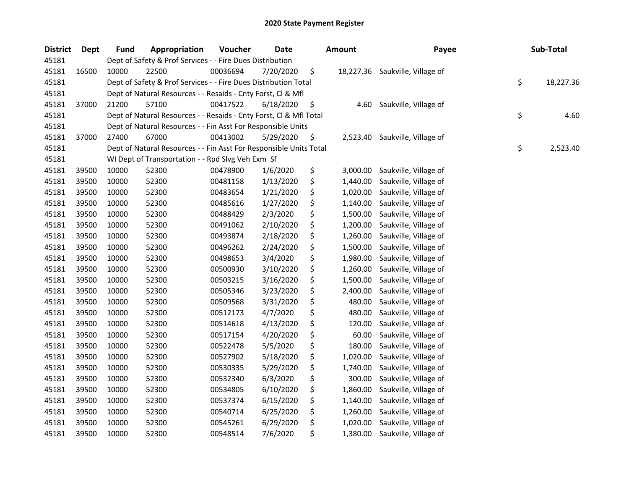| <b>District</b> | Dept  | <b>Fund</b> | Appropriation                                                      | Voucher  | <b>Date</b> | <b>Amount</b>  | Payee                           | Sub-Total       |
|-----------------|-------|-------------|--------------------------------------------------------------------|----------|-------------|----------------|---------------------------------|-----------------|
| 45181           |       |             | Dept of Safety & Prof Services - - Fire Dues Distribution          |          |             |                |                                 |                 |
| 45181           | 16500 | 10000       | 22500                                                              | 00036694 | 7/20/2020   | \$             | 18,227.36 Saukville, Village of |                 |
| 45181           |       |             | Dept of Safety & Prof Services - - Fire Dues Distribution Total    |          |             |                |                                 | \$<br>18,227.36 |
| 45181           |       |             | Dept of Natural Resources - - Resaids - Cnty Forst, Cl & Mfl       |          |             |                |                                 |                 |
| 45181           | 37000 | 21200       | 57100                                                              | 00417522 | 6/18/2020   | \$<br>4.60     | Saukville, Village of           |                 |
| 45181           |       |             | Dept of Natural Resources - - Resaids - Cnty Forst, Cl & Mfl Total |          |             |                |                                 | \$<br>4.60      |
| 45181           |       |             | Dept of Natural Resources - - Fin Asst For Responsible Units       |          |             |                |                                 |                 |
| 45181           | 37000 | 27400       | 67000                                                              | 00413002 | 5/29/2020   | \$<br>2,523.40 | Saukville, Village of           |                 |
| 45181           |       |             | Dept of Natural Resources - - Fin Asst For Responsible Units Total |          |             |                |                                 | \$<br>2,523.40  |
| 45181           |       |             | WI Dept of Transportation - - Rpd Slvg Veh Exm Sf                  |          |             |                |                                 |                 |
| 45181           | 39500 | 10000       | 52300                                                              | 00478900 | 1/6/2020    | \$<br>3,000.00 | Saukville, Village of           |                 |
| 45181           | 39500 | 10000       | 52300                                                              | 00481158 | 1/13/2020   | \$<br>1,440.00 | Saukville, Village of           |                 |
| 45181           | 39500 | 10000       | 52300                                                              | 00483654 | 1/21/2020   | \$<br>1,020.00 | Saukville, Village of           |                 |
| 45181           | 39500 | 10000       | 52300                                                              | 00485616 | 1/27/2020   | \$<br>1,140.00 | Saukville, Village of           |                 |
| 45181           | 39500 | 10000       | 52300                                                              | 00488429 | 2/3/2020    | \$<br>1,500.00 | Saukville, Village of           |                 |
| 45181           | 39500 | 10000       | 52300                                                              | 00491062 | 2/10/2020   | \$<br>1,200.00 | Saukville, Village of           |                 |
| 45181           | 39500 | 10000       | 52300                                                              | 00493874 | 2/18/2020   | \$<br>1,260.00 | Saukville, Village of           |                 |
| 45181           | 39500 | 10000       | 52300                                                              | 00496262 | 2/24/2020   | \$<br>1,500.00 | Saukville, Village of           |                 |
| 45181           | 39500 | 10000       | 52300                                                              | 00498653 | 3/4/2020    | \$<br>1,980.00 | Saukville, Village of           |                 |
| 45181           | 39500 | 10000       | 52300                                                              | 00500930 | 3/10/2020   | \$<br>1,260.00 | Saukville, Village of           |                 |
| 45181           | 39500 | 10000       | 52300                                                              | 00503215 | 3/16/2020   | \$<br>1,500.00 | Saukville, Village of           |                 |
| 45181           | 39500 | 10000       | 52300                                                              | 00505346 | 3/23/2020   | \$<br>2,400.00 | Saukville, Village of           |                 |
| 45181           | 39500 | 10000       | 52300                                                              | 00509568 | 3/31/2020   | \$<br>480.00   | Saukville, Village of           |                 |
| 45181           | 39500 | 10000       | 52300                                                              | 00512173 | 4/7/2020    | \$<br>480.00   | Saukville, Village of           |                 |
| 45181           | 39500 | 10000       | 52300                                                              | 00514618 | 4/13/2020   | \$<br>120.00   | Saukville, Village of           |                 |
| 45181           | 39500 | 10000       | 52300                                                              | 00517154 | 4/20/2020   | \$<br>60.00    | Saukville, Village of           |                 |
| 45181           | 39500 | 10000       | 52300                                                              | 00522478 | 5/5/2020    | \$<br>180.00   | Saukville, Village of           |                 |
| 45181           | 39500 | 10000       | 52300                                                              | 00527902 | 5/18/2020   | \$<br>1,020.00 | Saukville, Village of           |                 |
| 45181           | 39500 | 10000       | 52300                                                              | 00530335 | 5/29/2020   | \$<br>1,740.00 | Saukville, Village of           |                 |
| 45181           | 39500 | 10000       | 52300                                                              | 00532340 | 6/3/2020    | \$<br>300.00   | Saukville, Village of           |                 |
| 45181           | 39500 | 10000       | 52300                                                              | 00534805 | 6/10/2020   | \$<br>1,860.00 | Saukville, Village of           |                 |
| 45181           | 39500 | 10000       | 52300                                                              | 00537374 | 6/15/2020   | \$<br>1,140.00 | Saukville, Village of           |                 |
| 45181           | 39500 | 10000       | 52300                                                              | 00540714 | 6/25/2020   | \$<br>1,260.00 | Saukville, Village of           |                 |
| 45181           | 39500 | 10000       | 52300                                                              | 00545261 | 6/29/2020   | \$<br>1,020.00 | Saukville, Village of           |                 |
| 45181           | 39500 | 10000       | 52300                                                              | 00548514 | 7/6/2020    | \$<br>1,380.00 | Saukville, Village of           |                 |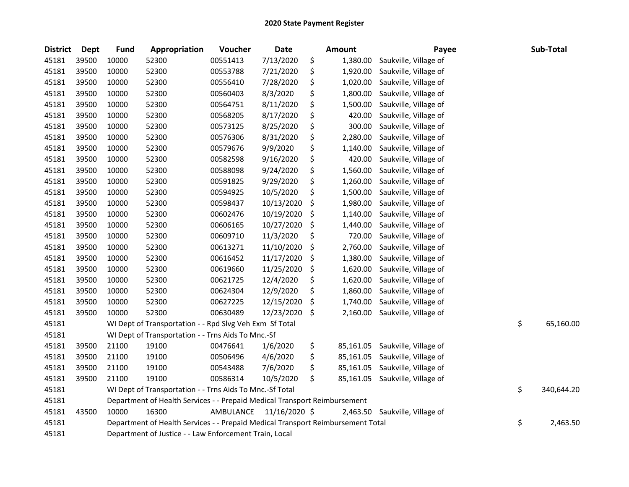| <b>District</b> | <b>Dept</b> | <b>Fund</b> | <b>Appropriation</b>                                                            | Voucher   | Date          | <b>Amount</b>   | Payee                 | Sub-Total        |
|-----------------|-------------|-------------|---------------------------------------------------------------------------------|-----------|---------------|-----------------|-----------------------|------------------|
| 45181           | 39500       | 10000       | 52300                                                                           | 00551413  | 7/13/2020     | \$<br>1,380.00  | Saukville, Village of |                  |
| 45181           | 39500       | 10000       | 52300                                                                           | 00553788  | 7/21/2020     | \$<br>1,920.00  | Saukville, Village of |                  |
| 45181           | 39500       | 10000       | 52300                                                                           | 00556410  | 7/28/2020     | \$<br>1,020.00  | Saukville, Village of |                  |
| 45181           | 39500       | 10000       | 52300                                                                           | 00560403  | 8/3/2020      | \$<br>1,800.00  | Saukville, Village of |                  |
| 45181           | 39500       | 10000       | 52300                                                                           | 00564751  | 8/11/2020     | \$<br>1,500.00  | Saukville, Village of |                  |
| 45181           | 39500       | 10000       | 52300                                                                           | 00568205  | 8/17/2020     | \$<br>420.00    | Saukville, Village of |                  |
| 45181           | 39500       | 10000       | 52300                                                                           | 00573125  | 8/25/2020     | \$<br>300.00    | Saukville, Village of |                  |
| 45181           | 39500       | 10000       | 52300                                                                           | 00576306  | 8/31/2020     | \$<br>2,280.00  | Saukville, Village of |                  |
| 45181           | 39500       | 10000       | 52300                                                                           | 00579676  | 9/9/2020      | \$<br>1,140.00  | Saukville, Village of |                  |
| 45181           | 39500       | 10000       | 52300                                                                           | 00582598  | 9/16/2020     | \$<br>420.00    | Saukville, Village of |                  |
| 45181           | 39500       | 10000       | 52300                                                                           | 00588098  | 9/24/2020     | \$<br>1,560.00  | Saukville, Village of |                  |
| 45181           | 39500       | 10000       | 52300                                                                           | 00591825  | 9/29/2020     | \$<br>1,260.00  | Saukville, Village of |                  |
| 45181           | 39500       | 10000       | 52300                                                                           | 00594925  | 10/5/2020     | \$<br>1,500.00  | Saukville, Village of |                  |
| 45181           | 39500       | 10000       | 52300                                                                           | 00598437  | 10/13/2020    | \$<br>1,980.00  | Saukville, Village of |                  |
| 45181           | 39500       | 10000       | 52300                                                                           | 00602476  | 10/19/2020    | \$<br>1,140.00  | Saukville, Village of |                  |
| 45181           | 39500       | 10000       | 52300                                                                           | 00606165  | 10/27/2020    | \$<br>1,440.00  | Saukville, Village of |                  |
| 45181           | 39500       | 10000       | 52300                                                                           | 00609710  | 11/3/2020     | \$<br>720.00    | Saukville, Village of |                  |
| 45181           | 39500       | 10000       | 52300                                                                           | 00613271  | 11/10/2020    | \$<br>2,760.00  | Saukville, Village of |                  |
| 45181           | 39500       | 10000       | 52300                                                                           | 00616452  | 11/17/2020    | \$<br>1,380.00  | Saukville, Village of |                  |
| 45181           | 39500       | 10000       | 52300                                                                           | 00619660  | 11/25/2020    | \$<br>1,620.00  | Saukville, Village of |                  |
| 45181           | 39500       | 10000       | 52300                                                                           | 00621725  | 12/4/2020     | \$<br>1,620.00  | Saukville, Village of |                  |
| 45181           | 39500       | 10000       | 52300                                                                           | 00624304  | 12/9/2020     | \$<br>1,860.00  | Saukville, Village of |                  |
| 45181           | 39500       | 10000       | 52300                                                                           | 00627225  | 12/15/2020    | \$<br>1,740.00  | Saukville, Village of |                  |
| 45181           | 39500       | 10000       | 52300                                                                           | 00630489  | 12/23/2020    | \$<br>2,160.00  | Saukville, Village of |                  |
| 45181           |             |             | WI Dept of Transportation - - Rpd Slvg Veh Exm Sf Total                         |           |               |                 |                       | \$<br>65,160.00  |
| 45181           |             |             | WI Dept of Transportation - - Trns Aids To Mnc.-Sf                              |           |               |                 |                       |                  |
| 45181           | 39500       | 21100       | 19100                                                                           | 00476641  | 1/6/2020      | \$<br>85,161.05 | Saukville, Village of |                  |
| 45181           | 39500       | 21100       | 19100                                                                           | 00506496  | 4/6/2020      | \$<br>85,161.05 | Saukville, Village of |                  |
| 45181           | 39500       | 21100       | 19100                                                                           | 00543488  | 7/6/2020      | \$<br>85,161.05 | Saukville, Village of |                  |
| 45181           | 39500       | 21100       | 19100                                                                           | 00586314  | 10/5/2020     | \$<br>85,161.05 | Saukville, Village of |                  |
| 45181           |             |             | WI Dept of Transportation - - Trns Aids To Mnc.-Sf Total                        |           |               |                 |                       | \$<br>340,644.20 |
| 45181           |             |             | Department of Health Services - - Prepaid Medical Transport Reimbursement       |           |               |                 |                       |                  |
| 45181           | 43500       | 10000       | 16300                                                                           | AMBULANCE | 11/16/2020 \$ | 2,463.50        | Saukville, Village of |                  |
| 45181           |             |             | Department of Health Services - - Prepaid Medical Transport Reimbursement Total |           |               |                 |                       | \$<br>2,463.50   |
| 45181           |             |             | Department of Justice - - Law Enforcement Train, Local                          |           |               |                 |                       |                  |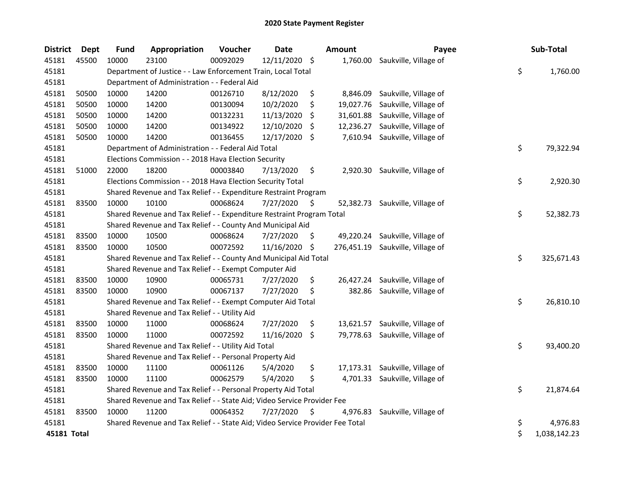| <b>District</b> | <b>Dept</b> | <b>Fund</b> | Appropriation                                                                 | Voucher  | Date          |                    | <b>Amount</b> | Payee                            | Sub-Total          |
|-----------------|-------------|-------------|-------------------------------------------------------------------------------|----------|---------------|--------------------|---------------|----------------------------------|--------------------|
| 45181           | 45500       | 10000       | 23100                                                                         | 00092029 | 12/11/2020 \$ |                    | 1,760.00      | Saukville, Village of            |                    |
| 45181           |             |             | Department of Justice - - Law Enforcement Train, Local Total                  |          |               |                    |               |                                  | \$<br>1,760.00     |
| 45181           |             |             | Department of Administration - - Federal Aid                                  |          |               |                    |               |                                  |                    |
| 45181           | 50500       | 10000       | 14200                                                                         | 00126710 | 8/12/2020     | \$                 | 8,846.09      | Saukville, Village of            |                    |
| 45181           | 50500       | 10000       | 14200                                                                         | 00130094 | 10/2/2020     | \$                 | 19,027.76     | Saukville, Village of            |                    |
| 45181           | 50500       | 10000       | 14200                                                                         | 00132231 | 11/13/2020    | -S                 |               | 31,601.88 Saukville, Village of  |                    |
| 45181           | 50500       | 10000       | 14200                                                                         | 00134922 | 12/10/2020    | \$.                | 12,236.27     | Saukville, Village of            |                    |
| 45181           | 50500       | 10000       | 14200                                                                         | 00136455 | 12/17/2020    | \$                 |               | 7,610.94 Saukville, Village of   |                    |
| 45181           |             |             | Department of Administration - - Federal Aid Total                            |          |               |                    |               |                                  | \$<br>79,322.94    |
| 45181           |             |             | Elections Commission - - 2018 Hava Election Security                          |          |               |                    |               |                                  |                    |
| 45181           | 51000       | 22000       | 18200                                                                         | 00003840 | 7/13/2020     | \$                 | 2,920.30      | Saukville, Village of            |                    |
| 45181           |             |             | Elections Commission - - 2018 Hava Election Security Total                    |          |               |                    |               |                                  | \$<br>2,920.30     |
| 45181           |             |             | Shared Revenue and Tax Relief - - Expenditure Restraint Program               |          |               |                    |               |                                  |                    |
| 45181           | 83500       | 10000       | 10100                                                                         | 00068624 | 7/27/2020     | \$                 |               | 52,382.73 Saukville, Village of  |                    |
| 45181           |             |             | Shared Revenue and Tax Relief - - Expenditure Restraint Program Total         |          |               |                    |               |                                  | \$<br>52,382.73    |
| 45181           |             |             | Shared Revenue and Tax Relief - - County And Municipal Aid                    |          |               |                    |               |                                  |                    |
| 45181           | 83500       | 10000       | 10500                                                                         | 00068624 | 7/27/2020     | \$.                |               | 49,220.24 Saukville, Village of  |                    |
| 45181           | 83500       | 10000       | 10500                                                                         | 00072592 | 11/16/2020 \$ |                    |               | 276,451.19 Saukville, Village of |                    |
| 45181           |             |             | Shared Revenue and Tax Relief - - County And Municipal Aid Total              |          |               |                    |               |                                  | \$<br>325,671.43   |
| 45181           |             |             | Shared Revenue and Tax Relief - - Exempt Computer Aid                         |          |               |                    |               |                                  |                    |
| 45181           | 83500       | 10000       | 10900                                                                         | 00065731 | 7/27/2020     | \$                 |               | 26,427.24 Saukville, Village of  |                    |
| 45181           | 83500       | 10000       | 10900                                                                         | 00067137 | 7/27/2020     | \$                 |               | 382.86 Saukville, Village of     |                    |
| 45181           |             |             | Shared Revenue and Tax Relief - - Exempt Computer Aid Total                   |          |               |                    |               |                                  | \$<br>26,810.10    |
| 45181           |             |             | Shared Revenue and Tax Relief - - Utility Aid                                 |          |               |                    |               |                                  |                    |
| 45181           | 83500       | 10000       | 11000                                                                         | 00068624 | 7/27/2020     | \$                 | 13,621.57     | Saukville, Village of            |                    |
| 45181           | 83500       | 10000       | 11000                                                                         | 00072592 | 11/16/2020    | $\ddot{\varsigma}$ |               | 79,778.63 Saukville, Village of  |                    |
| 45181           |             |             | Shared Revenue and Tax Relief - - Utility Aid Total                           |          |               |                    |               |                                  | \$<br>93,400.20    |
| 45181           |             |             | Shared Revenue and Tax Relief - - Personal Property Aid                       |          |               |                    |               |                                  |                    |
| 45181           | 83500       | 10000       | 11100                                                                         | 00061126 | 5/4/2020      | \$                 |               | 17,173.31 Saukville, Village of  |                    |
| 45181           | 83500       | 10000       | 11100                                                                         | 00062579 | 5/4/2020      | \$                 |               | 4,701.33 Saukville, Village of   |                    |
| 45181           |             |             | Shared Revenue and Tax Relief - - Personal Property Aid Total                 |          |               |                    |               |                                  | \$<br>21,874.64    |
| 45181           |             |             | Shared Revenue and Tax Relief - - State Aid; Video Service Provider Fee       |          |               |                    |               |                                  |                    |
| 45181           | 83500       | 10000       | 11200                                                                         | 00064352 | 7/27/2020     | \$                 | 4,976.83      | Saukville, Village of            |                    |
| 45181           |             |             | Shared Revenue and Tax Relief - - State Aid; Video Service Provider Fee Total |          |               |                    |               |                                  | \$<br>4,976.83     |
| 45181 Total     |             |             |                                                                               |          |               |                    |               |                                  | \$<br>1,038,142.23 |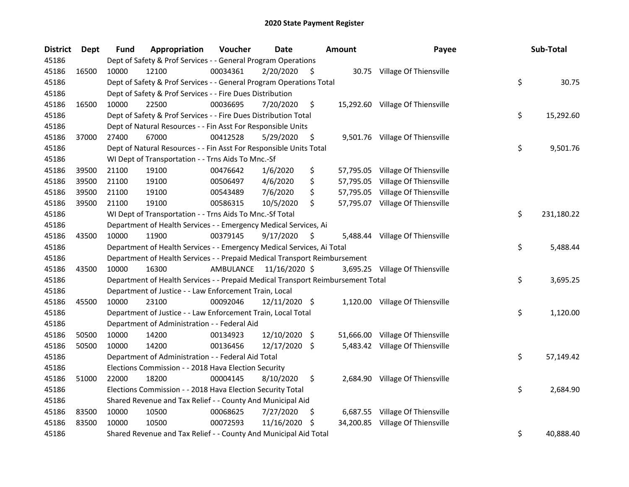| <b>District</b> | <b>Dept</b> | <b>Fund</b> | Appropriation                                                                   | Voucher   | <b>Date</b>     |      | <b>Amount</b> | Payee                            | Sub-Total        |
|-----------------|-------------|-------------|---------------------------------------------------------------------------------|-----------|-----------------|------|---------------|----------------------------------|------------------|
| 45186           |             |             | Dept of Safety & Prof Services - - General Program Operations                   |           |                 |      |               |                                  |                  |
| 45186           | 16500       | 10000       | 12100                                                                           | 00034361  | 2/20/2020       | - \$ |               | 30.75 Village Of Thiensville     |                  |
| 45186           |             |             | Dept of Safety & Prof Services - - General Program Operations Total             |           |                 |      |               |                                  | \$<br>30.75      |
| 45186           |             |             | Dept of Safety & Prof Services - - Fire Dues Distribution                       |           |                 |      |               |                                  |                  |
| 45186           | 16500       | 10000       | 22500                                                                           | 00036695  | 7/20/2020       | \$   |               | 15,292.60 Village Of Thiensville |                  |
| 45186           |             |             | Dept of Safety & Prof Services - - Fire Dues Distribution Total                 |           |                 |      |               |                                  | \$<br>15,292.60  |
| 45186           |             |             | Dept of Natural Resources - - Fin Asst For Responsible Units                    |           |                 |      |               |                                  |                  |
| 45186           | 37000       | 27400       | 67000                                                                           | 00412528  | 5/29/2020       | \$   |               | 9,501.76 Village Of Thiensville  |                  |
| 45186           |             |             | Dept of Natural Resources - - Fin Asst For Responsible Units Total              |           |                 |      |               |                                  | \$<br>9,501.76   |
| 45186           |             |             | WI Dept of Transportation - - Trns Aids To Mnc.-Sf                              |           |                 |      |               |                                  |                  |
| 45186           | 39500       | 21100       | 19100                                                                           | 00476642  | 1/6/2020        | \$   |               | 57,795.05 Village Of Thiensville |                  |
| 45186           | 39500       | 21100       | 19100                                                                           | 00506497  | 4/6/2020        | \$   |               | 57,795.05 Village Of Thiensville |                  |
| 45186           | 39500       | 21100       | 19100                                                                           | 00543489  | 7/6/2020        | \$   |               | 57,795.05 Village Of Thiensville |                  |
| 45186           | 39500       | 21100       | 19100                                                                           | 00586315  | 10/5/2020       | \$   |               | 57,795.07 Village Of Thiensville |                  |
| 45186           |             |             | WI Dept of Transportation - - Trns Aids To Mnc.-Sf Total                        |           |                 |      |               |                                  | \$<br>231,180.22 |
| 45186           |             |             | Department of Health Services - - Emergency Medical Services, Ai                |           |                 |      |               |                                  |                  |
| 45186           | 43500       | 10000       | 11900                                                                           | 00379145  | 9/17/2020       | \$   |               | 5,488.44 Village Of Thiensville  |                  |
| 45186           |             |             | Department of Health Services - - Emergency Medical Services, Ai Total          |           |                 |      |               |                                  | \$<br>5,488.44   |
| 45186           |             |             | Department of Health Services - - Prepaid Medical Transport Reimbursement       |           |                 |      |               |                                  |                  |
| 45186           | 43500       | 10000       | 16300                                                                           | AMBULANCE | 11/16/2020 \$   |      |               | 3,695.25 Village Of Thiensville  |                  |
| 45186           |             |             | Department of Health Services - - Prepaid Medical Transport Reimbursement Total |           |                 |      |               |                                  | \$<br>3,695.25   |
| 45186           |             |             | Department of Justice - - Law Enforcement Train, Local                          |           |                 |      |               |                                  |                  |
| 45186           | 45500       | 10000       | 23100                                                                           | 00092046  | $12/11/2020$ \$ |      |               | 1,120.00 Village Of Thiensville  |                  |
| 45186           |             |             | Department of Justice - - Law Enforcement Train, Local Total                    |           |                 |      |               |                                  | \$<br>1,120.00   |
| 45186           |             |             | Department of Administration - - Federal Aid                                    |           |                 |      |               |                                  |                  |
| 45186           | 50500       | 10000       | 14200                                                                           | 00134923  | 12/10/2020      | -\$  |               | 51,666.00 Village Of Thiensville |                  |
| 45186           | 50500       | 10000       | 14200                                                                           | 00136456  | 12/17/2020 \$   |      |               | 5,483.42 Village Of Thiensville  |                  |
| 45186           |             |             | Department of Administration - - Federal Aid Total                              |           |                 |      |               |                                  | \$<br>57,149.42  |
| 45186           |             |             | Elections Commission - - 2018 Hava Election Security                            |           |                 |      |               |                                  |                  |
| 45186           | 51000       | 22000       | 18200                                                                           | 00004145  | 8/10/2020       | \$   |               | 2,684.90 Village Of Thiensville  |                  |
| 45186           |             |             | Elections Commission - - 2018 Hava Election Security Total                      |           |                 |      |               |                                  | \$<br>2,684.90   |
| 45186           |             |             | Shared Revenue and Tax Relief - - County And Municipal Aid                      |           |                 |      |               |                                  |                  |
| 45186           | 83500       | 10000       | 10500                                                                           | 00068625  | 7/27/2020       | \$.  |               | 6,687.55 Village Of Thiensville  |                  |
| 45186           | 83500       | 10000       | 10500                                                                           | 00072593  | 11/16/2020      | -\$  |               | 34,200.85 Village Of Thiensville |                  |
| 45186           |             |             | Shared Revenue and Tax Relief - - County And Municipal Aid Total                |           |                 |      |               |                                  | \$<br>40,888.40  |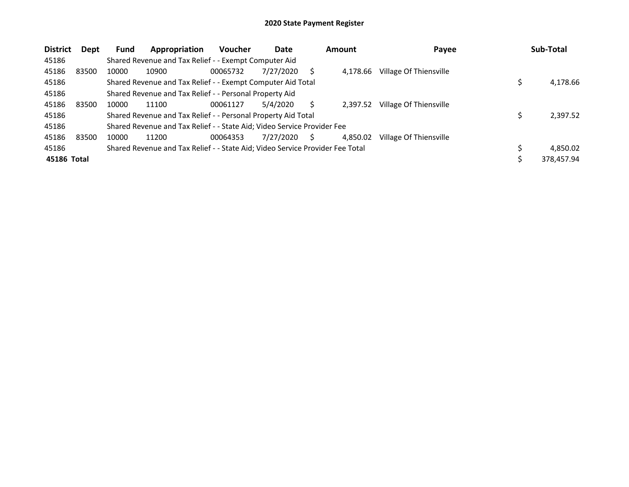| <b>District</b> | Dept  | <b>Fund</b> | Appropriation                                                                 | <b>Voucher</b> | Date      |   | <b>Amount</b> | Payee                  | Sub-Total  |
|-----------------|-------|-------------|-------------------------------------------------------------------------------|----------------|-----------|---|---------------|------------------------|------------|
| 45186           |       |             | Shared Revenue and Tax Relief - - Exempt Computer Aid                         |                |           |   |               |                        |            |
| 45186           | 83500 | 10000       | 10900                                                                         | 00065732       | 7/27/2020 |   | 4.178.66      | Village Of Thiensville |            |
| 45186           |       |             | Shared Revenue and Tax Relief - - Exempt Computer Aid Total                   |                |           |   |               |                        | 4,178.66   |
| 45186           |       |             | Shared Revenue and Tax Relief - - Personal Property Aid                       |                |           |   |               |                        |            |
| 45186           | 83500 | 10000       | 11100                                                                         | 00061127       | 5/4/2020  |   | 2,397.52      | Village Of Thiensville |            |
| 45186           |       |             | Shared Revenue and Tax Relief - - Personal Property Aid Total                 |                |           |   |               |                        | 2,397.52   |
| 45186           |       |             | Shared Revenue and Tax Relief - - State Aid; Video Service Provider Fee       |                |           |   |               |                        |            |
| 45186           | 83500 | 10000       | 11200                                                                         | 00064353       | 7/27/2020 | S | 4.850.02      | Village Of Thiensville |            |
| 45186           |       |             | Shared Revenue and Tax Relief - - State Aid; Video Service Provider Fee Total |                |           |   |               |                        | 4.850.02   |
| 45186 Total     |       |             |                                                                               |                |           |   |               |                        | 378,457.94 |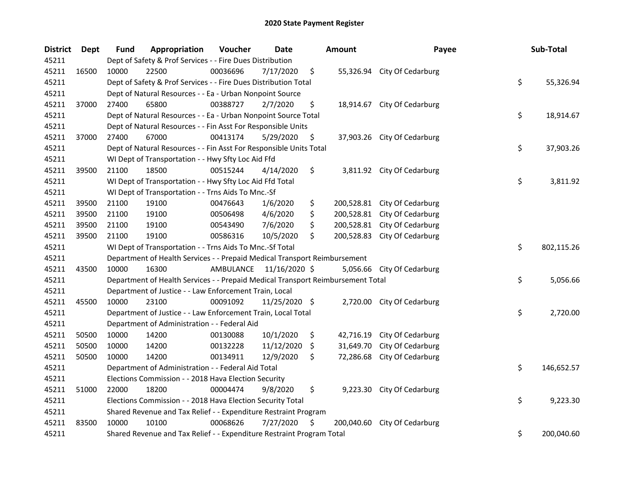| <b>District</b> | Dept  | Fund  | Appropriation                                                                   | Voucher   | <b>Date</b>   |     | <b>Amount</b> | Payee                       | Sub-Total        |
|-----------------|-------|-------|---------------------------------------------------------------------------------|-----------|---------------|-----|---------------|-----------------------------|------------------|
| 45211           |       |       | Dept of Safety & Prof Services - - Fire Dues Distribution                       |           |               |     |               |                             |                  |
| 45211           | 16500 | 10000 | 22500                                                                           | 00036696  | 7/17/2020     | \$  |               | 55,326.94 City Of Cedarburg |                  |
| 45211           |       |       | Dept of Safety & Prof Services - - Fire Dues Distribution Total                 |           |               |     |               |                             | \$<br>55,326.94  |
| 45211           |       |       | Dept of Natural Resources - - Ea - Urban Nonpoint Source                        |           |               |     |               |                             |                  |
| 45211           | 37000 | 27400 | 65800                                                                           | 00388727  | 2/7/2020      | \$  |               | 18,914.67 City Of Cedarburg |                  |
| 45211           |       |       | Dept of Natural Resources - - Ea - Urban Nonpoint Source Total                  |           |               |     |               |                             | \$<br>18,914.67  |
| 45211           |       |       | Dept of Natural Resources - - Fin Asst For Responsible Units                    |           |               |     |               |                             |                  |
| 45211           | 37000 | 27400 | 67000                                                                           | 00413174  | 5/29/2020     | \$  |               | 37,903.26 City Of Cedarburg |                  |
| 45211           |       |       | Dept of Natural Resources - - Fin Asst For Responsible Units Total              |           |               |     |               |                             | \$<br>37,903.26  |
| 45211           |       |       | WI Dept of Transportation - - Hwy Sfty Loc Aid Ffd                              |           |               |     |               |                             |                  |
| 45211           | 39500 | 21100 | 18500                                                                           | 00515244  | 4/14/2020     | \$  |               | 3,811.92 City Of Cedarburg  |                  |
| 45211           |       |       | WI Dept of Transportation - - Hwy Sfty Loc Aid Ffd Total                        |           |               |     |               |                             | \$<br>3,811.92   |
| 45211           |       |       | WI Dept of Transportation - - Trns Aids To Mnc.-Sf                              |           |               |     |               |                             |                  |
| 45211           | 39500 | 21100 | 19100                                                                           | 00476643  | 1/6/2020      | \$  | 200,528.81    | City Of Cedarburg           |                  |
| 45211           | 39500 | 21100 | 19100                                                                           | 00506498  | 4/6/2020      | \$  | 200,528.81    | City Of Cedarburg           |                  |
| 45211           | 39500 | 21100 | 19100                                                                           | 00543490  | 7/6/2020      | \$  | 200,528.81    | City Of Cedarburg           |                  |
| 45211           | 39500 | 21100 | 19100                                                                           | 00586316  | 10/5/2020     | \$  | 200,528.83    | City Of Cedarburg           |                  |
| 45211           |       |       | WI Dept of Transportation - - Trns Aids To Mnc.-Sf Total                        |           |               |     |               |                             | \$<br>802,115.26 |
| 45211           |       |       | Department of Health Services - - Prepaid Medical Transport Reimbursement       |           |               |     |               |                             |                  |
| 45211           | 43500 | 10000 | 16300                                                                           | AMBULANCE | 11/16/2020 \$ |     |               | 5,056.66 City Of Cedarburg  |                  |
| 45211           |       |       | Department of Health Services - - Prepaid Medical Transport Reimbursement Total |           |               |     |               |                             | \$<br>5,056.66   |
| 45211           |       |       | Department of Justice - - Law Enforcement Train, Local                          |           |               |     |               |                             |                  |
| 45211           | 45500 | 10000 | 23100                                                                           | 00091092  | 11/25/2020 \$ |     |               | 2,720.00 City Of Cedarburg  |                  |
| 45211           |       |       | Department of Justice - - Law Enforcement Train, Local Total                    |           |               |     |               |                             | \$<br>2,720.00   |
| 45211           |       |       | Department of Administration - - Federal Aid                                    |           |               |     |               |                             |                  |
| 45211           | 50500 | 10000 | 14200                                                                           | 00130088  | 10/1/2020     | \$  | 42,716.19     | City Of Cedarburg           |                  |
| 45211           | 50500 | 10000 | 14200                                                                           | 00132228  | 11/12/2020    | \$. | 31,649.70     | City Of Cedarburg           |                  |
| 45211           | 50500 | 10000 | 14200                                                                           | 00134911  | 12/9/2020     | \$  | 72,286.68     | City Of Cedarburg           |                  |
| 45211           |       |       | Department of Administration - - Federal Aid Total                              |           |               |     |               |                             | \$<br>146,652.57 |
| 45211           |       |       | Elections Commission - - 2018 Hava Election Security                            |           |               |     |               |                             |                  |
| 45211           | 51000 | 22000 | 18200                                                                           | 00004474  | 9/8/2020      | \$  | 9,223.30      | City Of Cedarburg           |                  |
| 45211           |       |       | Elections Commission - - 2018 Hava Election Security Total                      |           |               |     |               |                             | \$<br>9,223.30   |
| 45211           |       |       | Shared Revenue and Tax Relief - - Expenditure Restraint Program                 |           |               |     |               |                             |                  |
| 45211           | 83500 | 10000 | 10100                                                                           | 00068626  | 7/27/2020     | \$  | 200,040.60    | City Of Cedarburg           |                  |
| 45211           |       |       | Shared Revenue and Tax Relief - - Expenditure Restraint Program Total           |           |               |     |               |                             | \$<br>200,040.60 |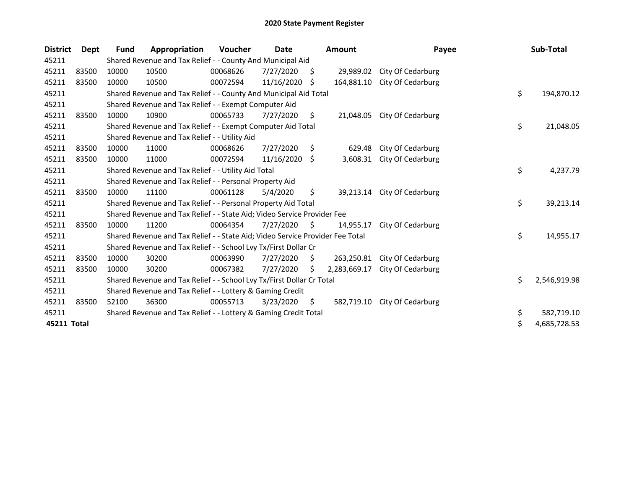| <b>District</b> | Dept  | <b>Fund</b> | Appropriation                                                                 | <b>Voucher</b> | Date       |    | <b>Amount</b> | Payee             | Sub-Total          |
|-----------------|-------|-------------|-------------------------------------------------------------------------------|----------------|------------|----|---------------|-------------------|--------------------|
| 45211           |       |             | Shared Revenue and Tax Relief - - County And Municipal Aid                    |                |            |    |               |                   |                    |
| 45211           | 83500 | 10000       | 10500                                                                         | 00068626       | 7/27/2020  | \$ | 29,989.02     | City Of Cedarburg |                    |
| 45211           | 83500 | 10000       | 10500                                                                         | 00072594       | 11/16/2020 | \$ | 164,881.10    | City Of Cedarburg |                    |
| 45211           |       |             | Shared Revenue and Tax Relief - - County And Municipal Aid Total              |                |            |    |               |                   | \$<br>194,870.12   |
| 45211           |       |             | Shared Revenue and Tax Relief - - Exempt Computer Aid                         |                |            |    |               |                   |                    |
| 45211           | 83500 | 10000       | 10900                                                                         | 00065733       | 7/27/2020  | \$ | 21,048.05     | City Of Cedarburg |                    |
| 45211           |       |             | Shared Revenue and Tax Relief - - Exempt Computer Aid Total                   |                |            |    |               |                   | \$<br>21,048.05    |
| 45211           |       |             | Shared Revenue and Tax Relief - - Utility Aid                                 |                |            |    |               |                   |                    |
| 45211           | 83500 | 10000       | 11000                                                                         | 00068626       | 7/27/2020  | S. | 629.48        | City Of Cedarburg |                    |
| 45211           | 83500 | 10000       | 11000                                                                         | 00072594       | 11/16/2020 | Ŝ. | 3,608.31      | City Of Cedarburg |                    |
| 45211           |       |             | Shared Revenue and Tax Relief - - Utility Aid Total                           |                |            |    |               |                   | \$<br>4,237.79     |
| 45211           |       |             | Shared Revenue and Tax Relief - - Personal Property Aid                       |                |            |    |               |                   |                    |
| 45211           | 83500 | 10000       | 11100                                                                         | 00061128       | 5/4/2020   | \$ | 39,213.14     | City Of Cedarburg |                    |
| 45211           |       |             | Shared Revenue and Tax Relief - - Personal Property Aid Total                 |                |            |    |               |                   | \$<br>39,213.14    |
| 45211           |       |             | Shared Revenue and Tax Relief - - State Aid; Video Service Provider Fee       |                |            |    |               |                   |                    |
| 45211           | 83500 | 10000       | 11200                                                                         | 00064354       | 7/27/2020  | S. | 14,955.17     | City Of Cedarburg |                    |
| 45211           |       |             | Shared Revenue and Tax Relief - - State Aid; Video Service Provider Fee Total |                |            |    |               |                   | \$<br>14,955.17    |
| 45211           |       |             | Shared Revenue and Tax Relief - - School Lvy Tx/First Dollar Cr               |                |            |    |               |                   |                    |
| 45211           | 83500 | 10000       | 30200                                                                         | 00063990       | 7/27/2020  | \$ | 263,250.81    | City Of Cedarburg |                    |
| 45211           | 83500 | 10000       | 30200                                                                         | 00067382       | 7/27/2020  | S. | 2,283,669.17  | City Of Cedarburg |                    |
| 45211           |       |             | Shared Revenue and Tax Relief - - School Lvy Tx/First Dollar Cr Total         |                |            |    |               |                   | \$<br>2,546,919.98 |
| 45211           |       |             | Shared Revenue and Tax Relief - - Lottery & Gaming Credit                     |                |            |    |               |                   |                    |
| 45211           | 83500 | 52100       | 36300                                                                         | 00055713       | 3/23/2020  | \$ | 582,719.10    | City Of Cedarburg |                    |
| 45211           |       |             | Shared Revenue and Tax Relief - - Lottery & Gaming Credit Total               |                |            |    |               |                   | \$<br>582,719.10   |
| 45211 Total     |       |             |                                                                               |                |            |    |               |                   | \$<br>4,685,728.53 |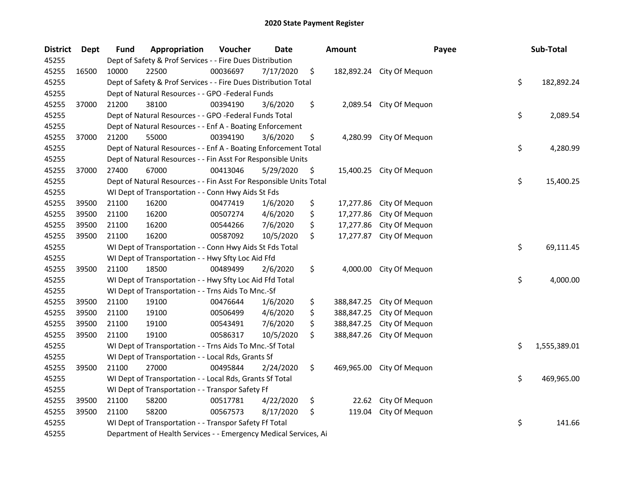| Dept  | Fund            | Appropriation | Voucher  | <b>Date</b> |                                                                                                                                                                                                                                                                                                                                                                                                                                                                                                                                                                                                                                                                                                                                                                                                                            |                                                                                                                                                                                                                                                                                                                                              | Payee          |                                                                   | Sub-Total    |
|-------|-----------------|---------------|----------|-------------|----------------------------------------------------------------------------------------------------------------------------------------------------------------------------------------------------------------------------------------------------------------------------------------------------------------------------------------------------------------------------------------------------------------------------------------------------------------------------------------------------------------------------------------------------------------------------------------------------------------------------------------------------------------------------------------------------------------------------------------------------------------------------------------------------------------------------|----------------------------------------------------------------------------------------------------------------------------------------------------------------------------------------------------------------------------------------------------------------------------------------------------------------------------------------------|----------------|-------------------------------------------------------------------|--------------|
|       |                 |               |          |             |                                                                                                                                                                                                                                                                                                                                                                                                                                                                                                                                                                                                                                                                                                                                                                                                                            |                                                                                                                                                                                                                                                                                                                                              |                |                                                                   |              |
| 16500 | 10000           | 22500         | 00036697 | 7/17/2020   | \$                                                                                                                                                                                                                                                                                                                                                                                                                                                                                                                                                                                                                                                                                                                                                                                                                         |                                                                                                                                                                                                                                                                                                                                              | City Of Mequon |                                                                   |              |
|       |                 |               |          |             |                                                                                                                                                                                                                                                                                                                                                                                                                                                                                                                                                                                                                                                                                                                                                                                                                            |                                                                                                                                                                                                                                                                                                                                              |                | \$                                                                | 182,892.24   |
|       |                 |               |          |             |                                                                                                                                                                                                                                                                                                                                                                                                                                                                                                                                                                                                                                                                                                                                                                                                                            |                                                                                                                                                                                                                                                                                                                                              |                |                                                                   |              |
| 37000 | 21200           | 38100         | 00394190 | 3/6/2020    | \$                                                                                                                                                                                                                                                                                                                                                                                                                                                                                                                                                                                                                                                                                                                                                                                                                         | 2,089.54                                                                                                                                                                                                                                                                                                                                     | City Of Mequon |                                                                   |              |
|       |                 |               |          |             |                                                                                                                                                                                                                                                                                                                                                                                                                                                                                                                                                                                                                                                                                                                                                                                                                            |                                                                                                                                                                                                                                                                                                                                              |                | \$                                                                | 2,089.54     |
|       |                 |               |          |             |                                                                                                                                                                                                                                                                                                                                                                                                                                                                                                                                                                                                                                                                                                                                                                                                                            |                                                                                                                                                                                                                                                                                                                                              |                |                                                                   |              |
| 37000 | 21200           | 55000         | 00394190 | 3/6/2020    | \$                                                                                                                                                                                                                                                                                                                                                                                                                                                                                                                                                                                                                                                                                                                                                                                                                         |                                                                                                                                                                                                                                                                                                                                              |                |                                                                   |              |
|       |                 |               |          |             |                                                                                                                                                                                                                                                                                                                                                                                                                                                                                                                                                                                                                                                                                                                                                                                                                            |                                                                                                                                                                                                                                                                                                                                              |                | \$                                                                | 4,280.99     |
|       |                 |               |          |             |                                                                                                                                                                                                                                                                                                                                                                                                                                                                                                                                                                                                                                                                                                                                                                                                                            |                                                                                                                                                                                                                                                                                                                                              |                |                                                                   |              |
| 37000 | 27400           | 67000         | 00413046 | 5/29/2020   | \$                                                                                                                                                                                                                                                                                                                                                                                                                                                                                                                                                                                                                                                                                                                                                                                                                         |                                                                                                                                                                                                                                                                                                                                              |                |                                                                   |              |
|       |                 |               |          |             |                                                                                                                                                                                                                                                                                                                                                                                                                                                                                                                                                                                                                                                                                                                                                                                                                            |                                                                                                                                                                                                                                                                                                                                              |                | \$                                                                | 15,400.25    |
|       |                 |               |          |             |                                                                                                                                                                                                                                                                                                                                                                                                                                                                                                                                                                                                                                                                                                                                                                                                                            |                                                                                                                                                                                                                                                                                                                                              |                |                                                                   |              |
| 39500 | 21100           | 16200         | 00477419 | 1/6/2020    | \$                                                                                                                                                                                                                                                                                                                                                                                                                                                                                                                                                                                                                                                                                                                                                                                                                         | 17,277.86                                                                                                                                                                                                                                                                                                                                    | City Of Mequon |                                                                   |              |
| 39500 | 21100           | 16200         | 00507274 | 4/6/2020    | \$                                                                                                                                                                                                                                                                                                                                                                                                                                                                                                                                                                                                                                                                                                                                                                                                                         | 17,277.86                                                                                                                                                                                                                                                                                                                                    | City Of Mequon |                                                                   |              |
| 39500 | 21100           | 16200         | 00544266 | 7/6/2020    | \$                                                                                                                                                                                                                                                                                                                                                                                                                                                                                                                                                                                                                                                                                                                                                                                                                         | 17,277.86                                                                                                                                                                                                                                                                                                                                    | City Of Mequon |                                                                   |              |
| 39500 | 21100           | 16200         | 00587092 | 10/5/2020   | \$                                                                                                                                                                                                                                                                                                                                                                                                                                                                                                                                                                                                                                                                                                                                                                                                                         | 17,277.87                                                                                                                                                                                                                                                                                                                                    | City Of Mequon |                                                                   |              |
|       |                 |               |          |             |                                                                                                                                                                                                                                                                                                                                                                                                                                                                                                                                                                                                                                                                                                                                                                                                                            |                                                                                                                                                                                                                                                                                                                                              |                | \$                                                                | 69,111.45    |
|       |                 |               |          |             |                                                                                                                                                                                                                                                                                                                                                                                                                                                                                                                                                                                                                                                                                                                                                                                                                            |                                                                                                                                                                                                                                                                                                                                              |                |                                                                   |              |
| 39500 | 21100           | 18500         | 00489499 | 2/6/2020    | \$                                                                                                                                                                                                                                                                                                                                                                                                                                                                                                                                                                                                                                                                                                                                                                                                                         | 4,000.00                                                                                                                                                                                                                                                                                                                                     | City Of Mequon |                                                                   |              |
|       |                 |               |          |             |                                                                                                                                                                                                                                                                                                                                                                                                                                                                                                                                                                                                                                                                                                                                                                                                                            |                                                                                                                                                                                                                                                                                                                                              |                | \$                                                                | 4,000.00     |
|       |                 |               |          |             |                                                                                                                                                                                                                                                                                                                                                                                                                                                                                                                                                                                                                                                                                                                                                                                                                            |                                                                                                                                                                                                                                                                                                                                              |                |                                                                   |              |
| 39500 | 21100           | 19100         | 00476644 | 1/6/2020    | \$                                                                                                                                                                                                                                                                                                                                                                                                                                                                                                                                                                                                                                                                                                                                                                                                                         | 388,847.25                                                                                                                                                                                                                                                                                                                                   | City Of Mequon |                                                                   |              |
| 39500 | 21100           | 19100         | 00506499 | 4/6/2020    | \$                                                                                                                                                                                                                                                                                                                                                                                                                                                                                                                                                                                                                                                                                                                                                                                                                         | 388,847.25                                                                                                                                                                                                                                                                                                                                   | City Of Mequon |                                                                   |              |
| 39500 | 21100           | 19100         | 00543491 | 7/6/2020    | \$                                                                                                                                                                                                                                                                                                                                                                                                                                                                                                                                                                                                                                                                                                                                                                                                                         | 388,847.25                                                                                                                                                                                                                                                                                                                                   | City Of Mequon |                                                                   |              |
| 39500 | 21100           | 19100         | 00586317 | 10/5/2020   | \$                                                                                                                                                                                                                                                                                                                                                                                                                                                                                                                                                                                                                                                                                                                                                                                                                         | 388,847.26                                                                                                                                                                                                                                                                                                                                   | City Of Mequon |                                                                   |              |
|       |                 |               |          |             |                                                                                                                                                                                                                                                                                                                                                                                                                                                                                                                                                                                                                                                                                                                                                                                                                            |                                                                                                                                                                                                                                                                                                                                              |                | \$                                                                | 1,555,389.01 |
|       |                 |               |          |             |                                                                                                                                                                                                                                                                                                                                                                                                                                                                                                                                                                                                                                                                                                                                                                                                                            |                                                                                                                                                                                                                                                                                                                                              |                |                                                                   |              |
| 39500 | 21100           | 27000         | 00495844 | 2/24/2020   | \$                                                                                                                                                                                                                                                                                                                                                                                                                                                                                                                                                                                                                                                                                                                                                                                                                         | 469,965.00                                                                                                                                                                                                                                                                                                                                   | City Of Mequon |                                                                   |              |
|       |                 |               |          |             |                                                                                                                                                                                                                                                                                                                                                                                                                                                                                                                                                                                                                                                                                                                                                                                                                            |                                                                                                                                                                                                                                                                                                                                              |                | \$                                                                | 469,965.00   |
|       |                 |               |          |             |                                                                                                                                                                                                                                                                                                                                                                                                                                                                                                                                                                                                                                                                                                                                                                                                                            |                                                                                                                                                                                                                                                                                                                                              |                |                                                                   |              |
| 39500 | 21100           | 58200         | 00517781 | 4/22/2020   | \$                                                                                                                                                                                                                                                                                                                                                                                                                                                                                                                                                                                                                                                                                                                                                                                                                         | 22.62                                                                                                                                                                                                                                                                                                                                        | City Of Mequon |                                                                   |              |
| 39500 | 21100           | 58200         | 00567573 | 8/17/2020   | \$                                                                                                                                                                                                                                                                                                                                                                                                                                                                                                                                                                                                                                                                                                                                                                                                                         | 119.04                                                                                                                                                                                                                                                                                                                                       | City Of Mequon |                                                                   |              |
|       |                 |               |          |             |                                                                                                                                                                                                                                                                                                                                                                                                                                                                                                                                                                                                                                                                                                                                                                                                                            |                                                                                                                                                                                                                                                                                                                                              |                | \$                                                                | 141.66       |
|       |                 |               |          |             |                                                                                                                                                                                                                                                                                                                                                                                                                                                                                                                                                                                                                                                                                                                                                                                                                            |                                                                                                                                                                                                                                                                                                                                              |                |                                                                   |              |
|       | <b>District</b> |               |          |             | Dept of Safety & Prof Services - - Fire Dues Distribution<br>Dept of Natural Resources - - GPO -Federal Funds<br>Dept of Natural Resources - - GPO -Federal Funds Total<br>Dept of Natural Resources - - Enf A - Boating Enforcement<br>WI Dept of Transportation - - Conn Hwy Aids St Fds<br>WI Dept of Transportation - - Conn Hwy Aids St Fds Total<br>WI Dept of Transportation - - Hwy Sfty Loc Aid Ffd<br>WI Dept of Transportation - - Hwy Sfty Loc Aid Ffd Total<br>WI Dept of Transportation - - Trns Aids To Mnc.-Sf<br>WI Dept of Transportation - - Trns Aids To Mnc.-Sf Total<br>WI Dept of Transportation - - Local Rds, Grants Sf<br>WI Dept of Transportation - - Local Rds, Grants Sf Total<br>WI Dept of Transportation - - Transpor Safety Ff<br>WI Dept of Transportation - - Transpor Safety Ff Total | Dept of Safety & Prof Services - - Fire Dues Distribution Total<br>Dept of Natural Resources - - Enf A - Boating Enforcement Total<br>Dept of Natural Resources - - Fin Asst For Responsible Units<br>Dept of Natural Resources - - Fin Asst For Responsible Units Total<br>Department of Health Services - - Emergency Medical Services, Ai | <b>Amount</b>  | 182,892.24<br>4,280.99 City Of Mequon<br>15,400.25 City Of Mequon |              |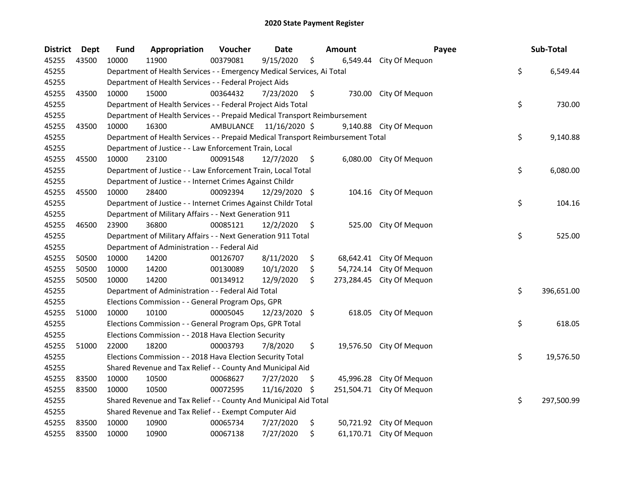| <b>District</b> | Dept  | <b>Fund</b> | Appropriation                                                                   | Voucher                 | <b>Date</b>   |     | <b>Amount</b> |                           | Payee | Sub-Total  |           |
|-----------------|-------|-------------|---------------------------------------------------------------------------------|-------------------------|---------------|-----|---------------|---------------------------|-------|------------|-----------|
| 45255           | 43500 | 10000       | 11900                                                                           | 00379081                | 9/15/2020     | \$  | 6,549.44      | City Of Mequon            |       |            |           |
| 45255           |       |             | Department of Health Services - - Emergency Medical Services, Ai Total          |                         |               |     |               |                           | \$    |            | 6,549.44  |
| 45255           |       |             | Department of Health Services - - Federal Project Aids                          |                         |               |     |               |                           |       |            |           |
| 45255           | 43500 | 10000       | 15000                                                                           | 00364432                | 7/23/2020     | \$  |               | 730.00 City Of Mequon     |       |            |           |
| 45255           |       |             | Department of Health Services - - Federal Project Aids Total                    |                         |               |     |               |                           | \$    |            | 730.00    |
| 45255           |       |             | Department of Health Services - - Prepaid Medical Transport Reimbursement       |                         |               |     |               |                           |       |            |           |
| 45255           | 43500 | 10000       | 16300                                                                           | AMBULANCE 11/16/2020 \$ |               |     |               | 9,140.88 City Of Mequon   |       |            |           |
| 45255           |       |             | Department of Health Services - - Prepaid Medical Transport Reimbursement Total |                         |               |     |               |                           | \$    |            | 9,140.88  |
| 45255           |       |             | Department of Justice - - Law Enforcement Train, Local                          |                         |               |     |               |                           |       |            |           |
| 45255           | 45500 | 10000       | 23100                                                                           | 00091548                | 12/7/2020     | \$  |               | 6,080.00 City Of Mequon   |       |            |           |
| 45255           |       |             | Department of Justice - - Law Enforcement Train, Local Total                    |                         |               |     |               |                           | \$    |            | 6,080.00  |
| 45255           |       |             | Department of Justice - - Internet Crimes Against Childr                        |                         |               |     |               |                           |       |            |           |
| 45255           | 45500 | 10000       | 28400                                                                           | 00092394                | 12/29/2020 \$ |     |               | 104.16 City Of Mequon     |       |            |           |
| 45255           |       |             | Department of Justice - - Internet Crimes Against Childr Total                  |                         |               |     |               |                           | \$    |            | 104.16    |
| 45255           |       |             | Department of Military Affairs - - Next Generation 911                          |                         |               |     |               |                           |       |            |           |
| 45255           | 46500 | 23900       | 36800                                                                           | 00085121                | 12/2/2020     | \$  | 525.00        | City Of Mequon            |       |            |           |
| 45255           |       |             | Department of Military Affairs - - Next Generation 911 Total                    |                         |               |     |               |                           | \$    |            | 525.00    |
| 45255           |       |             | Department of Administration - - Federal Aid                                    |                         |               |     |               |                           |       |            |           |
| 45255           | 50500 | 10000       | 14200                                                                           | 00126707                | 8/11/2020     | \$  | 68,642.41     | City Of Mequon            |       |            |           |
| 45255           | 50500 | 10000       | 14200                                                                           | 00130089                | 10/1/2020     | \$  | 54,724.14     | City Of Mequon            |       |            |           |
| 45255           | 50500 | 10000       | 14200                                                                           | 00134912                | 12/9/2020     | \$  |               | 273,284.45 City Of Mequon |       |            |           |
| 45255           |       |             | Department of Administration - - Federal Aid Total                              |                         |               |     |               |                           | \$    | 396,651.00 |           |
| 45255           |       |             | Elections Commission - - General Program Ops, GPR                               |                         |               |     |               |                           |       |            |           |
| 45255           | 51000 | 10000       | 10100                                                                           | 00005045                | 12/23/2020 \$ |     | 618.05        | City Of Mequon            |       |            |           |
| 45255           |       |             | Elections Commission - - General Program Ops, GPR Total                         |                         |               |     |               |                           | \$    |            | 618.05    |
| 45255           |       |             | Elections Commission - - 2018 Hava Election Security                            |                         |               |     |               |                           |       |            |           |
| 45255           | 51000 | 22000       | 18200                                                                           | 00003793                | 7/8/2020      | \$  |               | 19,576.50 City Of Mequon  |       |            |           |
| 45255           |       |             | Elections Commission - - 2018 Hava Election Security Total                      |                         |               |     |               |                           | \$    |            | 19,576.50 |
| 45255           |       |             | Shared Revenue and Tax Relief - - County And Municipal Aid                      |                         |               |     |               |                           |       |            |           |
| 45255           | 83500 | 10000       | 10500                                                                           | 00068627                | 7/27/2020     | S   | 45,996.28     | City Of Mequon            |       |            |           |
| 45255           | 83500 | 10000       | 10500                                                                           | 00072595                | 11/16/2020    | -\$ | 251,504.71    | City Of Mequon            |       |            |           |
| 45255           |       |             | Shared Revenue and Tax Relief - - County And Municipal Aid Total                |                         |               |     |               |                           | \$    | 297,500.99 |           |
| 45255           |       |             | Shared Revenue and Tax Relief - - Exempt Computer Aid                           |                         |               |     |               |                           |       |            |           |
| 45255           | 83500 | 10000       | 10900                                                                           | 00065734                | 7/27/2020     | \$  |               | 50,721.92 City Of Mequon  |       |            |           |
| 45255           | 83500 | 10000       | 10900                                                                           | 00067138                | 7/27/2020     | \$  |               | 61,170.71 City Of Mequon  |       |            |           |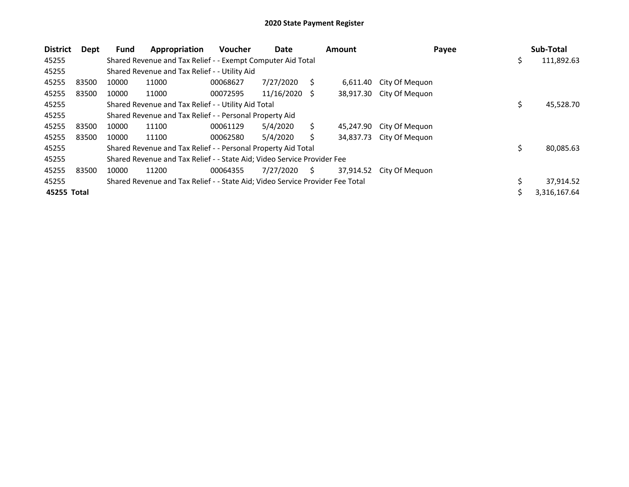| <b>District</b> | Dept  | <b>Fund</b> | Appropriation                                                                 | <b>Voucher</b> | Date            |    | <b>Amount</b> | Payee          | Sub-Total        |
|-----------------|-------|-------------|-------------------------------------------------------------------------------|----------------|-----------------|----|---------------|----------------|------------------|
| 45255           |       |             | Shared Revenue and Tax Relief - - Exempt Computer Aid Total                   |                |                 |    |               |                | \$<br>111,892.63 |
| 45255           |       |             | Shared Revenue and Tax Relief - - Utility Aid                                 |                |                 |    |               |                |                  |
| 45255           | 83500 | 10000       | 11000                                                                         | 00068627       | 7/27/2020       | S  | 6.611.40      | City Of Meguon |                  |
| 45255           | 83500 | 10000       | 11000                                                                         | 00072595       | $11/16/2020$ \$ |    | 38,917.30     | City Of Meguon |                  |
| 45255           |       |             | Shared Revenue and Tax Relief - - Utility Aid Total                           |                |                 |    |               |                | \$<br>45,528.70  |
| 45255           |       |             | Shared Revenue and Tax Relief - - Personal Property Aid                       |                |                 |    |               |                |                  |
| 45255           | 83500 | 10000       | 11100                                                                         | 00061129       | 5/4/2020        | Ś. | 45,247.90     | City Of Meguon |                  |
| 45255           | 83500 | 10000       | 11100                                                                         | 00062580       | 5/4/2020        |    | 34.837.73     | City Of Meguon |                  |
| 45255           |       |             | Shared Revenue and Tax Relief - - Personal Property Aid Total                 |                |                 |    |               |                | \$<br>80,085.63  |
| 45255           |       |             | Shared Revenue and Tax Relief - - State Aid; Video Service Provider Fee       |                |                 |    |               |                |                  |
| 45255           | 83500 | 10000       | 11200                                                                         | 00064355       | 7/27/2020       | S. | 37,914.52     | City Of Meguon |                  |
| 45255           |       |             | Shared Revenue and Tax Relief - - State Aid; Video Service Provider Fee Total |                |                 |    |               |                | 37,914.52        |
| 45255 Total     |       |             |                                                                               |                |                 |    |               |                | 3,316,167.64     |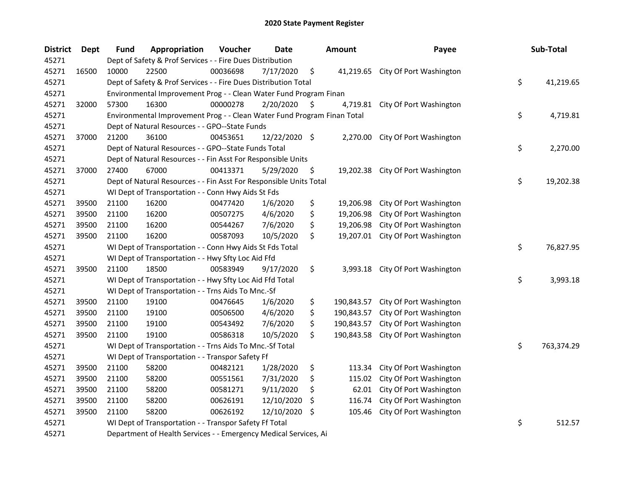| <b>District</b> | <b>Dept</b> | <b>Fund</b> | Appropriation                                                           | Voucher  | <b>Date</b>   |     | <b>Amount</b> | Payee                             | Sub-Total        |
|-----------------|-------------|-------------|-------------------------------------------------------------------------|----------|---------------|-----|---------------|-----------------------------------|------------------|
| 45271           |             |             | Dept of Safety & Prof Services - - Fire Dues Distribution               |          |               |     |               |                                   |                  |
| 45271           | 16500       | 10000       | 22500                                                                   | 00036698 | 7/17/2020     | \$  | 41,219.65     | City Of Port Washington           |                  |
| 45271           |             |             | Dept of Safety & Prof Services - - Fire Dues Distribution Total         |          |               |     |               |                                   | \$<br>41,219.65  |
| 45271           |             |             | Environmental Improvement Prog - - Clean Water Fund Program Finan       |          |               |     |               |                                   |                  |
| 45271           | 32000       | 57300       | 16300                                                                   | 00000278 | 2/20/2020     | \$, |               | 4,719.81 City Of Port Washington  |                  |
| 45271           |             |             | Environmental Improvement Prog - - Clean Water Fund Program Finan Total |          |               |     |               |                                   | \$<br>4,719.81   |
| 45271           |             |             | Dept of Natural Resources - - GPO--State Funds                          |          |               |     |               |                                   |                  |
| 45271           | 37000       | 21200       | 36100                                                                   | 00453651 | 12/22/2020 \$ |     | 2,270.00      | City Of Port Washington           |                  |
| 45271           |             |             | Dept of Natural Resources - - GPO--State Funds Total                    |          |               |     |               |                                   | \$<br>2,270.00   |
| 45271           |             |             | Dept of Natural Resources - - Fin Asst For Responsible Units            |          |               |     |               |                                   |                  |
| 45271           | 37000       | 27400       | 67000                                                                   | 00413371 | 5/29/2020     | \$  |               | 19,202.38 City Of Port Washington |                  |
| 45271           |             |             | Dept of Natural Resources - - Fin Asst For Responsible Units Total      |          |               |     |               |                                   | \$<br>19,202.38  |
| 45271           |             |             | WI Dept of Transportation - - Conn Hwy Aids St Fds                      |          |               |     |               |                                   |                  |
| 45271           | 39500       | 21100       | 16200                                                                   | 00477420 | 1/6/2020      | \$  | 19,206.98     | City Of Port Washington           |                  |
| 45271           | 39500       | 21100       | 16200                                                                   | 00507275 | 4/6/2020      | \$  | 19,206.98     | City Of Port Washington           |                  |
| 45271           | 39500       | 21100       | 16200                                                                   | 00544267 | 7/6/2020      | \$  | 19,206.98     | City Of Port Washington           |                  |
| 45271           | 39500       | 21100       | 16200                                                                   | 00587093 | 10/5/2020     | \$  | 19,207.01     | City Of Port Washington           |                  |
| 45271           |             |             | WI Dept of Transportation - - Conn Hwy Aids St Fds Total                |          |               |     |               |                                   | \$<br>76,827.95  |
| 45271           |             |             | WI Dept of Transportation - - Hwy Sfty Loc Aid Ffd                      |          |               |     |               |                                   |                  |
| 45271           | 39500       | 21100       | 18500                                                                   | 00583949 | 9/17/2020     | \$  | 3,993.18      | City Of Port Washington           |                  |
| 45271           |             |             | WI Dept of Transportation - - Hwy Sfty Loc Aid Ffd Total                |          |               |     |               |                                   | \$<br>3,993.18   |
| 45271           |             |             | WI Dept of Transportation - - Trns Aids To Mnc.-Sf                      |          |               |     |               |                                   |                  |
| 45271           | 39500       | 21100       | 19100                                                                   | 00476645 | 1/6/2020      | \$  | 190,843.57    | City Of Port Washington           |                  |
| 45271           | 39500       | 21100       | 19100                                                                   | 00506500 | 4/6/2020      | \$  | 190,843.57    | City Of Port Washington           |                  |
| 45271           | 39500       | 21100       | 19100                                                                   | 00543492 | 7/6/2020      | \$  | 190,843.57    | City Of Port Washington           |                  |
| 45271           | 39500       | 21100       | 19100                                                                   | 00586318 | 10/5/2020     | \$  | 190,843.58    | City Of Port Washington           |                  |
| 45271           |             |             | WI Dept of Transportation - - Trns Aids To Mnc.-Sf Total                |          |               |     |               |                                   | \$<br>763,374.29 |
| 45271           |             |             | WI Dept of Transportation - - Transpor Safety Ff                        |          |               |     |               |                                   |                  |
| 45271           | 39500       | 21100       | 58200                                                                   | 00482121 | 1/28/2020     | \$  | 113.34        | City Of Port Washington           |                  |
| 45271           | 39500       | 21100       | 58200                                                                   | 00551561 | 7/31/2020     | \$  | 115.02        | City Of Port Washington           |                  |
| 45271           | 39500       | 21100       | 58200                                                                   | 00581271 | 9/11/2020     | \$  | 62.01         | City Of Port Washington           |                  |
| 45271           | 39500       | 21100       | 58200                                                                   | 00626191 | 12/10/2020    | \$  | 116.74        | City Of Port Washington           |                  |
| 45271           | 39500       | 21100       | 58200                                                                   | 00626192 | 12/10/2020    | \$  | 105.46        | City Of Port Washington           |                  |
| 45271           |             |             | WI Dept of Transportation - - Transpor Safety Ff Total                  |          |               |     |               |                                   | \$<br>512.57     |
| 45271           |             |             | Department of Health Services - - Emergency Medical Services, Ai        |          |               |     |               |                                   |                  |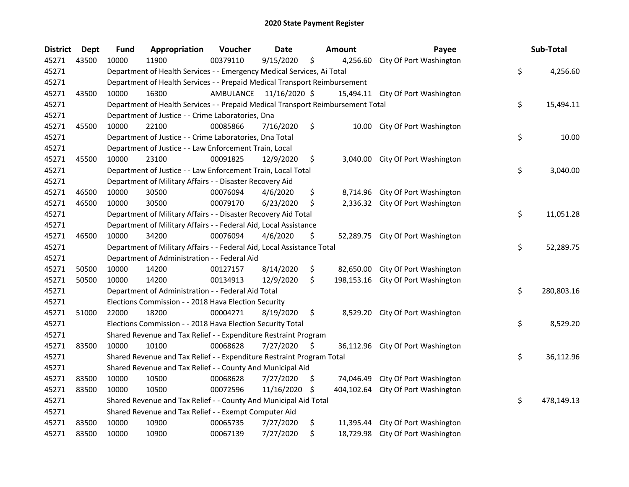| <b>District</b> | <b>Dept</b> | Fund  | Appropriation                                                                   | Voucher   | <b>Date</b>   |     | Amount     | Payee                             | Sub-Total        |
|-----------------|-------------|-------|---------------------------------------------------------------------------------|-----------|---------------|-----|------------|-----------------------------------|------------------|
| 45271           | 43500       | 10000 | 11900                                                                           | 00379110  | 9/15/2020     | \$  | 4,256.60   | City Of Port Washington           |                  |
| 45271           |             |       | Department of Health Services - - Emergency Medical Services, Ai Total          |           |               |     |            |                                   | \$<br>4,256.60   |
| 45271           |             |       | Department of Health Services - - Prepaid Medical Transport Reimbursement       |           |               |     |            |                                   |                  |
| 45271           | 43500       | 10000 | 16300                                                                           | AMBULANCE | 11/16/2020 \$ |     |            | 15,494.11 City Of Port Washington |                  |
| 45271           |             |       | Department of Health Services - - Prepaid Medical Transport Reimbursement Total |           |               |     |            |                                   | \$<br>15,494.11  |
| 45271           |             |       | Department of Justice - - Crime Laboratories, Dna                               |           |               |     |            |                                   |                  |
| 45271           | 45500       | 10000 | 22100                                                                           | 00085866  | 7/16/2020     | \$  |            | 10.00 City Of Port Washington     |                  |
| 45271           |             |       | Department of Justice - - Crime Laboratories, Dna Total                         |           |               |     |            |                                   | \$<br>10.00      |
| 45271           |             |       | Department of Justice - - Law Enforcement Train, Local                          |           |               |     |            |                                   |                  |
| 45271           | 45500       | 10000 | 23100                                                                           | 00091825  | 12/9/2020     | \$  |            | 3,040.00 City Of Port Washington  |                  |
| 45271           |             |       | Department of Justice - - Law Enforcement Train, Local Total                    |           |               |     |            |                                   | \$<br>3,040.00   |
| 45271           |             |       | Department of Military Affairs - - Disaster Recovery Aid                        |           |               |     |            |                                   |                  |
| 45271           | 46500       | 10000 | 30500                                                                           | 00076094  | 4/6/2020      | \$  | 8,714.96   | City Of Port Washington           |                  |
| 45271           | 46500       | 10000 | 30500                                                                           | 00079170  | 6/23/2020     | \$  | 2,336.32   | City Of Port Washington           |                  |
| 45271           |             |       | Department of Military Affairs - - Disaster Recovery Aid Total                  |           |               |     |            |                                   | \$<br>11,051.28  |
| 45271           |             |       | Department of Military Affairs - - Federal Aid, Local Assistance                |           |               |     |            |                                   |                  |
| 45271           | 46500       | 10000 | 34200                                                                           | 00076094  | 4/6/2020      | \$  |            | 52,289.75 City Of Port Washington |                  |
| 45271           |             |       | Department of Military Affairs - - Federal Aid, Local Assistance Total          |           |               |     |            |                                   | \$<br>52,289.75  |
| 45271           |             |       | Department of Administration - - Federal Aid                                    |           |               |     |            |                                   |                  |
| 45271           | 50500       | 10000 | 14200                                                                           | 00127157  | 8/14/2020     | \$  | 82,650.00  | City Of Port Washington           |                  |
| 45271           | 50500       | 10000 | 14200                                                                           | 00134913  | 12/9/2020     | \$  | 198,153.16 | City Of Port Washington           |                  |
| 45271           |             |       | Department of Administration - - Federal Aid Total                              |           |               |     |            |                                   | \$<br>280,803.16 |
| 45271           |             |       | Elections Commission - - 2018 Hava Election Security                            |           |               |     |            |                                   |                  |
| 45271           | 51000       | 22000 | 18200                                                                           | 00004271  | 8/19/2020     | \$  | 8,529.20   | City Of Port Washington           |                  |
| 45271           |             |       | Elections Commission - - 2018 Hava Election Security Total                      |           |               |     |            |                                   | \$<br>8,529.20   |
| 45271           |             |       | Shared Revenue and Tax Relief - - Expenditure Restraint Program                 |           |               |     |            |                                   |                  |
| 45271           | 83500       | 10000 | 10100                                                                           | 00068628  | 7/27/2020     | \$  | 36,112.96  | City Of Port Washington           |                  |
| 45271           |             |       | Shared Revenue and Tax Relief - - Expenditure Restraint Program Total           |           |               |     |            |                                   | \$<br>36,112.96  |
| 45271           |             |       | Shared Revenue and Tax Relief - - County And Municipal Aid                      |           |               |     |            |                                   |                  |
| 45271           | 83500       | 10000 | 10500                                                                           | 00068628  | 7/27/2020     | \$  | 74,046.49  | City Of Port Washington           |                  |
| 45271           | 83500       | 10000 | 10500                                                                           | 00072596  | 11/16/2020    | -\$ | 404,102.64 | City Of Port Washington           |                  |
| 45271           |             |       | Shared Revenue and Tax Relief - - County And Municipal Aid Total                |           |               |     |            |                                   | \$<br>478,149.13 |
| 45271           |             |       | Shared Revenue and Tax Relief - - Exempt Computer Aid                           |           |               |     |            |                                   |                  |
| 45271           | 83500       | 10000 | 10900                                                                           | 00065735  | 7/27/2020     | \$  | 11,395.44  | City Of Port Washington           |                  |
| 45271           | 83500       | 10000 | 10900                                                                           | 00067139  | 7/27/2020     | \$  |            | 18,729.98 City Of Port Washington |                  |